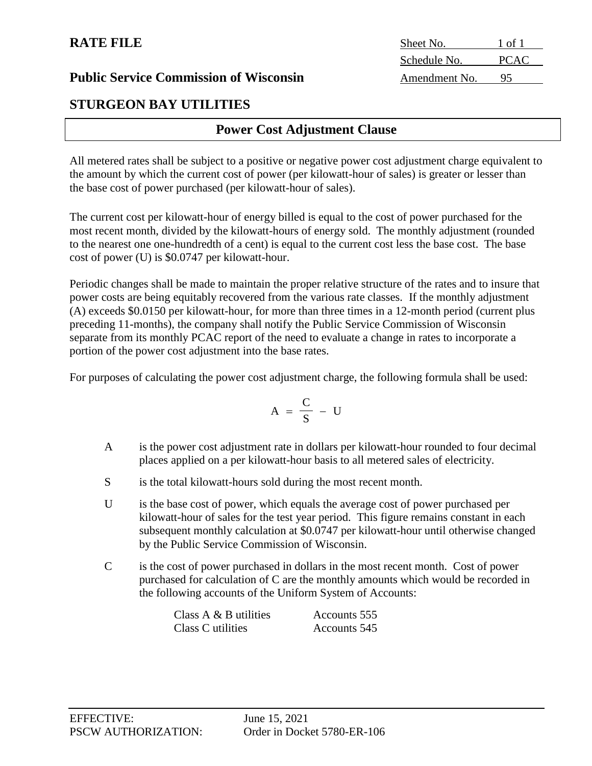# **STURGEON BAY UTILITIES**

# **Power Cost Adjustment Clause**

All metered rates shall be subject to a positive or negative power cost adjustment charge equivalent to the amount by which the current cost of power (per kilowatt-hour of sales) is greater or lesser than the base cost of power purchased (per kilowatt-hour of sales).

The current cost per kilowatt-hour of energy billed is equal to the cost of power purchased for the most recent month, divided by the kilowatt-hours of energy sold. The monthly adjustment (rounded to the nearest one one-hundredth of a cent) is equal to the current cost less the base cost. The base cost of power (U) is \$0.0747 per kilowatt-hour.

Periodic changes shall be made to maintain the proper relative structure of the rates and to insure that power costs are being equitably recovered from the various rate classes. If the monthly adjustment (A) exceeds \$0.0150 per kilowatt-hour, for more than three times in a 12-month period (current plus preceding 11-months), the company shall notify the Public Service Commission of Wisconsin separate from its monthly PCAC report of the need to evaluate a change in rates to incorporate a portion of the power cost adjustment into the base rates.

For purposes of calculating the power cost adjustment charge, the following formula shall be used:

$$
A = \frac{C}{S} - U
$$

- A is the power cost adjustment rate in dollars per kilowatt-hour rounded to four decimal places applied on a per kilowatt-hour basis to all metered sales of electricity.
- S is the total kilowatt-hours sold during the most recent month.
- U is the base cost of power, which equals the average cost of power purchased per kilowatt-hour of sales for the test year period. This figure remains constant in each subsequent monthly calculation at \$0.0747 per kilowatt-hour until otherwise changed by the Public Service Commission of Wisconsin.
- C is the cost of power purchased in dollars in the most recent month. Cost of power purchased for calculation of C are the monthly amounts which would be recorded in the following accounts of the Uniform System of Accounts:

| Class $A \& B$ utilities | Accounts 555 |
|--------------------------|--------------|
| Class C utilities        | Accounts 545 |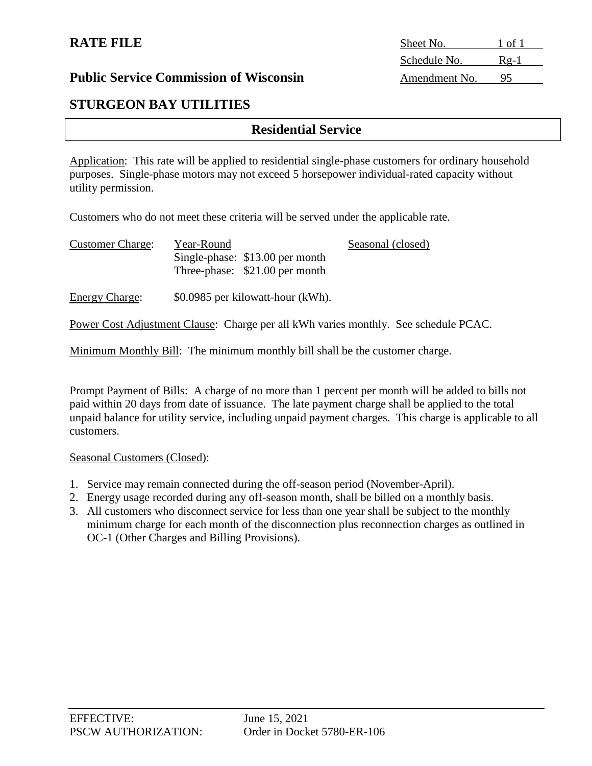# **STURGEON BAY UTILITIES**

# **Residential Service**

Application: This rate will be applied to residential single-phase customers for ordinary household purposes. Single-phase motors may not exceed 5 horsepower individual-rated capacity without utility permission.

Customers who do not meet these criteria will be served under the applicable rate.

| <b>Customer Charge:</b> | Year-Round |                                 | Seasonal (closed) |
|-------------------------|------------|---------------------------------|-------------------|
|                         |            | Single-phase: \$13.00 per month |                   |
|                         |            | Three-phase: \$21.00 per month  |                   |
|                         |            |                                 |                   |

Energy Charge: \$0.0985 per kilowatt-hour (kWh).

Power Cost Adjustment Clause: Charge per all kWh varies monthly. See schedule PCAC.

Minimum Monthly Bill: The minimum monthly bill shall be the customer charge.

Prompt Payment of Bills: A charge of no more than 1 percent per month will be added to bills not paid within 20 days from date of issuance. The late payment charge shall be applied to the total unpaid balance for utility service, including unpaid payment charges. This charge is applicable to all customers.

#### Seasonal Customers (Closed):

- 1. Service may remain connected during the off-season period (November-April).
- 2. Energy usage recorded during any off-season month, shall be billed on a monthly basis.
- 3. All customers who disconnect service for less than one year shall be subject to the monthly minimum charge for each month of the disconnection plus reconnection charges as outlined in OC-1 (Other Charges and Billing Provisions).

**RATE FILE** Sheet No. 1 of 1 Schedule No. Rg-1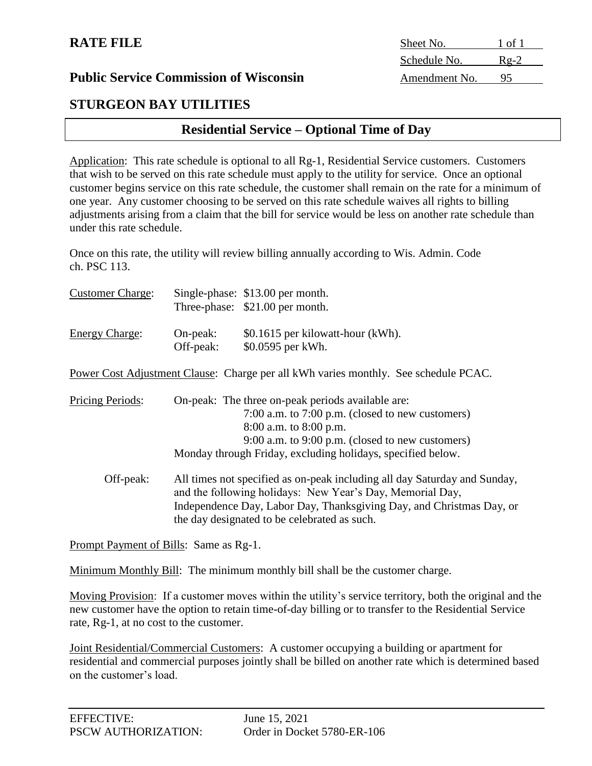# **STURGEON BAY UTILITIES**

# **Residential Service – Optional Time of Day**

Application: This rate schedule is optional to all Rg-1, Residential Service customers. Customers that wish to be served on this rate schedule must apply to the utility for service. Once an optional customer begins service on this rate schedule, the customer shall remain on the rate for a minimum of one year. Any customer choosing to be served on this rate schedule waives all rights to billing adjustments arising from a claim that the bill for service would be less on another rate schedule than under this rate schedule.

Once on this rate, the utility will review billing annually according to Wis. Admin. Code ch. PSC 113.

| <b>Customer Charge:</b> |            | Single-phase: \$13.00 per month.                                                    |
|-------------------------|------------|-------------------------------------------------------------------------------------|
|                         |            | Three-phase: \$21.00 per month.                                                     |
| <b>Energy Charge:</b>   | $On-peak:$ | \$0.1615 per kilowatt-hour (kWh).                                                   |
|                         | Off-peak:  | \$0.0595 per kWh.                                                                   |
|                         |            | Power Cost Adjustment Clause: Charge per all kWh varies monthly. See schedule PCAC. |
| <b>Pricing Periods:</b> |            | On-peak: The three on-peak periods available are:                                   |
|                         |            | 7:00 a.m. to 7:00 p.m. (closed to new customers)                                    |
|                         |            | 8:00 a.m. to 8:00 p.m.                                                              |
|                         |            | 9:00 a.m. to 9:00 p.m. (closed to new customers)                                    |
|                         |            | Monday through Friday, excluding holidays, specified below.                         |
| Off-peak:               |            | All times not specified as on-peak including all day Saturday and Sunday,           |
|                         |            | and the following holidays: New Year's Day, Memorial Day,                           |
|                         |            | Independence Day, Labor Day, Thanksgiving Day, and Christmas Day, or                |
|                         |            | the day designated to be celebrated as such.                                        |

Prompt Payment of Bills: Same as Rg-1.

Minimum Monthly Bill: The minimum monthly bill shall be the customer charge.

Moving Provision: If a customer moves within the utility's service territory, both the original and the new customer have the option to retain time-of-day billing or to transfer to the Residential Service rate, Rg-1, at no cost to the customer.

Joint Residential/Commercial Customers: A customer occupying a building or apartment for residential and commercial purposes jointly shall be billed on another rate which is determined based on the customer's load.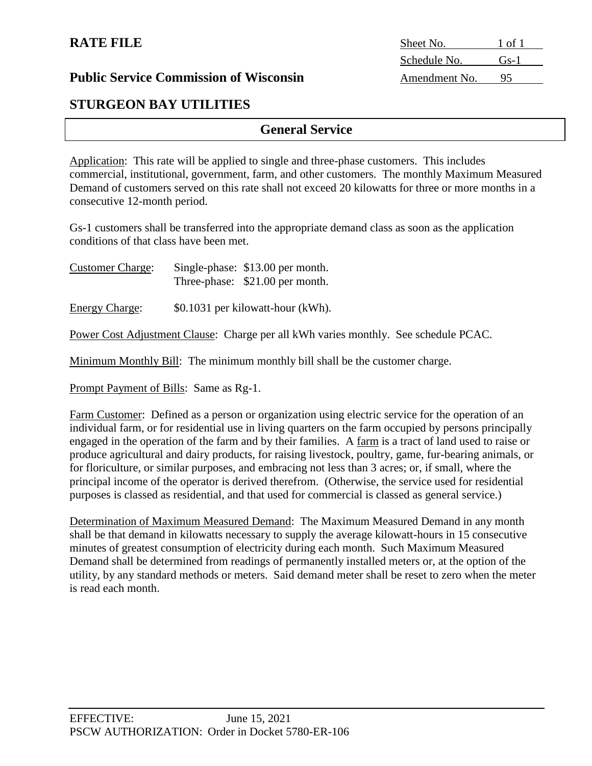# **STURGEON BAY UTILITIES**

# **General Service**

Application: This rate will be applied to single and three-phase customers. This includes commercial, institutional, government, farm, and other customers. The monthly Maximum Measured Demand of customers served on this rate shall not exceed 20 kilowatts for three or more months in a consecutive 12-month period.

Gs-1 customers shall be transferred into the appropriate demand class as soon as the application conditions of that class have been met.

Customer Charge: Single-phase: \$13.00 per month. Three-phase: \$21.00 per month.

Energy Charge: \$0.1031 per kilowatt-hour (kWh).

Power Cost Adjustment Clause: Charge per all kWh varies monthly. See schedule PCAC.

Minimum Monthly Bill: The minimum monthly bill shall be the customer charge.

Prompt Payment of Bills: Same as Rg-1.

Farm Customer: Defined as a person or organization using electric service for the operation of an individual farm, or for residential use in living quarters on the farm occupied by persons principally engaged in the operation of the farm and by their families. A farm is a tract of land used to raise or produce agricultural and dairy products, for raising livestock, poultry, game, fur-bearing animals, or for floriculture, or similar purposes, and embracing not less than 3 acres; or, if small, where the principal income of the operator is derived therefrom. (Otherwise, the service used for residential purposes is classed as residential, and that used for commercial is classed as general service.)

Determination of Maximum Measured Demand: The Maximum Measured Demand in any month shall be that demand in kilowatts necessary to supply the average kilowatt-hours in 15 consecutive minutes of greatest consumption of electricity during each month. Such Maximum Measured Demand shall be determined from readings of permanently installed meters or, at the option of the utility, by any standard methods or meters. Said demand meter shall be reset to zero when the meter is read each month.

| Sheet No.     | 1 of 1 |
|---------------|--------|
| Schedule No.  | $GS-1$ |
| Amendment No. |        |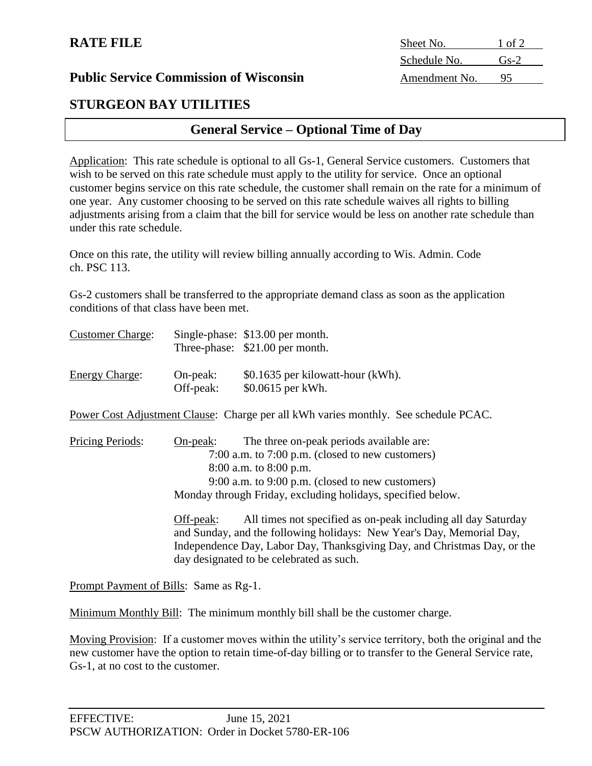# **STURGEON BAY UTILITIES**

# **General Service – Optional Time of Day**

Application: This rate schedule is optional to all Gs-1, General Service customers. Customers that wish to be served on this rate schedule must apply to the utility for service. Once an optional customer begins service on this rate schedule, the customer shall remain on the rate for a minimum of one year. Any customer choosing to be served on this rate schedule waives all rights to billing adjustments arising from a claim that the bill for service would be less on another rate schedule than under this rate schedule.

Once on this rate, the utility will review billing annually according to Wis. Admin. Code ch. PSC 113.

Gs-2 customers shall be transferred to the appropriate demand class as soon as the application conditions of that class have been met.

| <b>Customer Charge:</b> |                       | Single-phase: \$13.00 per month.<br>Three-phase: \$21.00 per month. |
|-------------------------|-----------------------|---------------------------------------------------------------------|
| <b>Energy Charge:</b>   | On-peak:<br>Off-peak: | \$0.1635 per kilowatt-hour (kWh).<br>\$0.0615 per kWh.              |

Power Cost Adjustment Clause: Charge per all kWh varies monthly. See schedule PCAC.

Pricing Periods: On-peak: The three on-peak periods available are: 7:00 a.m. to 7:00 p.m. (closed to new customers) 8:00 a.m. to 8:00 p.m. 9:00 a.m. to 9:00 p.m. (closed to new customers) Monday through Friday, excluding holidays, specified below.

> Off-peak: All times not specified as on-peak including all day Saturday and Sunday, and the following holidays: New Year's Day, Memorial Day, Independence Day, Labor Day, Thanksgiving Day, and Christmas Day, or the day designated to be celebrated as such.

Prompt Payment of Bills: Same as Rg-1.

Minimum Monthly Bill: The minimum monthly bill shall be the customer charge.

Moving Provision: If a customer moves within the utility's service territory, both the original and the new customer have the option to retain time-of-day billing or to transfer to the General Service rate, Gs-1, at no cost to the customer.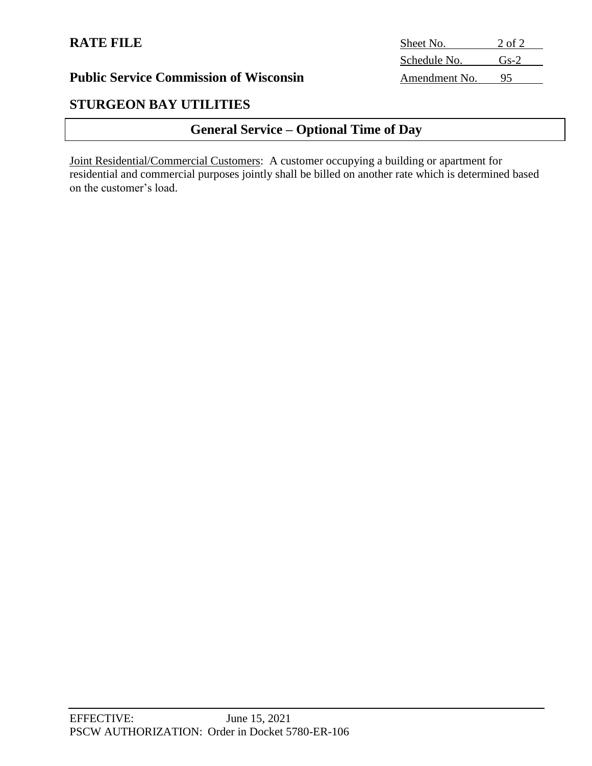# **STURGEON BAY UTILITIES**

# **General Service – Optional Time of Day**

Joint Residential/Commercial Customers: A customer occupying a building or apartment for residential and commercial purposes jointly shall be billed on another rate which is determined based on the customer's load.

| Sheet No.     | 2 of 2 |
|---------------|--------|
| Schedule No.  | $Gs-2$ |
| Amendment No. | 95     |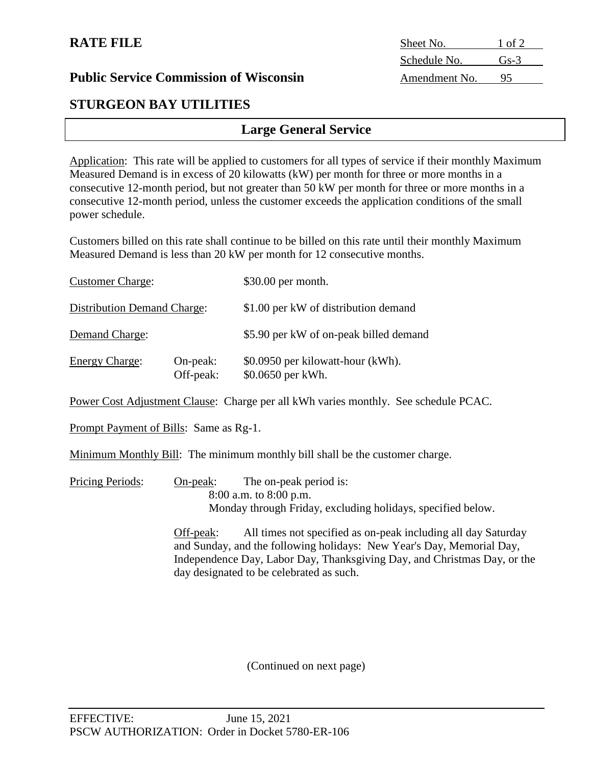| <b>Public Service Commission of Wisconsin</b><br>95<br>Amendment No. |
|----------------------------------------------------------------------|
|----------------------------------------------------------------------|

# **STURGEON BAY UTILITIES**

# **Large General Service**

Application: This rate will be applied to customers for all types of service if their monthly Maximum Measured Demand is in excess of 20 kilowatts (kW) per month for three or more months in a consecutive 12-month period, but not greater than 50 kW per month for three or more months in a consecutive 12-month period, unless the customer exceeds the application conditions of the small power schedule.

Customers billed on this rate shall continue to be billed on this rate until their monthly Maximum Measured Demand is less than 20 kW per month for 12 consecutive months.

| <b>Customer Charge:</b>            |                       | \$30.00 per month.                                     |
|------------------------------------|-----------------------|--------------------------------------------------------|
| <b>Distribution Demand Charge:</b> |                       | \$1.00 per kW of distribution demand                   |
| Demand Charge:                     |                       | \$5.90 per kW of on-peak billed demand                 |
| <b>Energy Charge:</b>              | On-peak:<br>Off-peak: | \$0.0950 per kilowatt-hour (kWh).<br>\$0.0650 per kWh. |

Power Cost Adjustment Clause: Charge per all kWh varies monthly. See schedule PCAC.

Prompt Payment of Bills: Same as Rg-1.

Minimum Monthly Bill: The minimum monthly bill shall be the customer charge.

Pricing Periods: On-peak: The on-peak period is: 8:00 a.m. to 8:00 p.m. Monday through Friday, excluding holidays, specified below.

> Off-peak: All times not specified as on-peak including all day Saturday and Sunday, and the following holidays: New Year's Day, Memorial Day, Independence Day, Labor Day, Thanksgiving Day, and Christmas Day, or the day designated to be celebrated as such.

> > (Continued on next page)

| Sheet No.     | 1 of 2 |
|---------------|--------|
| Schedule No.  | $Gs-3$ |
| Amendment No. |        |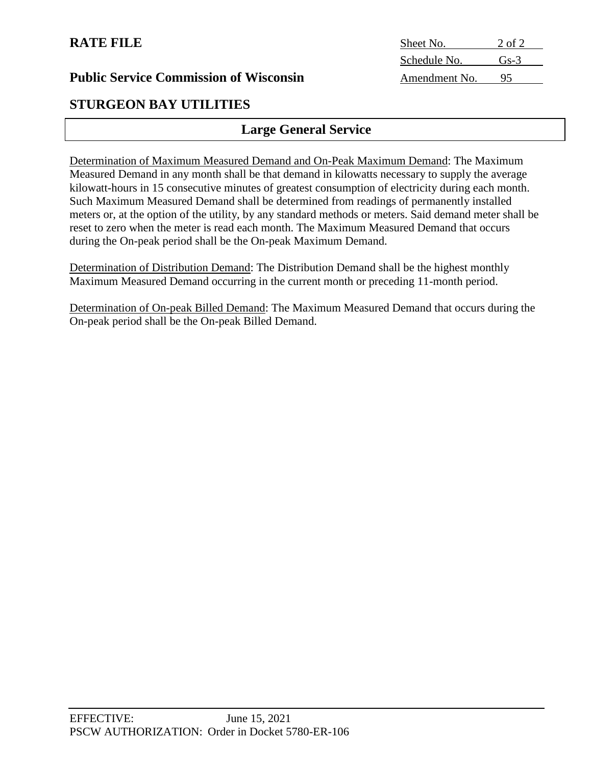| Sheet No.     | 2 of 2         |
|---------------|----------------|
| Schedule No.  | G <sub>5</sub> |
| Amendment No. | 45             |

# **STURGEON BAY UTILITIES**

# **Large General Service**

Determination of Maximum Measured Demand and On-Peak Maximum Demand: The Maximum Measured Demand in any month shall be that demand in kilowatts necessary to supply the average kilowatt-hours in 15 consecutive minutes of greatest consumption of electricity during each month. Such Maximum Measured Demand shall be determined from readings of permanently installed meters or, at the option of the utility, by any standard methods or meters. Said demand meter shall be reset to zero when the meter is read each month. The Maximum Measured Demand that occurs during the On-peak period shall be the On-peak Maximum Demand.

Determination of Distribution Demand: The Distribution Demand shall be the highest monthly Maximum Measured Demand occurring in the current month or preceding 11-month period.

Determination of On-peak Billed Demand: The Maximum Measured Demand that occurs during the On-peak period shall be the On-peak Billed Demand.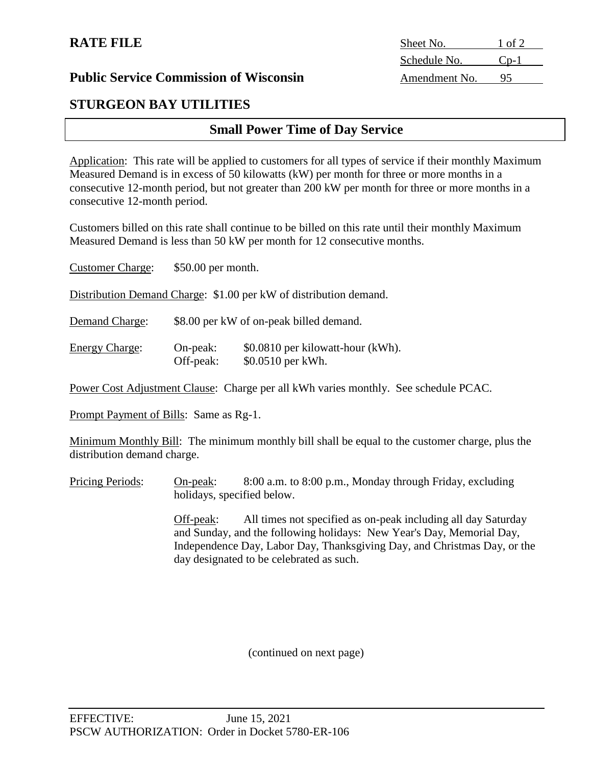# **STURGEON BAY UTILITIES**

# **Small Power Time of Day Service**

Application: This rate will be applied to customers for all types of service if their monthly Maximum Measured Demand is in excess of 50 kilowatts (kW) per month for three or more months in a consecutive 12-month period, but not greater than 200 kW per month for three or more months in a consecutive 12-month period.

Customers billed on this rate shall continue to be billed on this rate until their monthly Maximum Measured Demand is less than 50 kW per month for 12 consecutive months.

| <b>Customer Charge:</b> | \$50.00 per month.    |                                                                   |
|-------------------------|-----------------------|-------------------------------------------------------------------|
|                         |                       | Distribution Demand Charge: \$1.00 per kW of distribution demand. |
| Demand Charge:          |                       | \$8.00 per kW of on-peak billed demand.                           |
| <b>Energy Charge:</b>   | On-peak:<br>Off-peak: | \$0.0810 per kilowatt-hour (kWh).<br>\$0.0510 per kWh.            |

Power Cost Adjustment Clause: Charge per all kWh varies monthly. See schedule PCAC.

Prompt Payment of Bills: Same as Rg-1.

Minimum Monthly Bill: The minimum monthly bill shall be equal to the customer charge, plus the distribution demand charge.

Pricing Periods: On-peak: 8:00 a.m. to 8:00 p.m., Monday through Friday, excluding holidays, specified below.

> Off-peak: All times not specified as on-peak including all day Saturday and Sunday, and the following holidays: New Year's Day, Memorial Day, Independence Day, Labor Day, Thanksgiving Day, and Christmas Day, or the day designated to be celebrated as such.

> > (continued on next page)

**RATE FILE** Sheet No. 1 of 2 Schedule No. Cp-1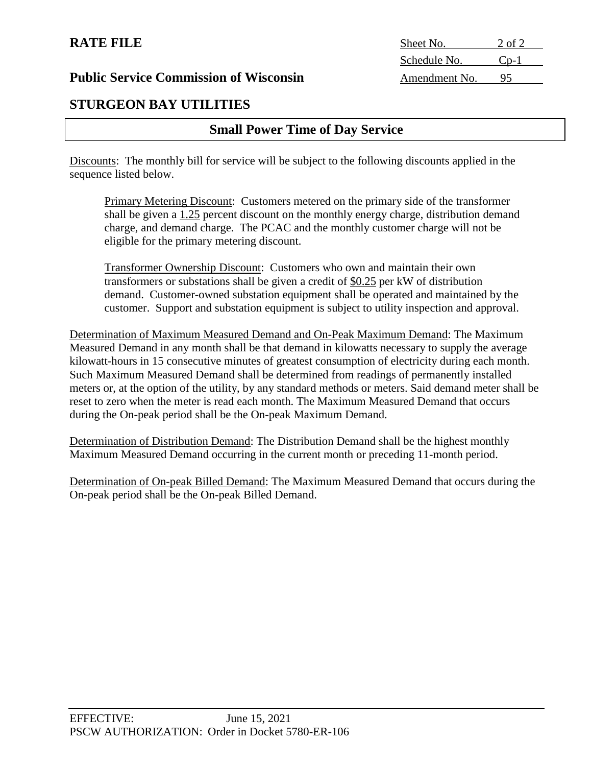### **RATE FILE**

**Public Service Commission of Wisconsin** 

# **STURGEON BAY UTILITIES**

# **Small Power Time of Day Service**

Discounts: The monthly bill for service will be subject to the following discounts applied in the sequence listed below.

Primary Metering Discount: Customers metered on the primary side of the transformer shall be given a 1.25 percent discount on the monthly energy charge, distribution demand charge, and demand charge. The PCAC and the monthly customer charge will not be eligible for the primary metering discount.

Transformer Ownership Discount: Customers who own and maintain their own transformers or substations shall be given a credit of  $$0.25$  per kW of distribution demand. Customer-owned substation equipment shall be operated and maintained by the customer. Support and substation equipment is subject to utility inspection and approval.

Determination of Maximum Measured Demand and On-Peak Maximum Demand: The Maximum Measured Demand in any month shall be that demand in kilowatts necessary to supply the average kilowatt-hours in 15 consecutive minutes of greatest consumption of electricity during each month. Such Maximum Measured Demand shall be determined from readings of permanently installed meters or, at the option of the utility, by any standard methods or meters. Said demand meter shall be reset to zero when the meter is read each month. The Maximum Measured Demand that occurs during the On-peak period shall be the On-peak Maximum Demand.

Determination of Distribution Demand: The Distribution Demand shall be the highest monthly Maximum Measured Demand occurring in the current month or preceding 11-month period.

Determination of On-peak Billed Demand: The Maximum Measured Demand that occurs during the On-peak period shall be the On-peak Billed Demand.

| Sheet No.     | 2 of 2    |
|---------------|-----------|
| Schedule No.  | $C_{D-1}$ |
| Amendment No. | 95        |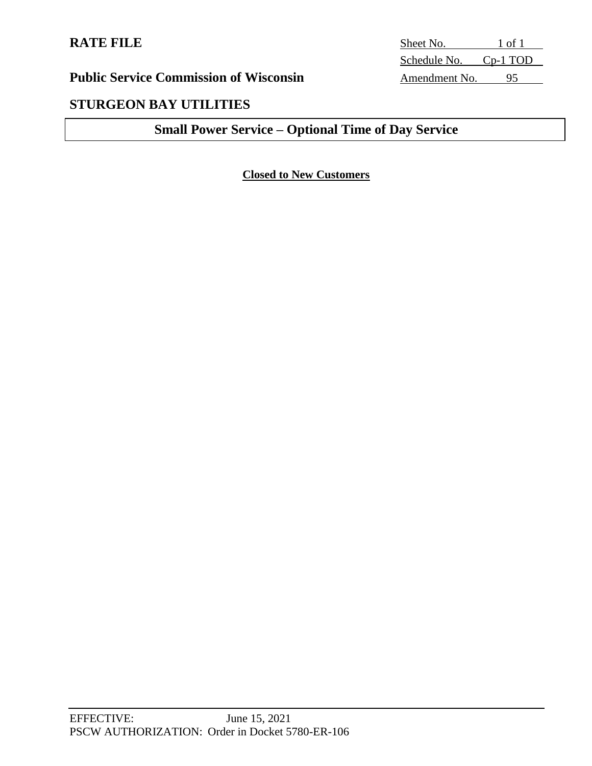# **STURGEON BAY UTILITIES**

# **Small Power Service – Optional Time of Day Service**

# **Closed to New Customers**

**RATE FILE** Sheet No. 1 of 1 Schedule No. Cp-1 TOD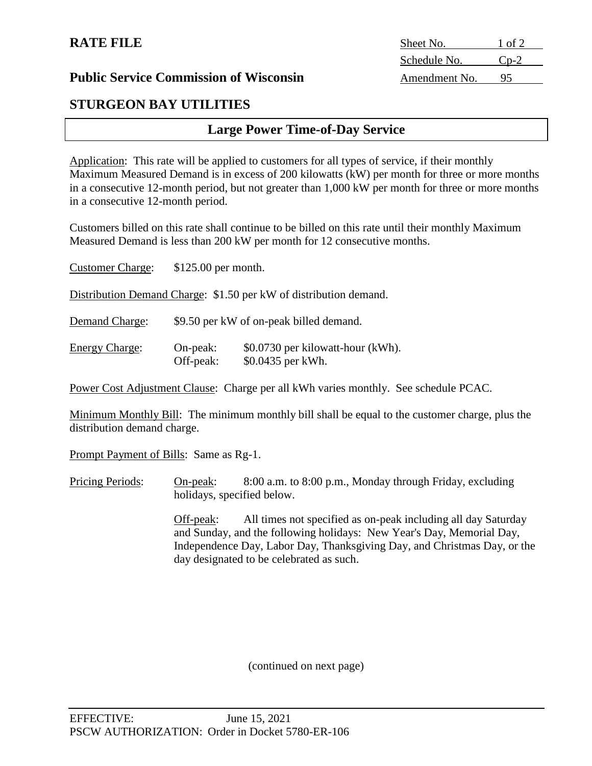| <b>Public Service Commission of Wisconsin</b> |
|-----------------------------------------------|
|-----------------------------------------------|

# **STURGEON BAY UTILITIES**

# **Large Power Time-of-Day Service**

Application: This rate will be applied to customers for all types of service, if their monthly Maximum Measured Demand is in excess of 200 kilowatts (kW) per month for three or more months in a consecutive 12-month period, but not greater than 1,000 kW per month for three or more months in a consecutive 12-month period.

Customers billed on this rate shall continue to be billed on this rate until their monthly Maximum Measured Demand is less than 200 kW per month for 12 consecutive months.

| <b>Customer Charge:</b>                                           | $$125.00$ per month.    |                                                        |  |
|-------------------------------------------------------------------|-------------------------|--------------------------------------------------------|--|
| Distribution Demand Charge: \$1.50 per kW of distribution demand. |                         |                                                        |  |
| Demand Charge:                                                    |                         | \$9.50 per kW of on-peak billed demand.                |  |
| <b>Energy Charge:</b>                                             | $On-peak:$<br>Off-peak: | \$0.0730 per kilowatt-hour (kWh).<br>\$0.0435 per kWh. |  |

Power Cost Adjustment Clause: Charge per all kWh varies monthly. See schedule PCAC.

Minimum Monthly Bill: The minimum monthly bill shall be equal to the customer charge, plus the distribution demand charge.

Prompt Payment of Bills: Same as Rg-1.

Pricing Periods: On-peak: 8:00 a.m. to 8:00 p.m., Monday through Friday, excluding holidays, specified below.

> Off-peak: All times not specified as on-peak including all day Saturday and Sunday, and the following holidays: New Year's Day, Memorial Day, Independence Day, Labor Day, Thanksgiving Day, and Christmas Day, or the day designated to be celebrated as such.

> > (continued on next page)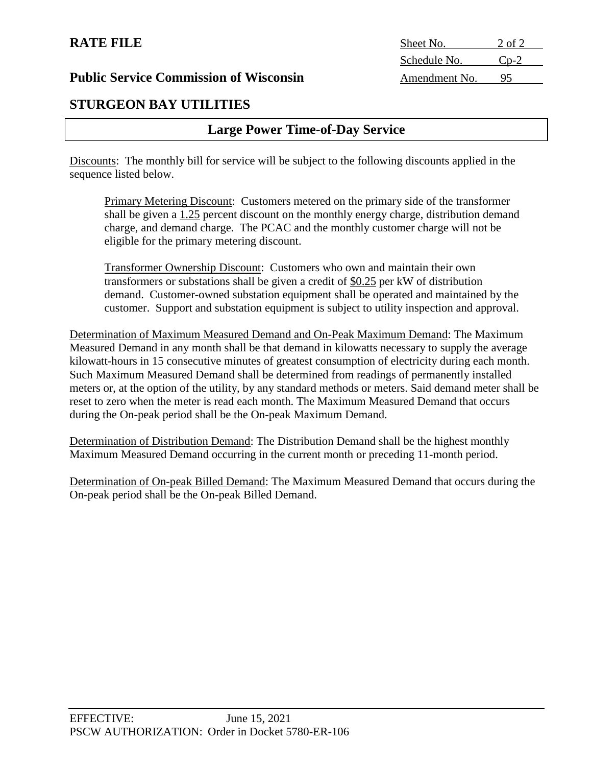# **RATE FILE**

**Public Service Commission of Wisconsin** 

# **STURGEON BAY UTILITIES**

# **Large Power Time-of-Day Service**

Discounts: The monthly bill for service will be subject to the following discounts applied in the sequence listed below.

Primary Metering Discount: Customers metered on the primary side of the transformer shall be given a 1.25 percent discount on the monthly energy charge, distribution demand charge, and demand charge. The PCAC and the monthly customer charge will not be eligible for the primary metering discount.

Transformer Ownership Discount: Customers who own and maintain their own transformers or substations shall be given a credit of  $$0.25$  per kW of distribution demand. Customer-owned substation equipment shall be operated and maintained by the customer. Support and substation equipment is subject to utility inspection and approval.

Determination of Maximum Measured Demand and On-Peak Maximum Demand: The Maximum Measured Demand in any month shall be that demand in kilowatts necessary to supply the average kilowatt-hours in 15 consecutive minutes of greatest consumption of electricity during each month. Such Maximum Measured Demand shall be determined from readings of permanently installed meters or, at the option of the utility, by any standard methods or meters. Said demand meter shall be reset to zero when the meter is read each month. The Maximum Measured Demand that occurs during the On-peak period shall be the On-peak Maximum Demand.

Determination of Distribution Demand: The Distribution Demand shall be the highest monthly Maximum Measured Demand occurring in the current month or preceding 11-month period.

Determination of On-peak Billed Demand: The Maximum Measured Demand that occurs during the On-peak period shall be the On-peak Billed Demand.

| Sheet No.     | 2 of 2    |
|---------------|-----------|
| Schedule No.  | $C_{D-2}$ |
| Amendment No. | 95        |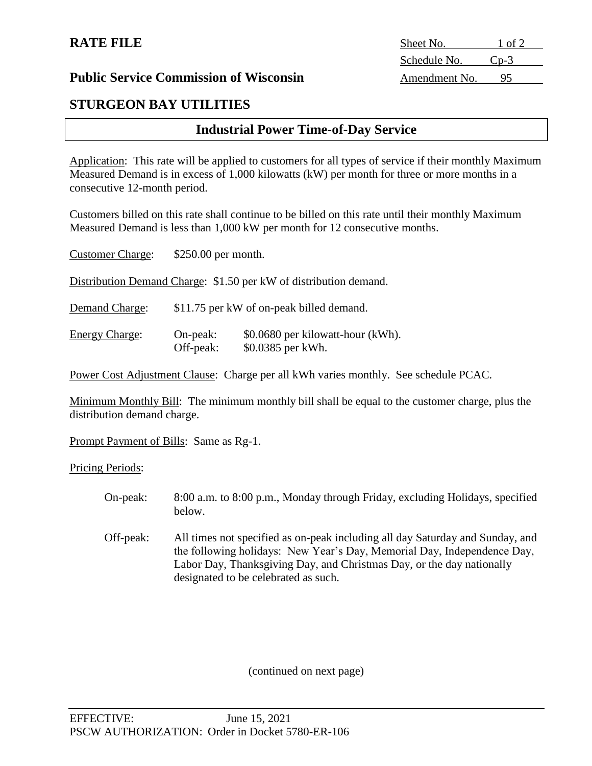# **STURGEON BAY UTILITIES**

# **Industrial Power Time-of-Day Service**

Application: This rate will be applied to customers for all types of service if their monthly Maximum Measured Demand is in excess of 1,000 kilowatts (kW) per month for three or more months in a consecutive 12-month period.

Customers billed on this rate shall continue to be billed on this rate until their monthly Maximum Measured Demand is less than 1,000 kW per month for 12 consecutive months.

| <b>Customer Charge:</b>                                           | \$250.00 per month.                      |                                                        |  |
|-------------------------------------------------------------------|------------------------------------------|--------------------------------------------------------|--|
| Distribution Demand Charge: \$1.50 per kW of distribution demand. |                                          |                                                        |  |
| Demand Charge:                                                    | \$11.75 per kW of on-peak billed demand. |                                                        |  |
| <b>Energy Charge:</b>                                             | $On-peak:$<br>Off-peak:                  | \$0.0680 per kilowatt-hour (kWh).<br>\$0.0385 per kWh. |  |

Power Cost Adjustment Clause: Charge per all kWh varies monthly. See schedule PCAC.

Minimum Monthly Bill: The minimum monthly bill shall be equal to the customer charge, plus the distribution demand charge.

Prompt Payment of Bills: Same as Rg-1.

Pricing Periods:

- On-peak: 8:00 a.m. to 8:00 p.m., Monday through Friday, excluding Holidays, specified below.
- Off-peak: All times not specified as on-peak including all day Saturday and Sunday, and the following holidays: New Year's Day, Memorial Day, Independence Day, Labor Day, Thanksgiving Day, and Christmas Day, or the day nationally designated to be celebrated as such.

(continued on next page)

**RATE FILE** Sheet No. 1 of 2 Schedule No. Cp-3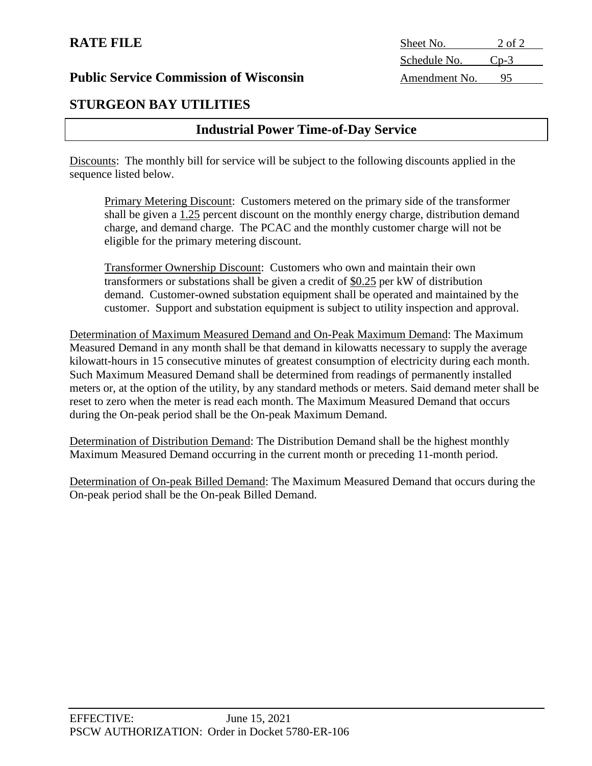# **RATE FILE**

**Public Service Commission of Wisconsin** 

# **STURGEON BAY UTILITIES**

# **Industrial Power Time-of-Day Service**

Discounts: The monthly bill for service will be subject to the following discounts applied in the sequence listed below.

Primary Metering Discount: Customers metered on the primary side of the transformer shall be given a 1.25 percent discount on the monthly energy charge, distribution demand charge, and demand charge. The PCAC and the monthly customer charge will not be eligible for the primary metering discount.

Transformer Ownership Discount: Customers who own and maintain their own transformers or substations shall be given a credit of  $$0.25$  per kW of distribution demand. Customer-owned substation equipment shall be operated and maintained by the customer. Support and substation equipment is subject to utility inspection and approval.

Determination of Maximum Measured Demand and On-Peak Maximum Demand: The Maximum Measured Demand in any month shall be that demand in kilowatts necessary to supply the average kilowatt-hours in 15 consecutive minutes of greatest consumption of electricity during each month. Such Maximum Measured Demand shall be determined from readings of permanently installed meters or, at the option of the utility, by any standard methods or meters. Said demand meter shall be reset to zero when the meter is read each month. The Maximum Measured Demand that occurs during the On-peak period shall be the On-peak Maximum Demand.

Determination of Distribution Demand: The Distribution Demand shall be the highest monthly Maximum Measured Demand occurring in the current month or preceding 11-month period.

Determination of On-peak Billed Demand: The Maximum Measured Demand that occurs during the On-peak period shall be the On-peak Billed Demand.

| Sheet No.     | 2 of 2    |
|---------------|-----------|
| Schedule No.  | $C_{D-3}$ |
| Amendment No. | 95        |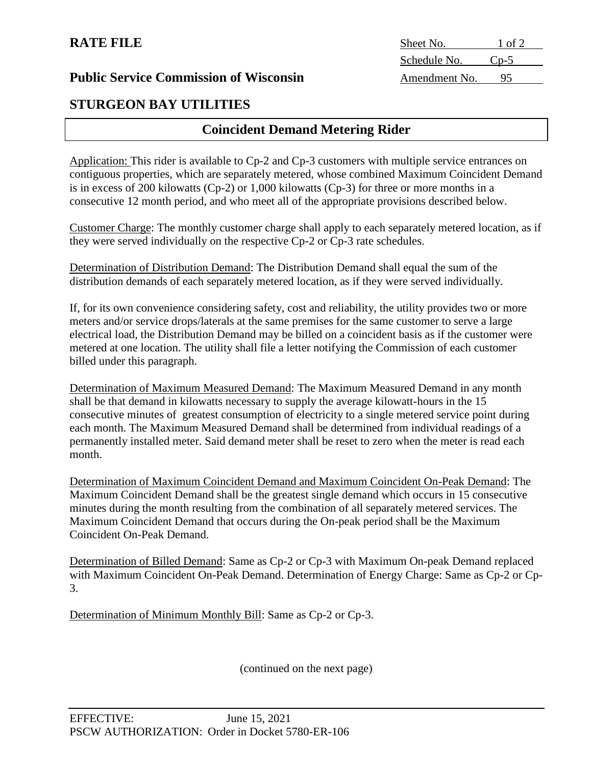| <b>Public Service Commission of Wisconsin</b> |
|-----------------------------------------------|
|-----------------------------------------------|

# **STURGEON BAY UTILITIES**

# **Coincident Demand Metering Rider**

Application: This rider is available to Cp-2 and Cp-3 customers with multiple service entrances on contiguous properties, which are separately metered, whose combined Maximum Coincident Demand is in excess of 200 kilowatts (Cp-2) or 1,000 kilowatts (Cp-3) for three or more months in a consecutive 12 month period, and who meet all of the appropriate provisions described below.

Customer Charge: The monthly customer charge shall apply to each separately metered location, as if they were served individually on the respective Cp-2 or Cp-3 rate schedules.

Determination of Distribution Demand: The Distribution Demand shall equal the sum of the distribution demands of each separately metered location, as if they were served individually.

If, for its own convenience considering safety, cost and reliability, the utility provides two or more meters and/or service drops/laterals at the same premises for the same customer to serve a large electrical load, the Distribution Demand may be billed on a coincident basis as if the customer were metered at one location. The utility shall file a letter notifying the Commission of each customer billed under this paragraph.

Determination of Maximum Measured Demand: The Maximum Measured Demand in any month shall be that demand in kilowatts necessary to supply the average kilowatt-hours in the 15 consecutive minutes of greatest consumption of electricity to a single metered service point during each month. The Maximum Measured Demand shall be determined from individual readings of a permanently installed meter. Said demand meter shall be reset to zero when the meter is read each month.

Determination of Maximum Coincident Demand and Maximum Coincident On-Peak Demand: The Maximum Coincident Demand shall be the greatest single demand which occurs in 15 consecutive minutes during the month resulting from the combination of all separately metered services. The Maximum Coincident Demand that occurs during the On-peak period shall be the Maximum Coincident On-Peak Demand.

Determination of Billed Demand: Same as Cp-2 or Cp-3 with Maximum On-peak Demand replaced with Maximum Coincident On-Peak Demand. Determination of Energy Charge: Same as Cp-2 or Cp-3.

Determination of Minimum Monthly Bill: Same as Cp-2 or Cp-3.

(continued on the next page)

**RATE FILE** Sheet No. 1 of 2 Schedule No. Cp-5 Amendment No. 95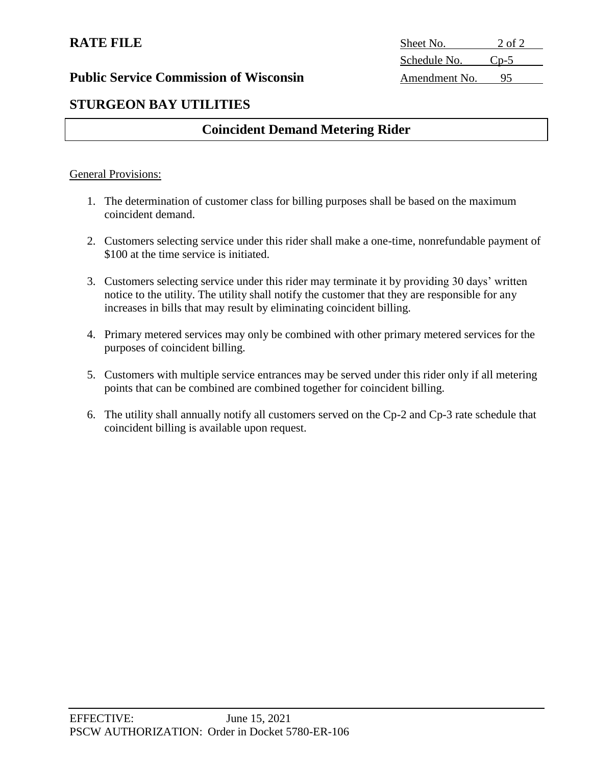# **RATE FILE**

**Public Service Commission of Wisconsin** 

| Sheet No.     | 2 of 2    |
|---------------|-----------|
| Schedule No.  | $C_{n-5}$ |
| Amendment No. | 95        |

# **STURGEON BAY UTILITIES**

# **Coincident Demand Metering Rider**

#### General Provisions:

- 1. The determination of customer class for billing purposes shall be based on the maximum coincident demand.
- 2. Customers selecting service under this rider shall make a one-time, nonrefundable payment of \$100 at the time service is initiated.
- 3. Customers selecting service under this rider may terminate it by providing 30 days' written notice to the utility. The utility shall notify the customer that they are responsible for any increases in bills that may result by eliminating coincident billing.
- 4. Primary metered services may only be combined with other primary metered services for the purposes of coincident billing.
- 5. Customers with multiple service entrances may be served under this rider only if all metering points that can be combined are combined together for coincident billing.
- 6. The utility shall annually notify all customers served on the Cp-2 and Cp-3 rate schedule that coincident billing is available upon request.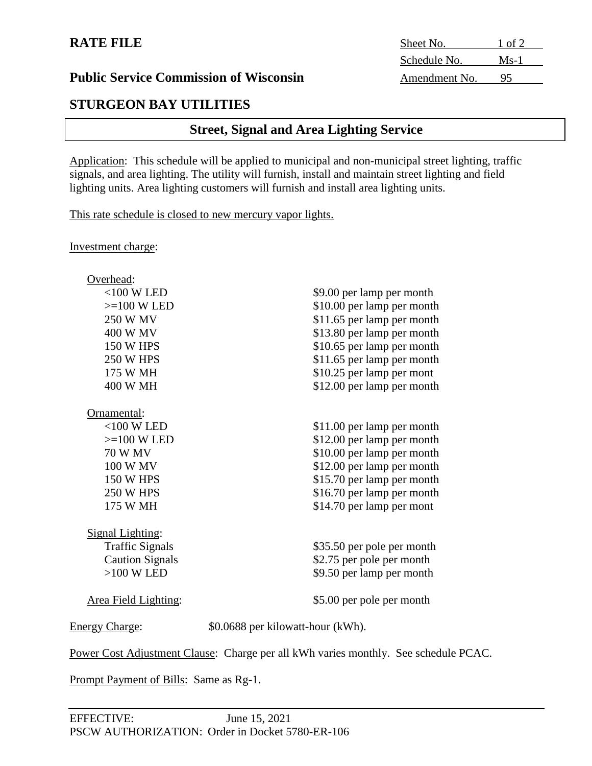# **STURGEON BAY UTILITIES**

# **Street, Signal and Area Lighting Service**

Application: This schedule will be applied to municipal and non-municipal street lighting, traffic signals, and area lighting. The utility will furnish, install and maintain street lighting and field lighting units. Area lighting customers will furnish and install area lighting units.

This rate schedule is closed to new mercury vapor lights.

Investment charge:

| Overhead:               |                                   |
|-------------------------|-----------------------------------|
| $<$ 100 W LED           | \$9.00 per lamp per month         |
| $>=100$ W LED           | \$10.00 per lamp per month        |
| <b>250 W MV</b>         | \$11.65 per lamp per month        |
| 400 W MV                | \$13.80 per lamp per month        |
| <b>150 W HPS</b>        | \$10.65 per lamp per month        |
| <b>250 W HPS</b>        | \$11.65 per lamp per month        |
| 175 W MH                | \$10.25 per lamp per mont         |
| 400 W MH                | \$12.00 per lamp per month        |
| Ornamental:             |                                   |
| $<$ 100 W LED           | \$11.00 per lamp per month        |
| $>=100$ W LED           | \$12.00 per lamp per month        |
| <b>70 W MV</b>          | \$10.00 per lamp per month        |
| 100 W MV                | \$12.00 per lamp per month        |
| <b>150 W HPS</b>        | \$15.70 per lamp per month        |
| <b>250 W HPS</b>        | \$16.70 per lamp per month        |
| 175 W MH                | \$14.70 per lamp per mont         |
| <b>Signal Lighting:</b> |                                   |
| <b>Traffic Signals</b>  | \$35.50 per pole per month        |
| <b>Caution Signals</b>  | \$2.75 per pole per month         |
| $>100$ W LED            | \$9.50 per lamp per month         |
| Area Field Lighting:    | \$5.00 per pole per month         |
| <b>Energy Charge:</b>   | \$0.0688 per kilowatt-hour (kWh). |
|                         |                                   |

Power Cost Adjustment Clause: Charge per all kWh varies monthly. See schedule PCAC.

Prompt Payment of Bills: Same as Rg-1.

**RATE FILE** Sheet No. 1 of 2 Schedule No. Ms-1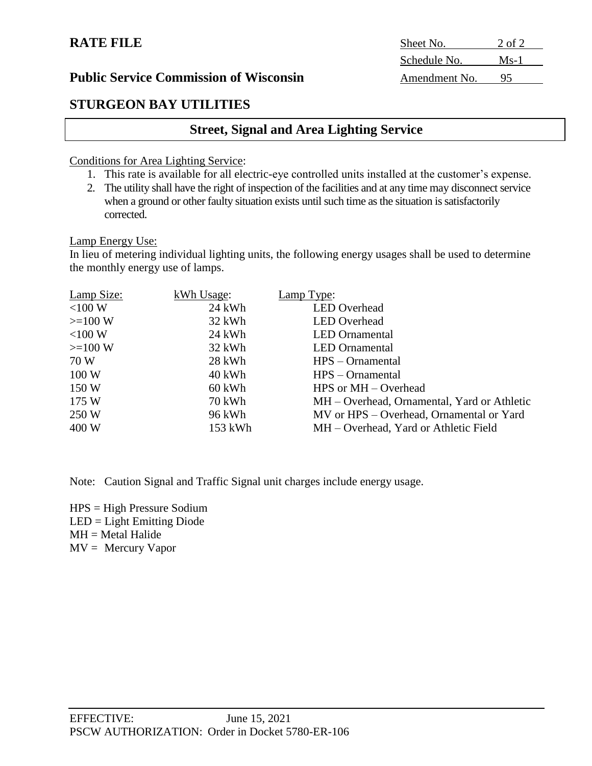# **STURGEON BAY UTILITIES**

# **Street, Signal and Area Lighting Service**

Conditions for Area Lighting Service:

- 1. This rate is available for all electric-eye controlled units installed at the customer's expense.
- 2. The utility shall have the right of inspection of the facilities and at any time may disconnect service when a ground or other faulty situation exists until such time as the situation is satisfactorily corrected.

Lamp Energy Use:

In lieu of metering individual lighting units, the following energy usages shall be used to determine the monthly energy use of lamps.

| Lamp Size: | kWh Usage: | Lamp Type:                                  |
|------------|------------|---------------------------------------------|
| $<$ 100 W  | 24 kWh     | <b>LED</b> Overhead                         |
| $>=100 W$  | 32 kWh     | <b>LED</b> Overhead                         |
| $<$ 100 W  | 24 kWh     | <b>LED</b> Ornamental                       |
| $>=100 W$  | 32 kWh     | <b>LED</b> Ornamental                       |
| 70 W       | 28 kWh     | $HPS - Ornamental$                          |
| 100W       | 40 kWh     | $HPS$ – Ornamental                          |
| 150W       | 60 kWh     | HPS or $MH - Overhead$                      |
| 175W       | 70 kWh     | MH – Overhead, Ornamental, Yard or Athletic |
| 250 W      | 96 kWh     | MV or HPS – Overhead, Ornamental or Yard    |
| 400 W      | 153 kWh    | MH – Overhead, Yard or Athletic Field       |

Note: Caution Signal and Traffic Signal unit charges include energy usage.

HPS = High Pressure Sodium LED = Light Emitting Diode  $MH = Metal Halide$  $MV = Mercury Vapor$ 

**RATE FILE** Sheet No. 2 of 2 Schedule No. Ms-1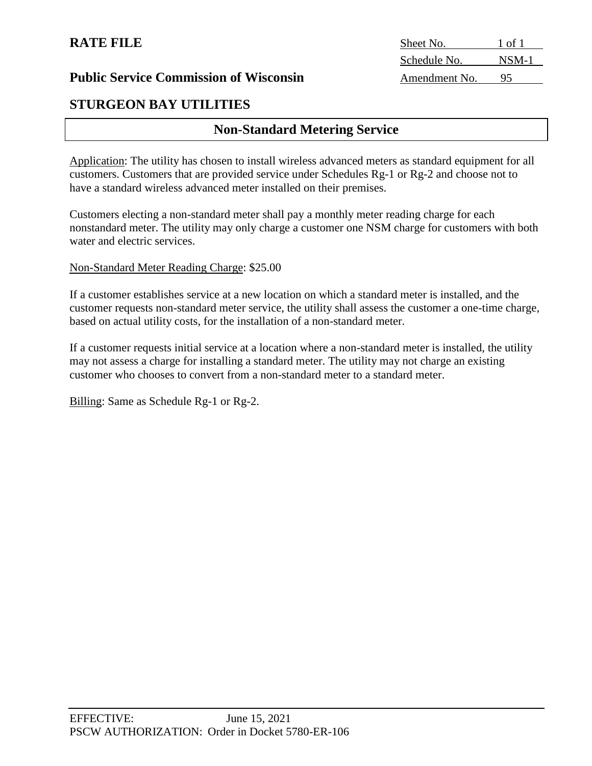# **STURGEON BAY UTILITIES**

# **Non-Standard Metering Service**

Application: The utility has chosen to install wireless advanced meters as standard equipment for all customers. Customers that are provided service under Schedules Rg-1 or Rg-2 and choose not to have a standard wireless advanced meter installed on their premises.

Customers electing a non-standard meter shall pay a monthly meter reading charge for each nonstandard meter. The utility may only charge a customer one NSM charge for customers with both water and electric services.

#### Non-Standard Meter Reading Charge: \$25.00

If a customer establishes service at a new location on which a standard meter is installed, and the customer requests non-standard meter service, the utility shall assess the customer a one-time charge, based on actual utility costs, for the installation of a non-standard meter.

If a customer requests initial service at a location where a non-standard meter is installed, the utility may not assess a charge for installing a standard meter. The utility may not charge an existing customer who chooses to convert from a non-standard meter to a standard meter.

Billing: Same as Schedule Rg-1 or Rg-2.

**RATE FILE** Sheet No. 1 of 1 Schedule No. NSM-1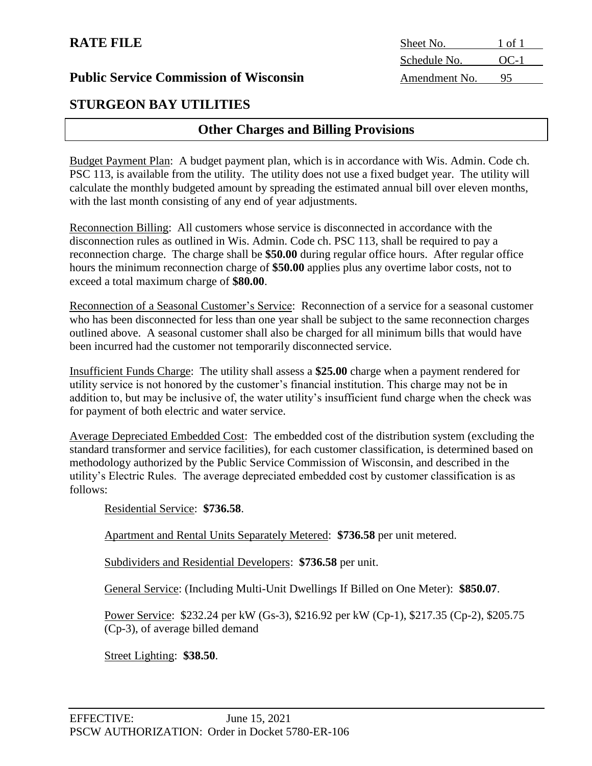# **STURGEON BAY UTILITIES**

# **Other Charges and Billing Provisions**

Budget Payment Plan: A budget payment plan, which is in accordance with Wis. Admin. Code ch. PSC 113, is available from the utility. The utility does not use a fixed budget year. The utility will calculate the monthly budgeted amount by spreading the estimated annual bill over eleven months, with the last month consisting of any end of year adjustments.

Reconnection Billing: All customers whose service is disconnected in accordance with the disconnection rules as outlined in Wis. Admin. Code ch. PSC 113, shall be required to pay a reconnection charge. The charge shall be **\$50.00** during regular office hours. After regular office hours the minimum reconnection charge of **\$50.00** applies plus any overtime labor costs, not to exceed a total maximum charge of **\$80.00**.

Reconnection of a Seasonal Customer's Service: Reconnection of a service for a seasonal customer who has been disconnected for less than one year shall be subject to the same reconnection charges outlined above. A seasonal customer shall also be charged for all minimum bills that would have been incurred had the customer not temporarily disconnected service.

Insufficient Funds Charge: The utility shall assess a **\$25.00** charge when a payment rendered for utility service is not honored by the customer's financial institution. This charge may not be in addition to, but may be inclusive of, the water utility's insufficient fund charge when the check was for payment of both electric and water service.

Average Depreciated Embedded Cost: The embedded cost of the distribution system (excluding the standard transformer and service facilities), for each customer classification, is determined based on methodology authorized by the Public Service Commission of Wisconsin, and described in the utility's Electric Rules. The average depreciated embedded cost by customer classification is as follows:

Residential Service: **\$736.58**.

Apartment and Rental Units Separately Metered: **\$736.58** per unit metered.

Subdividers and Residential Developers: **\$736.58** per unit.

General Service: (Including Multi-Unit Dwellings If Billed on One Meter): **\$850.07**.

Power Service: \$232.24 per kW (Gs-3), \$216.92 per kW (Cp-1), \$217.35 (Cp-2), \$205.75 (Cp-3), of average billed demand

Street Lighting: **\$38.50**.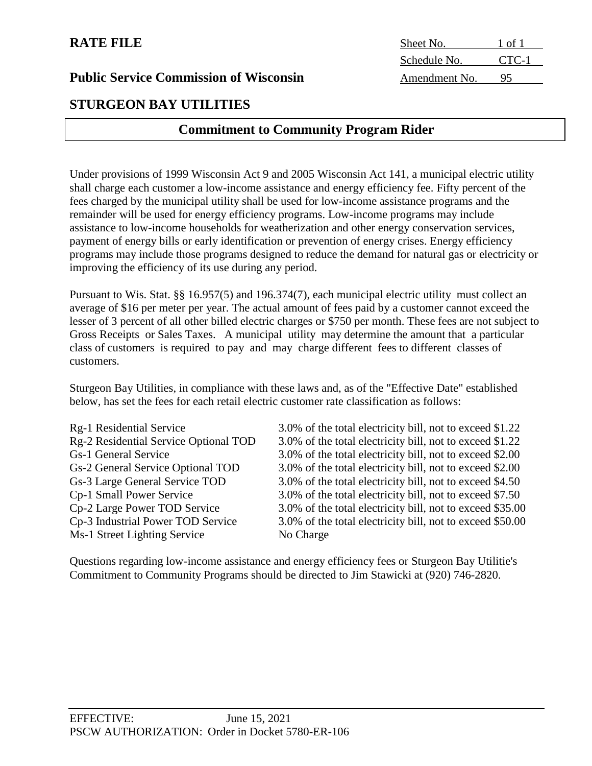# **RATE FILE**

### **Public Service Commission of Wisconsin**

# **STURGEON BAY UTILITIES**

# **Commitment to Community Program Rider**

Under provisions of 1999 Wisconsin Act 9 and 2005 Wisconsin Act 141, a municipal electric utility shall charge each customer a low-income assistance and energy efficiency fee. Fifty percent of the fees charged by the municipal utility shall be used for low-income assistance programs and the remainder will be used for energy efficiency programs. Low-income programs may include assistance to low-income households for weatherization and other energy conservation services, payment of energy bills or early identification or prevention of energy crises. Energy efficiency programs may include those programs designed to reduce the demand for natural gas or electricity or improving the efficiency of its use during any period.

Pursuant to Wis. Stat. §§ 16.957(5) and 196.374(7), each municipal electric utility must collect an average of \$16 per meter per year. The actual amount of fees paid by a customer cannot exceed the lesser of 3 percent of all other billed electric charges or \$750 per month. These fees are not subject to Gross Receipts or Sales Taxes. A municipal utility may determine the amount that a particular class of customers is required to pay and may charge different fees to different classes of customers.

Sturgeon Bay Utilities, in compliance with these laws and, as of the "Effective Date" established below, has set the fees for each retail electric customer rate classification as follows:

| Rg-1 Residential Service              | 3.0% of the total electricity bill, not to exceed \$1.22  |
|---------------------------------------|-----------------------------------------------------------|
| Rg-2 Residential Service Optional TOD | 3.0% of the total electricity bill, not to exceed \$1.22  |
| <b>Gs-1 General Service</b>           | 3.0% of the total electricity bill, not to exceed \$2.00  |
| Gs-2 General Service Optional TOD     | 3.0% of the total electricity bill, not to exceed \$2.00  |
| Gs-3 Large General Service TOD        | 3.0% of the total electricity bill, not to exceed \$4.50  |
| <b>Cp-1 Small Power Service</b>       | 3.0% of the total electricity bill, not to exceed \$7.50  |
| Cp-2 Large Power TOD Service          | 3.0% of the total electricity bill, not to exceed \$35.00 |
| Cp-3 Industrial Power TOD Service     | 3.0% of the total electricity bill, not to exceed \$50.00 |
| Ms-1 Street Lighting Service          | No Charge                                                 |

Questions regarding low-income assistance and energy efficiency fees or Sturgeon Bay Utilitie's Commitment to Community Programs should be directed to Jim Stawicki at (920) 746-2820.

| Sheet No.     | 1 of 1 |
|---------------|--------|
| Schedule No.  | CTC-1  |
| Amendment No. | 95     |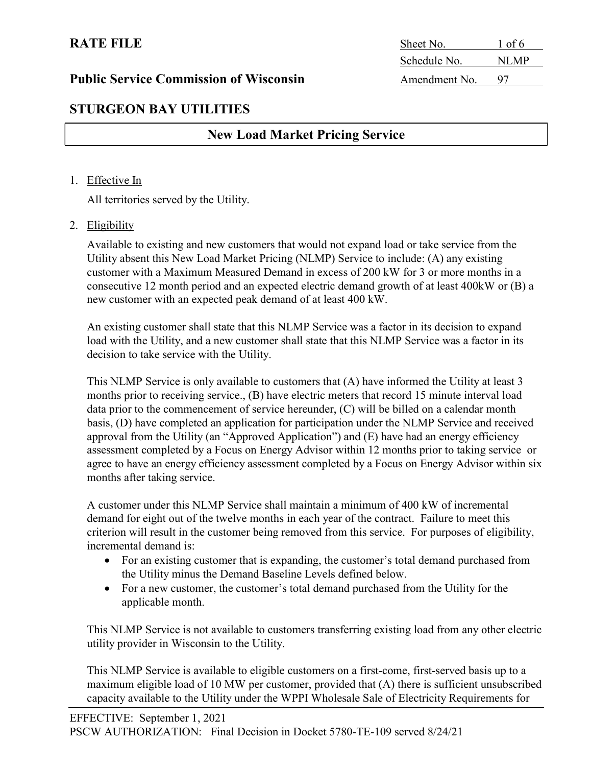# RATE FILE Sheet No. 1 of 6 Schedule No. NLMP

# STURGEON BAY UTILITIES

# New Load Market Pricing Service

#### 1. Effective In

All territories served by the Utility.

#### 2. Eligibility

Available to existing and new customers that would not expand load or take service from the Utility absent this New Load Market Pricing (NLMP) Service to include: (A) any existing customer with a Maximum Measured Demand in excess of 200 kW for 3 or more months in a consecutive 12 month period and an expected electric demand growth of at least 400kW or (B) a new customer with an expected peak demand of at least 400 kW.

An existing customer shall state that this NLMP Service was a factor in its decision to expand load with the Utility, and a new customer shall state that this NLMP Service was a factor in its decision to take service with the Utility.

This NLMP Service is only available to customers that (A) have informed the Utility at least 3 months prior to receiving service., (B) have electric meters that record 15 minute interval load data prior to the commencement of service hereunder, (C) will be billed on a calendar month basis, (D) have completed an application for participation under the NLMP Service and received approval from the Utility (an "Approved Application") and (E) have had an energy efficiency assessment completed by a Focus on Energy Advisor within 12 months prior to taking service or agree to have an energy efficiency assessment completed by a Focus on Energy Advisor within six months after taking service.

A customer under this NLMP Service shall maintain a minimum of 400 kW of incremental demand for eight out of the twelve months in each year of the contract. Failure to meet this criterion will result in the customer being removed from this service. For purposes of eligibility, incremental demand is:

- For an existing customer that is expanding, the customer's total demand purchased from the Utility minus the Demand Baseline Levels defined below.
- For a new customer, the customer's total demand purchased from the Utility for the applicable month.

This NLMP Service is not available to customers transferring existing load from any other electric utility provider in Wisconsin to the Utility.

This NLMP Service is available to eligible customers on a first-come, first-served basis up to a maximum eligible load of 10 MW per customer, provided that (A) there is sufficient unsubscribed capacity available to the Utility under the WPPI Wholesale Sale of Electricity Requirements for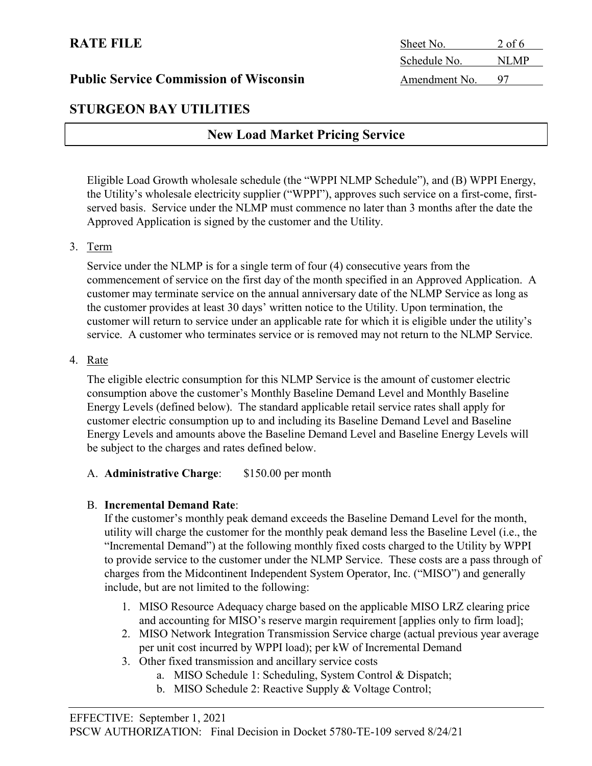### STURGEON BAY UTILITIES

# New Load Market Pricing Service

Eligible Load Growth wholesale schedule (the "WPPI NLMP Schedule"), and (B) WPPI Energy, the Utility's wholesale electricity supplier ("WPPI"), approves such service on a first-come, firstserved basis. Service under the NLMP must commence no later than 3 months after the date the Approved Application is signed by the customer and the Utility.

#### 3. Term

Service under the NLMP is for a single term of four (4) consecutive years from the commencement of service on the first day of the month specified in an Approved Application. A customer may terminate service on the annual anniversary date of the NLMP Service as long as the customer provides at least 30 days' written notice to the Utility. Upon termination, the customer will return to service under an applicable rate for which it is eligible under the utility's service. A customer who terminates service or is removed may not return to the NLMP Service.

#### 4. Rate

 The eligible electric consumption for this NLMP Service is the amount of customer electric consumption above the customer's Monthly Baseline Demand Level and Monthly Baseline Energy Levels (defined below). The standard applicable retail service rates shall apply for customer electric consumption up to and including its Baseline Demand Level and Baseline Energy Levels and amounts above the Baseline Demand Level and Baseline Energy Levels will be subject to the charges and rates defined below.

#### A. **Administrative Charge:** \$150.00 per month

#### B. Incremental Demand Rate:

If the customer's monthly peak demand exceeds the Baseline Demand Level for the month, utility will charge the customer for the monthly peak demand less the Baseline Level (i.e., the "Incremental Demand") at the following monthly fixed costs charged to the Utility by WPPI to provide service to the customer under the NLMP Service. These costs are a pass through of charges from the Midcontinent Independent System Operator, Inc. ("MISO") and generally include, but are not limited to the following:

- 1. MISO Resource Adequacy charge based on the applicable MISO LRZ clearing price and accounting for MISO's reserve margin requirement [applies only to firm load];
- 2. MISO Network Integration Transmission Service charge (actual previous year average per unit cost incurred by WPPI load); per kW of Incremental Demand
- 3. Other fixed transmission and ancillary service costs
	- a. MISO Schedule 1: Scheduling, System Control & Dispatch;
	- b. MISO Schedule 2: Reactive Supply & Voltage Control;

RATE FILE Sheet No. 2 of 6 Schedule No. NLMP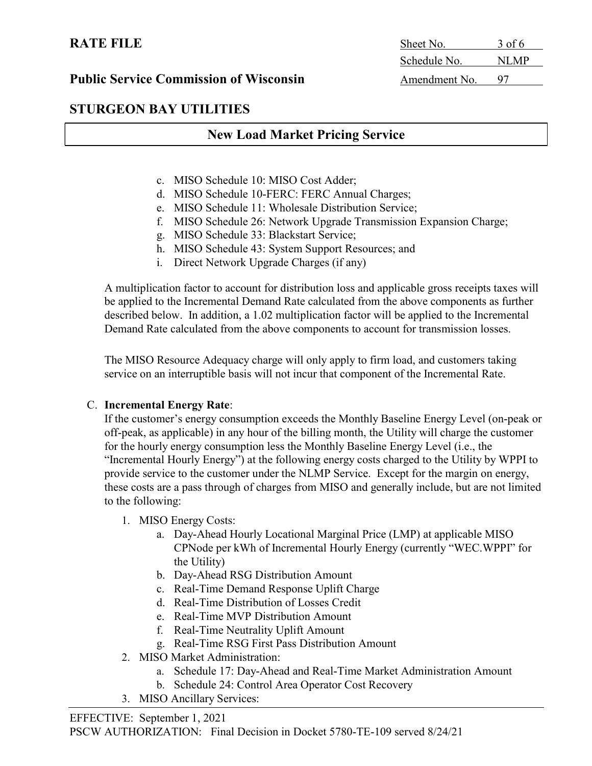# STURGEON BAY UTILITIES

# New Load Market Pricing Service

- c. MISO Schedule 10: MISO Cost Adder;
- d. MISO Schedule 10-FERC: FERC Annual Charges;
- e. MISO Schedule 11: Wholesale Distribution Service;
- f. MISO Schedule 26: Network Upgrade Transmission Expansion Charge;
- g. MISO Schedule 33: Blackstart Service;
- h. MISO Schedule 43: System Support Resources; and
- i. Direct Network Upgrade Charges (if any)

A multiplication factor to account for distribution loss and applicable gross receipts taxes will be applied to the Incremental Demand Rate calculated from the above components as further described below. In addition, a 1.02 multiplication factor will be applied to the Incremental Demand Rate calculated from the above components to account for transmission losses.

The MISO Resource Adequacy charge will only apply to firm load, and customers taking service on an interruptible basis will not incur that component of the Incremental Rate.

#### C. Incremental Energy Rate:

If the customer's energy consumption exceeds the Monthly Baseline Energy Level (on-peak or off-peak, as applicable) in any hour of the billing month, the Utility will charge the customer for the hourly energy consumption less the Monthly Baseline Energy Level (i.e., the "Incremental Hourly Energy") at the following energy costs charged to the Utility by WPPI to provide service to the customer under the NLMP Service. Except for the margin on energy, these costs are a pass through of charges from MISO and generally include, but are not limited to the following:

- 1. MISO Energy Costs:
	- a. Day-Ahead Hourly Locational Marginal Price (LMP) at applicable MISO CPNode per kWh of Incremental Hourly Energy (currently "WEC.WPPI" for the Utility)
	- b. Day-Ahead RSG Distribution Amount
	- c. Real-Time Demand Response Uplift Charge
	- d. Real-Time Distribution of Losses Credit
	- e. Real-Time MVP Distribution Amount
	- f. Real-Time Neutrality Uplift Amount
	- g. Real-Time RSG First Pass Distribution Amount
- 2. MISO Market Administration:
	- a. Schedule 17: Day-Ahead and Real-Time Market Administration Amount
	- b. Schedule 24: Control Area Operator Cost Recovery
- 3. MISO Ancillary Services:

# RATE FILE Sheet No. 3 of 6 Schedule No. NLMP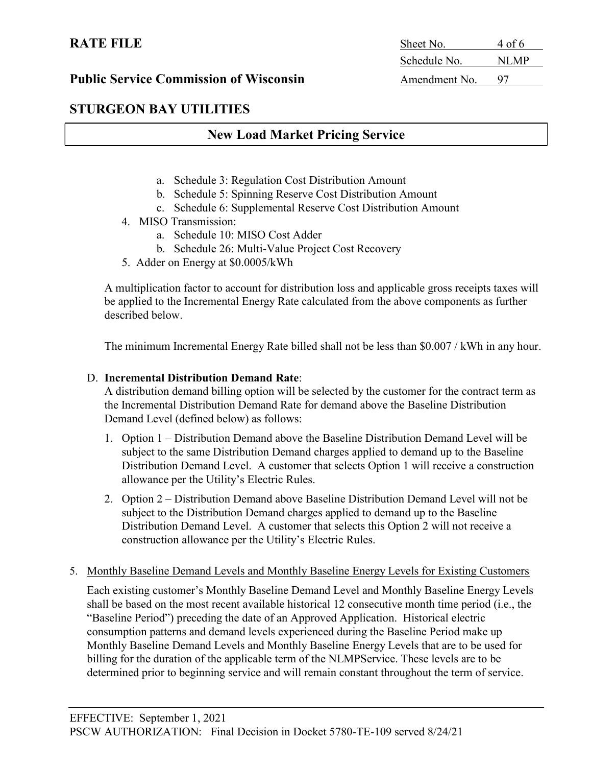# 5. Monthly Baseline Demand Levels and Monthly Baseline Energy Levels for Existing Customers

Each existing customer's Monthly Baseline Demand Level and Monthly Baseline Energy Levels shall be based on the most recent available historical 12 consecutive month time period (i.e., the "Baseline Period") preceding the date of an Approved Application. Historical electric consumption patterns and demand levels experienced during the Baseline Period make up Monthly Baseline Demand Levels and Monthly Baseline Energy Levels that are to be used for billing for the duration of the applicable term of the NLMPService. These levels are to be determined prior to beginning service and will remain constant throughout the term of service.

# Public Service Commission of Wisconsin Amendment No. 97

# STURGEON BAY UTILITIES

# New Load Market Pricing Service

- a. Schedule 3: Regulation Cost Distribution Amount
- b. Schedule 5: Spinning Reserve Cost Distribution Amount
- c. Schedule 6: Supplemental Reserve Cost Distribution Amount
- 4. MISO Transmission:
	- a. Schedule 10: MISO Cost Adder
	- b. Schedule 26: Multi-Value Project Cost Recovery
- 5. Adder on Energy at \$0.0005/kWh

 A multiplication factor to account for distribution loss and applicable gross receipts taxes will be applied to the Incremental Energy Rate calculated from the above components as further described below.

The minimum Incremental Energy Rate billed shall not be less than \$0.007 / kWh in any hour.

#### D. Incremental Distribution Demand Rate:

A distribution demand billing option will be selected by the customer for the contract term as the Incremental Distribution Demand Rate for demand above the Baseline Distribution Demand Level (defined below) as follows:

- 1. Option 1 Distribution Demand above the Baseline Distribution Demand Level will be subject to the same Distribution Demand charges applied to demand up to the Baseline Distribution Demand Level. A customer that selects Option 1 will receive a construction allowance per the Utility's Electric Rules.
- 2. Option 2 Distribution Demand above Baseline Distribution Demand Level will not be subject to the Distribution Demand charges applied to demand up to the Baseline Distribution Demand Level. A customer that selects this Option 2 will not receive a construction allowance per the Utility's Electric Rules.
- 

RATE FILE Sheet No. 4 of 6 Schedule No. NLMP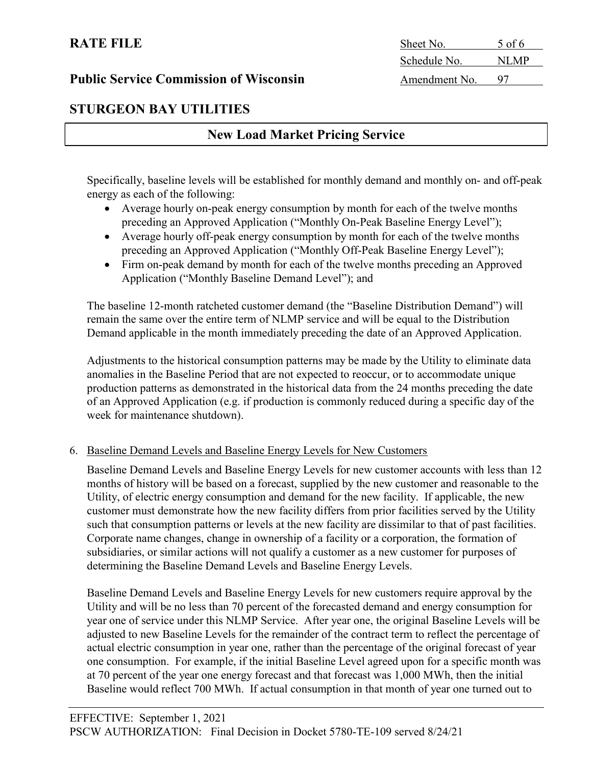# STURGEON BAY UTILITIES

# New Load Market Pricing Service

Specifically, baseline levels will be established for monthly demand and monthly on- and off-peak energy as each of the following:

- Average hourly on-peak energy consumption by month for each of the twelve months preceding an Approved Application ("Monthly On-Peak Baseline Energy Level");
- Average hourly off-peak energy consumption by month for each of the twelve months preceding an Approved Application ("Monthly Off-Peak Baseline Energy Level");
- Firm on-peak demand by month for each of the twelve months preceding an Approved Application ("Monthly Baseline Demand Level"); and

The baseline 12-month ratcheted customer demand (the "Baseline Distribution Demand") will remain the same over the entire term of NLMP service and will be equal to the Distribution Demand applicable in the month immediately preceding the date of an Approved Application.

Adjustments to the historical consumption patterns may be made by the Utility to eliminate data anomalies in the Baseline Period that are not expected to reoccur, or to accommodate unique production patterns as demonstrated in the historical data from the 24 months preceding the date of an Approved Application (e.g. if production is commonly reduced during a specific day of the week for maintenance shutdown).

# 6. Baseline Demand Levels and Baseline Energy Levels for New Customers

Baseline Demand Levels and Baseline Energy Levels for new customer accounts with less than 12 months of history will be based on a forecast, supplied by the new customer and reasonable to the Utility, of electric energy consumption and demand for the new facility. If applicable, the new customer must demonstrate how the new facility differs from prior facilities served by the Utility such that consumption patterns or levels at the new facility are dissimilar to that of past facilities. Corporate name changes, change in ownership of a facility or a corporation, the formation of subsidiaries, or similar actions will not qualify a customer as a new customer for purposes of determining the Baseline Demand Levels and Baseline Energy Levels.

Baseline Demand Levels and Baseline Energy Levels for new customers require approval by the Utility and will be no less than 70 percent of the forecasted demand and energy consumption for year one of service under this NLMP Service. After year one, the original Baseline Levels will be adjusted to new Baseline Levels for the remainder of the contract term to reflect the percentage of actual electric consumption in year one, rather than the percentage of the original forecast of year one consumption. For example, if the initial Baseline Level agreed upon for a specific month was at 70 percent of the year one energy forecast and that forecast was 1,000 MWh, then the initial Baseline would reflect 700 MWh. If actual consumption in that month of year one turned out to

RATE FILE Sheet No. 5 of 6 Schedule No. NLMP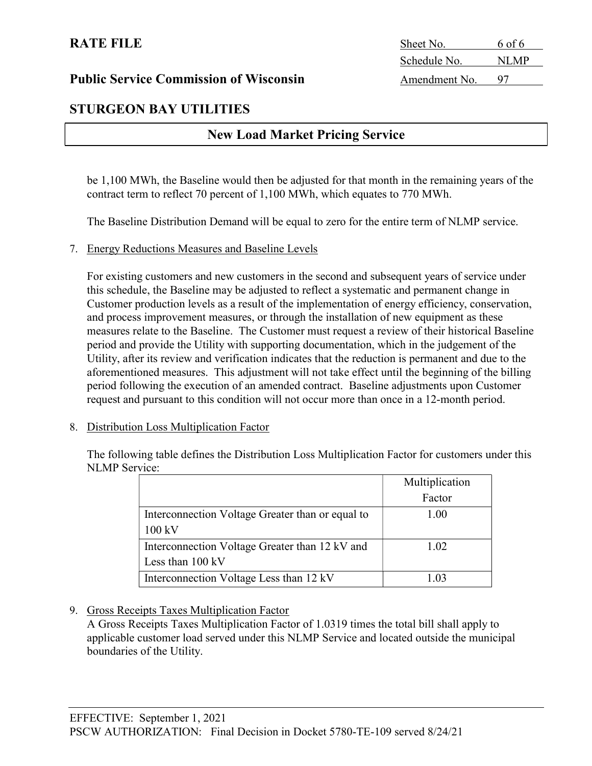# STURGEON BAY UTILITIES

# New Load Market Pricing Service

be 1,100 MWh, the Baseline would then be adjusted for that month in the remaining years of the contract term to reflect 70 percent of 1,100 MWh, which equates to 770 MWh.

The Baseline Distribution Demand will be equal to zero for the entire term of NLMP service.

#### 7. Energy Reductions Measures and Baseline Levels

For existing customers and new customers in the second and subsequent years of service under this schedule, the Baseline may be adjusted to reflect a systematic and permanent change in Customer production levels as a result of the implementation of energy efficiency, conservation, and process improvement measures, or through the installation of new equipment as these measures relate to the Baseline. The Customer must request a review of their historical Baseline period and provide the Utility with supporting documentation, which in the judgement of the Utility, after its review and verification indicates that the reduction is permanent and due to the aforementioned measures. This adjustment will not take effect until the beginning of the billing period following the execution of an amended contract. Baseline adjustments upon Customer request and pursuant to this condition will not occur more than once in a 12-month period.

#### 8. Distribution Loss Multiplication Factor

The following table defines the Distribution Loss Multiplication Factor for customers under this NLMP Service:

|                                                  | Multiplication |
|--------------------------------------------------|----------------|
|                                                  | Factor         |
| Interconnection Voltage Greater than or equal to | 1.00           |
| 100 kV                                           |                |
| Interconnection Voltage Greater than 12 kV and   | 1.02           |
| Less than 100 kV                                 |                |
| Interconnection Voltage Less than 12 kV          | -03            |

#### 9. Gross Receipts Taxes Multiplication Factor

A Gross Receipts Taxes Multiplication Factor of 1.0319 times the total bill shall apply to applicable customer load served under this NLMP Service and located outside the municipal boundaries of the Utility.

RATE FILE Sheet No. 6 of 6 Schedule No. NLMP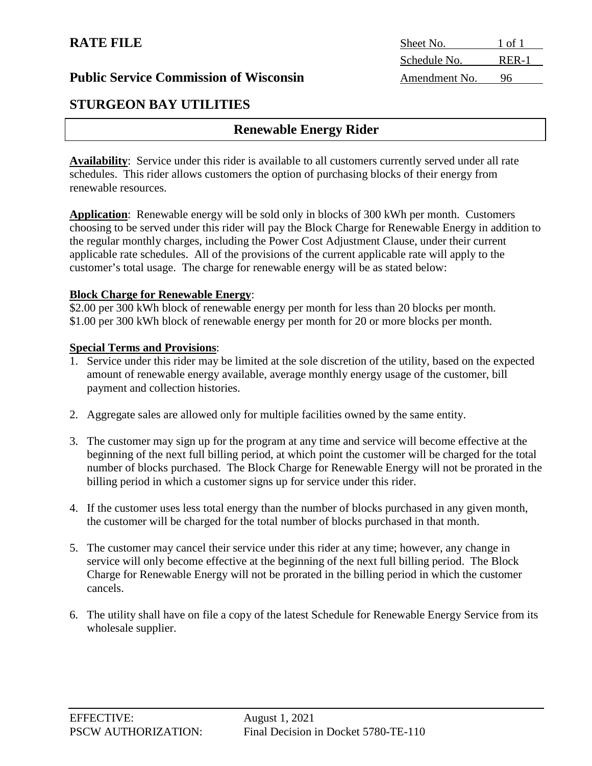|  | <b>Public Service Commission of Wisconsin</b> |  |
|--|-----------------------------------------------|--|
|  |                                               |  |

# **STURGEON BAY UTILITIES**

# **Renewable Energy Rider**

**Availability**: Service under this rider is available to all customers currently served under all rate schedules. This rider allows customers the option of purchasing blocks of their energy from renewable resources.

**Application**: Renewable energy will be sold only in blocks of 300 kWh per month. Customers choosing to be served under this rider will pay the Block Charge for Renewable Energy in addition to the regular monthly charges, including the Power Cost Adjustment Clause, under their current applicable rate schedules. All of the provisions of the current applicable rate will apply to the customer's total usage. The charge for renewable energy will be as stated below:

#### **Block Charge for Renewable Energy**:

\$2.00 per 300 kWh block of renewable energy per month for less than 20 blocks per month. \$1.00 per 300 kWh block of renewable energy per month for 20 or more blocks per month.

#### **Special Terms and Provisions**:

- 1. Service under this rider may be limited at the sole discretion of the utility, based on the expected amount of renewable energy available, average monthly energy usage of the customer, bill payment and collection histories.
- 2. Aggregate sales are allowed only for multiple facilities owned by the same entity.
- 3. The customer may sign up for the program at any time and service will become effective at the beginning of the next full billing period, at which point the customer will be charged for the total number of blocks purchased. The Block Charge for Renewable Energy will not be prorated in the billing period in which a customer signs up for service under this rider.
- 4. If the customer uses less total energy than the number of blocks purchased in any given month, the customer will be charged for the total number of blocks purchased in that month.
- 5. The customer may cancel their service under this rider at any time; however, any change in service will only become effective at the beginning of the next full billing period. The Block Charge for Renewable Energy will not be prorated in the billing period in which the customer cancels.
- 6. The utility shall have on file a copy of the latest Schedule for Renewable Energy Service from its wholesale supplier.

**RATE FILE** Sheet No. 1 of 1 Schedule No. RER-1 Amendment No. 96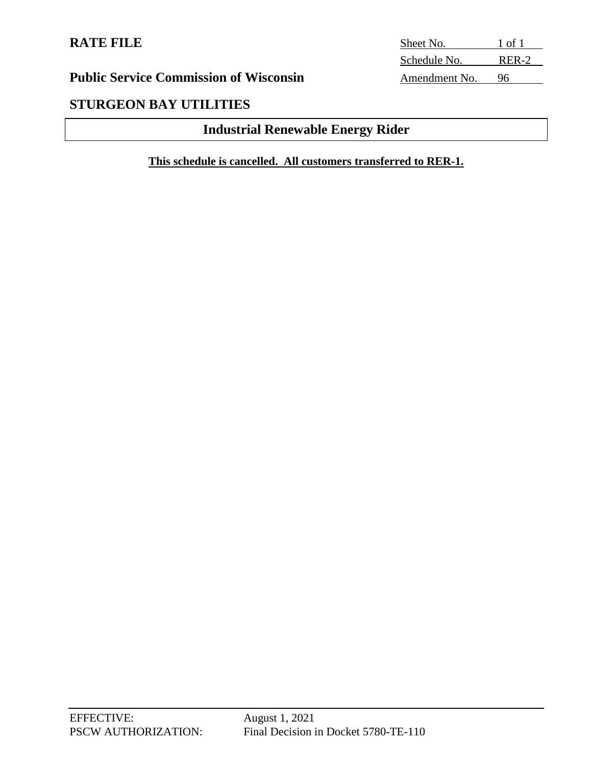# **RATE FILE**

| Sheet No.     | 1 of 1 |
|---------------|--------|
| Schedule No.  | RER-2  |
| Amendment No. | 96     |

# **Public Service Commission of Wisconsin**

# **STURGEON BAY UTILITIES**

# **Industrial Renewable Energy Rider**

**This schedule is cancelled. All customers transferred to RER-1.**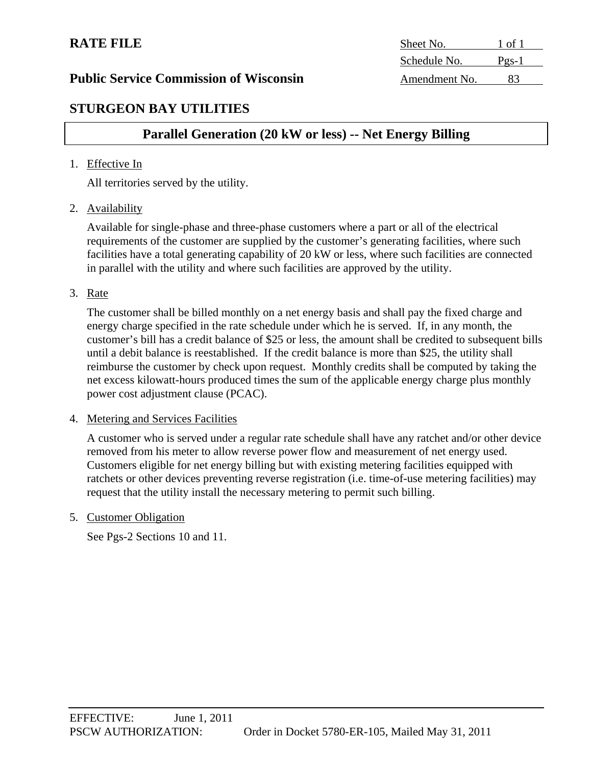# **STURGEON BAY UTILITIES**

# **Parallel Generation (20 kW or less) -- Net Energy Billing**

#### 1. Effective In

All territories served by the utility.

2. Availability

Available for single-phase and three-phase customers where a part or all of the electrical requirements of the customer are supplied by the customer's generating facilities, where such facilities have a total generating capability of 20 kW or less, where such facilities are connected in parallel with the utility and where such facilities are approved by the utility.

3. Rate

The customer shall be billed monthly on a net energy basis and shall pay the fixed charge and energy charge specified in the rate schedule under which he is served. If, in any month, the customer's bill has a credit balance of \$25 or less, the amount shall be credited to subsequent bills until a debit balance is reestablished. If the credit balance is more than \$25, the utility shall reimburse the customer by check upon request. Monthly credits shall be computed by taking the net excess kilowatt-hours produced times the sum of the applicable energy charge plus monthly power cost adjustment clause (PCAC).

#### 4. Metering and Services Facilities

A customer who is served under a regular rate schedule shall have any ratchet and/or other device removed from his meter to allow reverse power flow and measurement of net energy used. Customers eligible for net energy billing but with existing metering facilities equipped with ratchets or other devices preventing reverse registration (i.e. time-of-use metering facilities) may request that the utility install the necessary metering to permit such billing.

5. Customer Obligation

See Pgs-2 Sections 10 and 11.

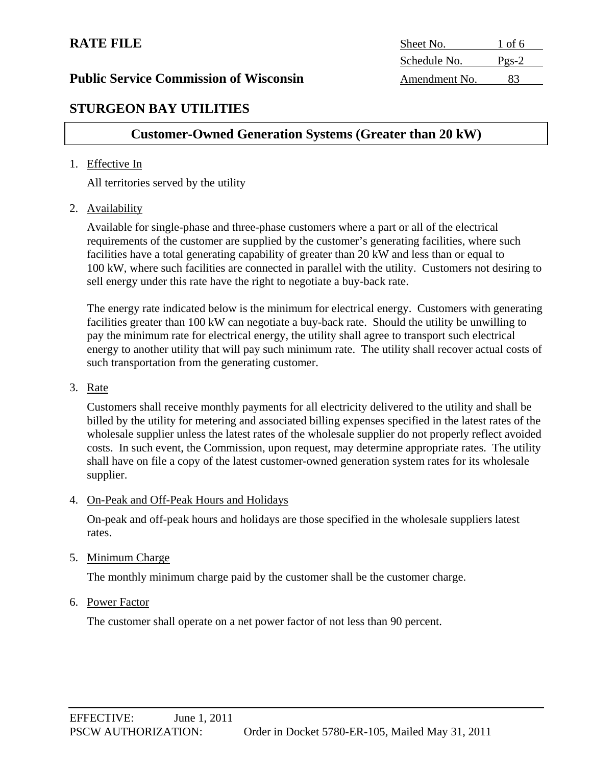# **RATE FILE**

**Public Service Commission of Wisconsin** 

**STURGEON BAY UTILITIES** 

# **Customer-Owned Generation Systems (Greater than 20 kW)**

#### 1. Effective In

All territories served by the utility

2. Availability

Available for single-phase and three-phase customers where a part or all of the electrical requirements of the customer are supplied by the customer's generating facilities, where such facilities have a total generating capability of greater than 20 kW and less than or equal to 100 kW, where such facilities are connected in parallel with the utility. Customers not desiring to sell energy under this rate have the right to negotiate a buy-back rate.

The energy rate indicated below is the minimum for electrical energy. Customers with generating facilities greater than 100 kW can negotiate a buy-back rate. Should the utility be unwilling to pay the minimum rate for electrical energy, the utility shall agree to transport such electrical energy to another utility that will pay such minimum rate. The utility shall recover actual costs of such transportation from the generating customer.

#### 3. Rate

Customers shall receive monthly payments for all electricity delivered to the utility and shall be billed by the utility for metering and associated billing expenses specified in the latest rates of the wholesale supplier unless the latest rates of the wholesale supplier do not properly reflect avoided costs. In such event, the Commission, upon request, may determine appropriate rates. The utility shall have on file a copy of the latest customer-owned generation system rates for its wholesale supplier.

#### 4. On-Peak and Off-Peak Hours and Holidays

On-peak and off-peak hours and holidays are those specified in the wholesale suppliers latest rates.

#### 5. Minimum Charge

The monthly minimum charge paid by the customer shall be the customer charge.

#### 6. Power Factor

The customer shall operate on a net power factor of not less than 90 percent.

| <b>RATE FILE</b>                              | Sheet No.     | l of 6  |  |
|-----------------------------------------------|---------------|---------|--|
|                                               | Schedule No.  | $Pgs-2$ |  |
| <b>Public Service Commission of Wisconsin</b> | Amendment No. |         |  |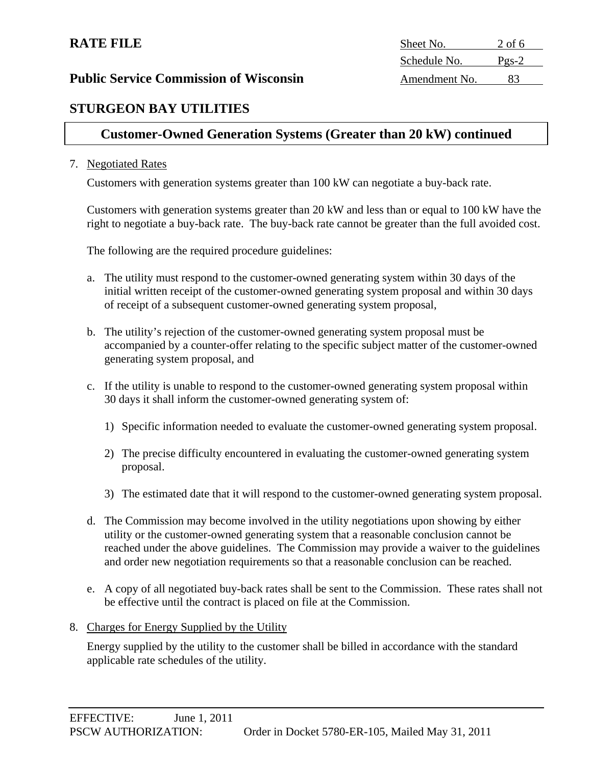# **STURGEON BAY UTILITIES**

# **Customer-Owned Generation Systems (Greater than 20 kW) continued**

#### 7. Negotiated Rates

Customers with generation systems greater than 100 kW can negotiate a buy-back rate.

Customers with generation systems greater than 20 kW and less than or equal to 100 kW have the right to negotiate a buy-back rate. The buy-back rate cannot be greater than the full avoided cost.

The following are the required procedure guidelines:

- a. The utility must respond to the customer-owned generating system within 30 days of the initial written receipt of the customer-owned generating system proposal and within 30 days of receipt of a subsequent customer-owned generating system proposal,
- b. The utility's rejection of the customer-owned generating system proposal must be accompanied by a counter-offer relating to the specific subject matter of the customer-owned generating system proposal, and
- c. If the utility is unable to respond to the customer-owned generating system proposal within 30 days it shall inform the customer-owned generating system of:
	- 1) Specific information needed to evaluate the customer-owned generating system proposal.
	- 2) The precise difficulty encountered in evaluating the customer-owned generating system proposal.
	- 3) The estimated date that it will respond to the customer-owned generating system proposal.
- d. The Commission may become involved in the utility negotiations upon showing by either utility or the customer-owned generating system that a reasonable conclusion cannot be reached under the above guidelines. The Commission may provide a waiver to the guidelines and order new negotiation requirements so that a reasonable conclusion can be reached.
- e. A copy of all negotiated buy-back rates shall be sent to the Commission. These rates shall not be effective until the contract is placed on file at the Commission.

#### 8. Charges for Energy Supplied by the Utility

Energy supplied by the utility to the customer shall be billed in accordance with the standard applicable rate schedules of the utility.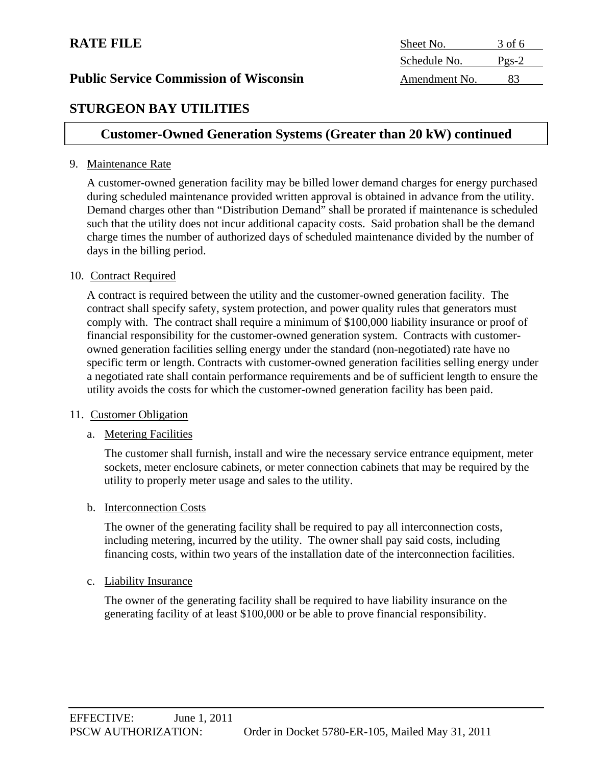| <b>RATE FILE</b>                              | Sheet No.     | 3 of 6            |  |
|-----------------------------------------------|---------------|-------------------|--|
|                                               | Schedule No.  | $P_{\text{PS}-2}$ |  |
| <b>Public Service Commission of Wisconsin</b> | Amendment No. |                   |  |
|                                               |               |                   |  |

# **STURGEON BAY UTILITIES**

# **Customer-Owned Generation Systems (Greater than 20 kW) continued**

#### 9. Maintenance Rate

A customer-owned generation facility may be billed lower demand charges for energy purchased during scheduled maintenance provided written approval is obtained in advance from the utility. Demand charges other than "Distribution Demand" shall be prorated if maintenance is scheduled such that the utility does not incur additional capacity costs. Said probation shall be the demand charge times the number of authorized days of scheduled maintenance divided by the number of days in the billing period.

#### 10. Contract Required

A contract is required between the utility and the customer-owned generation facility. The contract shall specify safety, system protection, and power quality rules that generators must comply with. The contract shall require a minimum of \$100,000 liability insurance or proof of financial responsibility for the customer-owned generation system. Contracts with customerowned generation facilities selling energy under the standard (non-negotiated) rate have no specific term or length. Contracts with customer-owned generation facilities selling energy under a negotiated rate shall contain performance requirements and be of sufficient length to ensure the utility avoids the costs for which the customer-owned generation facility has been paid.

#### 11. Customer Obligation

### a. Metering Facilities

The customer shall furnish, install and wire the necessary service entrance equipment, meter sockets, meter enclosure cabinets, or meter connection cabinets that may be required by the utility to properly meter usage and sales to the utility.

#### b. Interconnection Costs

The owner of the generating facility shall be required to pay all interconnection costs, including metering, incurred by the utility. The owner shall pay said costs, including financing costs, within two years of the installation date of the interconnection facilities.

#### c. Liability Insurance

The owner of the generating facility shall be required to have liability insurance on the generating facility of at least \$100,000 or be able to prove financial responsibility.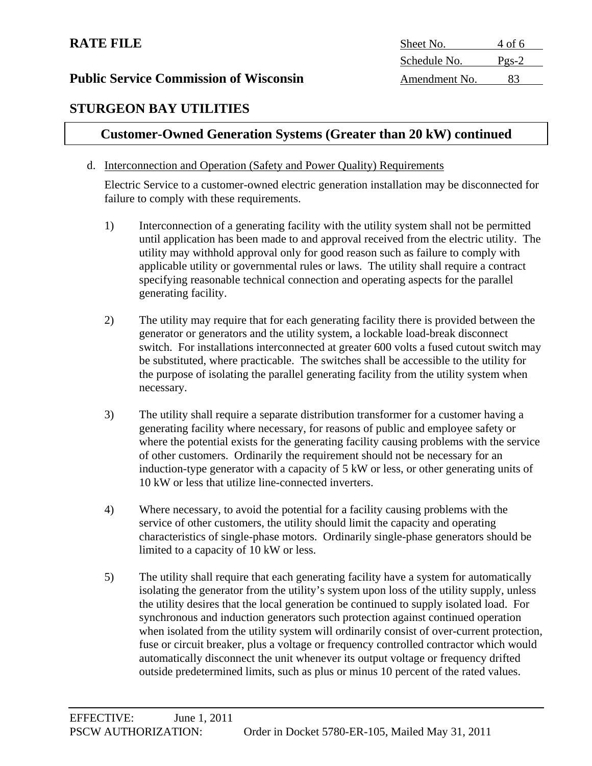| Sheet No.<br>4 of 6     |  |
|-------------------------|--|
| Schedule No.<br>$Pgs-2$ |  |
| Amendment No.           |  |
|                         |  |

# **STURGEON BAY UTILITIES**

# **Customer-Owned Generation Systems (Greater than 20 kW) continued**

#### d. Interconnection and Operation (Safety and Power Quality) Requirements

Electric Service to a customer-owned electric generation installation may be disconnected for failure to comply with these requirements.

- 1) Interconnection of a generating facility with the utility system shall not be permitted until application has been made to and approval received from the electric utility. The utility may withhold approval only for good reason such as failure to comply with applicable utility or governmental rules or laws. The utility shall require a contract specifying reasonable technical connection and operating aspects for the parallel generating facility.
- 2) The utility may require that for each generating facility there is provided between the generator or generators and the utility system, a lockable load-break disconnect switch. For installations interconnected at greater 600 volts a fused cutout switch may be substituted, where practicable. The switches shall be accessible to the utility for the purpose of isolating the parallel generating facility from the utility system when necessary.
- 3) The utility shall require a separate distribution transformer for a customer having a generating facility where necessary, for reasons of public and employee safety or where the potential exists for the generating facility causing problems with the service of other customers. Ordinarily the requirement should not be necessary for an induction-type generator with a capacity of 5 kW or less, or other generating units of 10 kW or less that utilize line-connected inverters.
- 4) Where necessary, to avoid the potential for a facility causing problems with the service of other customers, the utility should limit the capacity and operating characteristics of single-phase motors. Ordinarily single-phase generators should be limited to a capacity of 10 kW or less.
- 5) The utility shall require that each generating facility have a system for automatically isolating the generator from the utility's system upon loss of the utility supply, unless the utility desires that the local generation be continued to supply isolated load. For synchronous and induction generators such protection against continued operation when isolated from the utility system will ordinarily consist of over-current protection, fuse or circuit breaker, plus a voltage or frequency controlled contractor which would automatically disconnect the unit whenever its output voltage or frequency drifted outside predetermined limits, such as plus or minus 10 percent of the rated values.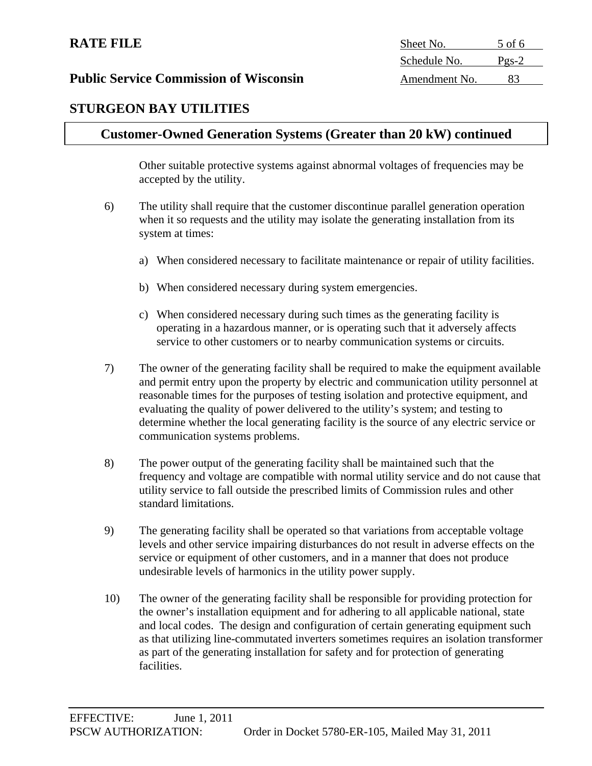| <b>RATE FILE</b>                              | Sheet No.     | 5 of 6  |
|-----------------------------------------------|---------------|---------|
|                                               | Schedule No.  | $Pgs-2$ |
| <b>Public Service Commission of Wisconsin</b> | Amendment No. |         |

# **STURGEON BAY UTILITIES**

# **Customer-Owned Generation Systems (Greater than 20 kW) continued**

Other suitable protective systems against abnormal voltages of frequencies may be accepted by the utility.

- 6) The utility shall require that the customer discontinue parallel generation operation when it so requests and the utility may isolate the generating installation from its system at times:
	- a) When considered necessary to facilitate maintenance or repair of utility facilities.
	- b) When considered necessary during system emergencies.
	- c) When considered necessary during such times as the generating facility is operating in a hazardous manner, or is operating such that it adversely affects service to other customers or to nearby communication systems or circuits.
- 7) The owner of the generating facility shall be required to make the equipment available and permit entry upon the property by electric and communication utility personnel at reasonable times for the purposes of testing isolation and protective equipment, and evaluating the quality of power delivered to the utility's system; and testing to determine whether the local generating facility is the source of any electric service or communication systems problems.
- 8) The power output of the generating facility shall be maintained such that the frequency and voltage are compatible with normal utility service and do not cause that utility service to fall outside the prescribed limits of Commission rules and other standard limitations.
- 9) The generating facility shall be operated so that variations from acceptable voltage levels and other service impairing disturbances do not result in adverse effects on the service or equipment of other customers, and in a manner that does not produce undesirable levels of harmonics in the utility power supply.
- 10) The owner of the generating facility shall be responsible for providing protection for the owner's installation equipment and for adhering to all applicable national, state and local codes. The design and configuration of certain generating equipment such as that utilizing line-commutated inverters sometimes requires an isolation transformer as part of the generating installation for safety and for protection of generating facilities.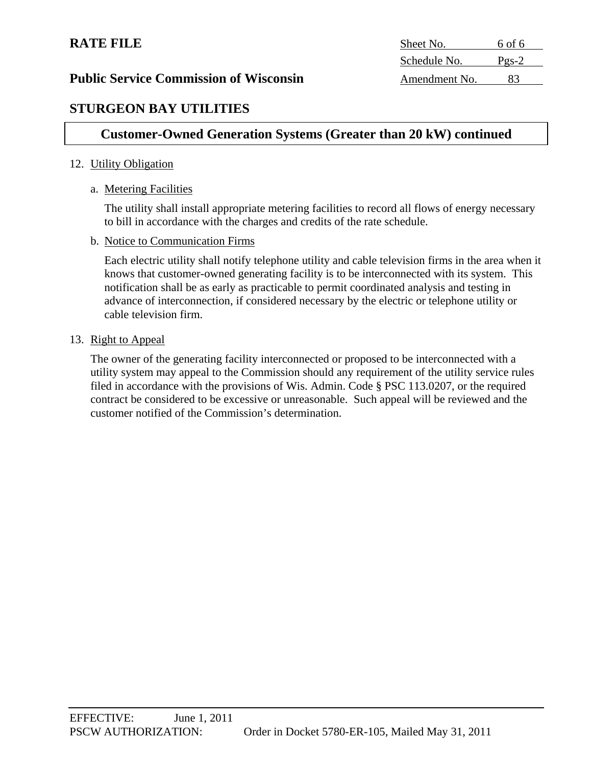| <b>RATE FILE</b>                              | Sheet No.     | 6 of 6            |  |
|-----------------------------------------------|---------------|-------------------|--|
|                                               | Schedule No.  | $P_{\text{gs-2}}$ |  |
| <b>Public Service Commission of Wisconsin</b> | Amendment No. |                   |  |
|                                               |               |                   |  |

## **STURGEON BAY UTILITIES**

## **Customer-Owned Generation Systems (Greater than 20 kW) continued**

#### 12. Utility Obligation

#### a. Metering Facilities

The utility shall install appropriate metering facilities to record all flows of energy necessary to bill in accordance with the charges and credits of the rate schedule.

#### b. Notice to Communication Firms

Each electric utility shall notify telephone utility and cable television firms in the area when it knows that customer-owned generating facility is to be interconnected with its system. This notification shall be as early as practicable to permit coordinated analysis and testing in advance of interconnection, if considered necessary by the electric or telephone utility or cable television firm.

#### 13. Right to Appeal

The owner of the generating facility interconnected or proposed to be interconnected with a utility system may appeal to the Commission should any requirement of the utility service rules filed in accordance with the provisions of Wis. Admin. Code § PSC 113.0207, or the required contract be considered to be excessive or unreasonable. Such appeal will be reviewed and the customer notified of the Commission's determination.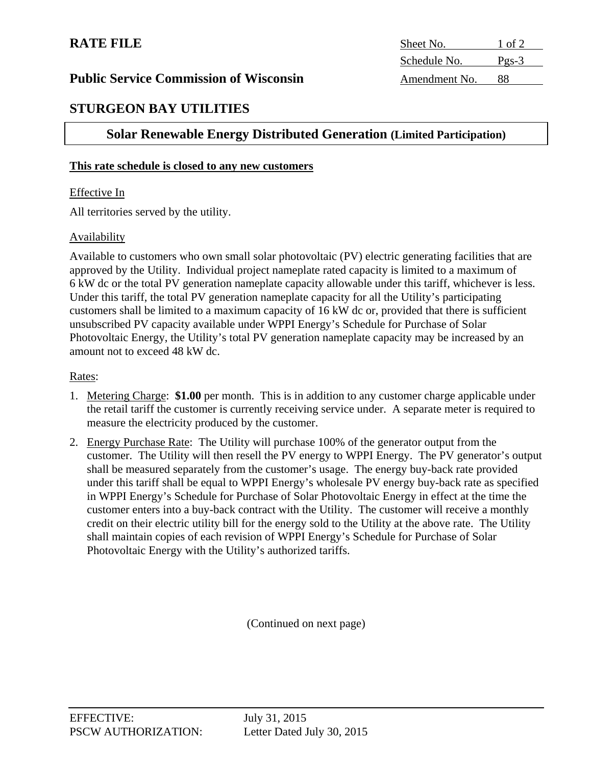| <b>RATE FILE</b>                              | Sheet No.     | $\cdot$ of 2      |
|-----------------------------------------------|---------------|-------------------|
|                                               | Schedule No.  | $P_{\text{PS-}}3$ |
| <b>Public Service Commission of Wisconsin</b> | Amendment No. |                   |

## **STURGEON BAY UTILITIES**

## **Solar Renewable Energy Distributed Generation (Limited Participation)**

#### **This rate schedule is closed to any new customers**

#### Effective In

All territories served by the utility.

#### Availability

Available to customers who own small solar photovoltaic (PV) electric generating facilities that are approved by the Utility. Individual project nameplate rated capacity is limited to a maximum of 6 kW dc or the total PV generation nameplate capacity allowable under this tariff, whichever is less. Under this tariff, the total PV generation nameplate capacity for all the Utility's participating customers shall be limited to a maximum capacity of 16 kW dc or, provided that there is sufficient unsubscribed PV capacity available under WPPI Energy's Schedule for Purchase of Solar Photovoltaic Energy, the Utility's total PV generation nameplate capacity may be increased by an amount not to exceed 48 kW dc.

#### Rates:

- 1. Metering Charge: **\$1.00** per month. This is in addition to any customer charge applicable under the retail tariff the customer is currently receiving service under. A separate meter is required to measure the electricity produced by the customer.
- 2. Energy Purchase Rate: The Utility will purchase 100% of the generator output from the customer. The Utility will then resell the PV energy to WPPI Energy. The PV generator's output shall be measured separately from the customer's usage. The energy buy-back rate provided under this tariff shall be equal to WPPI Energy's wholesale PV energy buy-back rate as specified in WPPI Energy's Schedule for Purchase of Solar Photovoltaic Energy in effect at the time the customer enters into a buy-back contract with the Utility. The customer will receive a monthly credit on their electric utility bill for the energy sold to the Utility at the above rate. The Utility shall maintain copies of each revision of WPPI Energy's Schedule for Purchase of Solar Photovoltaic Energy with the Utility's authorized tariffs.

(Continued on next page)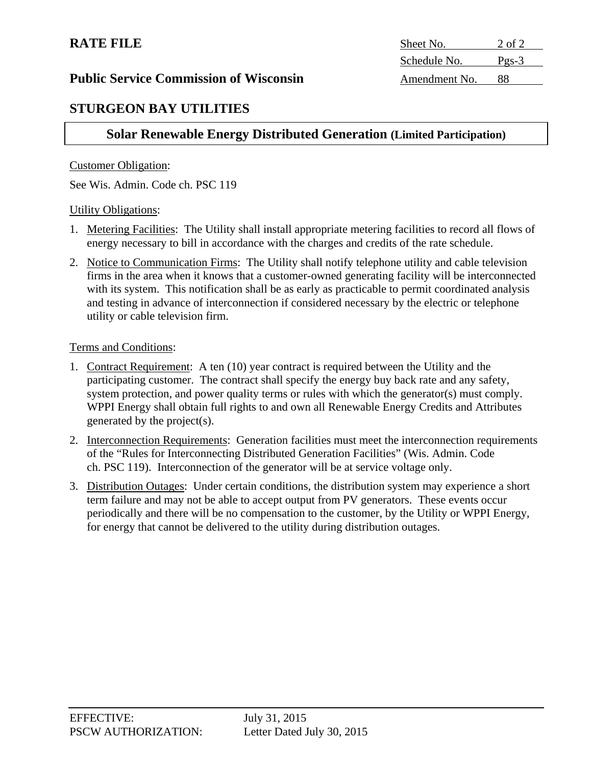| <b>RATE FILE</b>                              | Sheet No.     | 2 of 2  |
|-----------------------------------------------|---------------|---------|
|                                               | Schedule No.  | $Pgs-3$ |
| <b>Public Service Commission of Wisconsin</b> | Amendment No. | 88      |

## **STURGEON BAY UTILITIES**

## **Solar Renewable Energy Distributed Generation (Limited Participation)**

#### Customer Obligation:

See Wis. Admin. Code ch. PSC 119

#### Utility Obligations:

- 1. Metering Facilities: The Utility shall install appropriate metering facilities to record all flows of energy necessary to bill in accordance with the charges and credits of the rate schedule.
- 2. Notice to Communication Firms: The Utility shall notify telephone utility and cable television firms in the area when it knows that a customer-owned generating facility will be interconnected with its system. This notification shall be as early as practicable to permit coordinated analysis and testing in advance of interconnection if considered necessary by the electric or telephone utility or cable television firm.

#### Terms and Conditions:

- 1. Contract Requirement: A ten (10) year contract is required between the Utility and the participating customer. The contract shall specify the energy buy back rate and any safety, system protection, and power quality terms or rules with which the generator(s) must comply. WPPI Energy shall obtain full rights to and own all Renewable Energy Credits and Attributes generated by the project(s).
- 2. Interconnection Requirements: Generation facilities must meet the interconnection requirements of the "Rules for Interconnecting Distributed Generation Facilities" (Wis. Admin. Code ch. PSC 119). Interconnection of the generator will be at service voltage only.
- 3. Distribution Outages: Under certain conditions, the distribution system may experience a short term failure and may not be able to accept output from PV generators. These events occur periodically and there will be no compensation to the customer, by the Utility or WPPI Energy, for energy that cannot be delivered to the utility during distribution outages.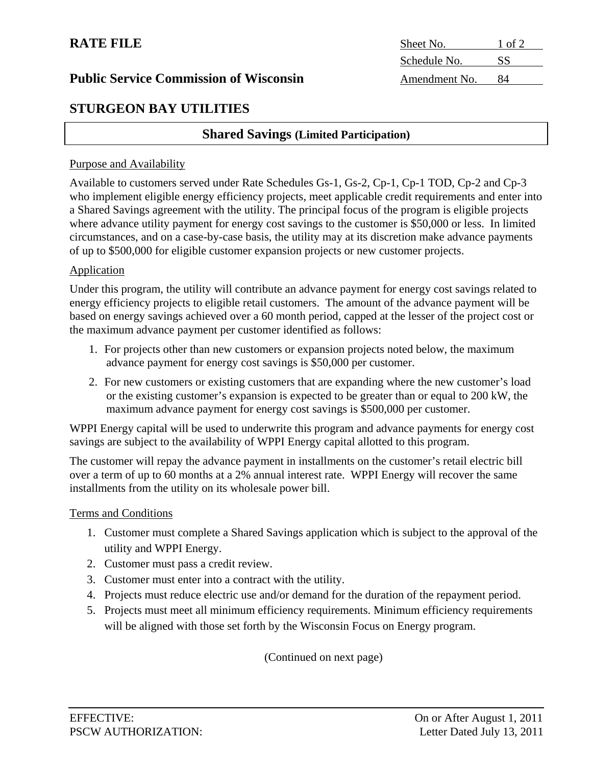## **STURGEON BAY UTILITIES**

#### **Shared Savings (Limited Participation)**

#### Purpose and Availability

Available to customers served under Rate Schedules Gs-1, Gs-2, Cp-1, Cp-1 TOD, Cp-2 and Cp-3 who implement eligible energy efficiency projects, meet applicable credit requirements and enter into a Shared Savings agreement with the utility. The principal focus of the program is eligible projects where advance utility payment for energy cost savings to the customer is \$50,000 or less. In limited circumstances, and on a case-by-case basis, the utility may at its discretion make advance payments of up to \$500,000 for eligible customer expansion projects or new customer projects.

#### Application

Under this program, the utility will contribute an advance payment for energy cost savings related to energy efficiency projects to eligible retail customers. The amount of the advance payment will be based on energy savings achieved over a 60 month period, capped at the lesser of the project cost or the maximum advance payment per customer identified as follows:

- 1. For projects other than new customers or expansion projects noted below, the maximum advance payment for energy cost savings is \$50,000 per customer.
- 2. For new customers or existing customers that are expanding where the new customer's load or the existing customer's expansion is expected to be greater than or equal to 200 kW, the maximum advance payment for energy cost savings is \$500,000 per customer.

WPPI Energy capital will be used to underwrite this program and advance payments for energy cost savings are subject to the availability of WPPI Energy capital allotted to this program.

The customer will repay the advance payment in installments on the customer's retail electric bill over a term of up to 60 months at a 2% annual interest rate. WPPI Energy will recover the same installments from the utility on its wholesale power bill.

#### Terms and Conditions

- 1. Customer must complete a Shared Savings application which is subject to the approval of the utility and WPPI Energy.
- 2. Customer must pass a credit review.
- 3. Customer must enter into a contract with the utility.
- 4. Projects must reduce electric use and/or demand for the duration of the repayment period.
- 5. Projects must meet all minimum efficiency requirements. Minimum efficiency requirements will be aligned with those set forth by the Wisconsin Focus on Energy program.

(Continued on next page)

**RATE FILE** Sheet No. 1 of 2 Schedule No. SS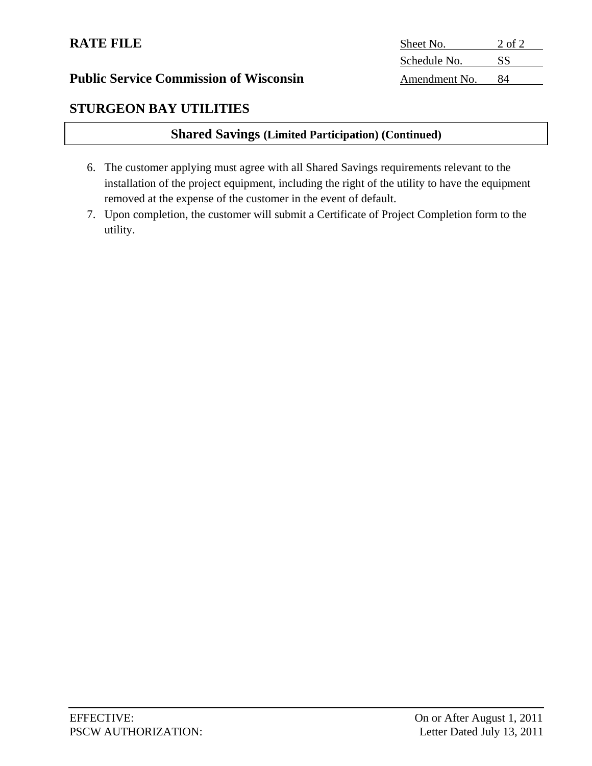## **STURGEON BAY UTILITIES**

## **Shared Savings (Limited Participation) (Continued)**

- 6. The customer applying must agree with all Shared Savings requirements relevant to the installation of the project equipment, including the right of the utility to have the equipment removed at the expense of the customer in the event of default.
- 7. Upon completion, the customer will submit a Certificate of Project Completion form to the utility.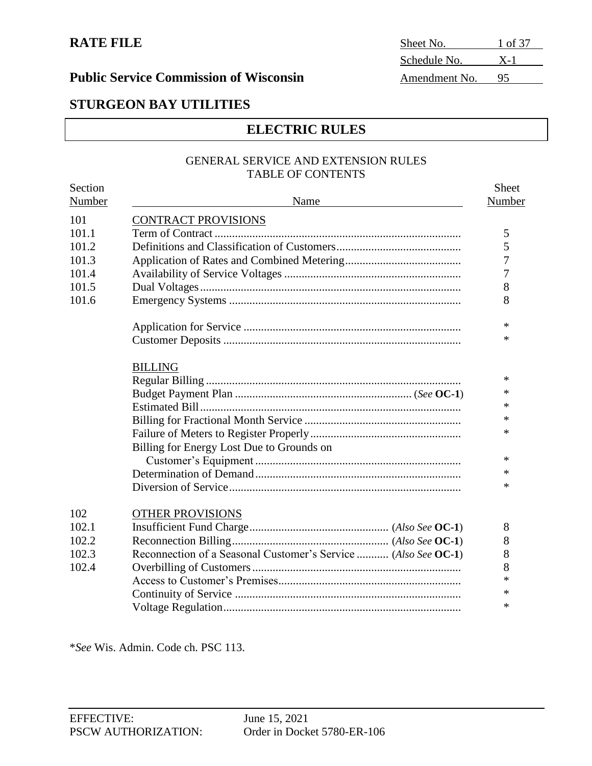## **STURGEON BAY UTILITIES**

## **ELECTRIC RULES**

#### GENERAL SERVICE AND EXTENSION RULES TABLE OF CONTENTS

| Section |                                                                | <b>Sheet</b> |
|---------|----------------------------------------------------------------|--------------|
| Number  | Name                                                           | Number       |
| 101     | <b>CONTRACT PROVISIONS</b>                                     |              |
| 101.1   |                                                                | 5            |
| 101.2   |                                                                | 5            |
| 101.3   |                                                                | 7            |
| 101.4   |                                                                | 7            |
| 101.5   |                                                                | 8            |
| 101.6   |                                                                | 8            |
|         |                                                                | $\ast$       |
|         |                                                                | $\ast$       |
|         | <b>BILLING</b>                                                 |              |
|         |                                                                | $\ast$       |
|         |                                                                | $\ast$       |
|         |                                                                | $\ast$       |
|         |                                                                | $\ast$       |
|         |                                                                | $\ast$       |
|         | Billing for Energy Lost Due to Grounds on                      |              |
|         |                                                                | $\ast$       |
|         |                                                                | $\ast$       |
|         |                                                                | *            |
| 102     | OTHER PROVISIONS                                               |              |
| 102.1   |                                                                | 8            |
| 102.2   |                                                                | 8            |
| 102.3   | Reconnection of a Seasonal Customer's Service  (Also See OC-1) | 8            |
| 102.4   |                                                                | 8            |
|         |                                                                | $\ast$       |
|         |                                                                | $\ast$       |
|         |                                                                | $\ast$       |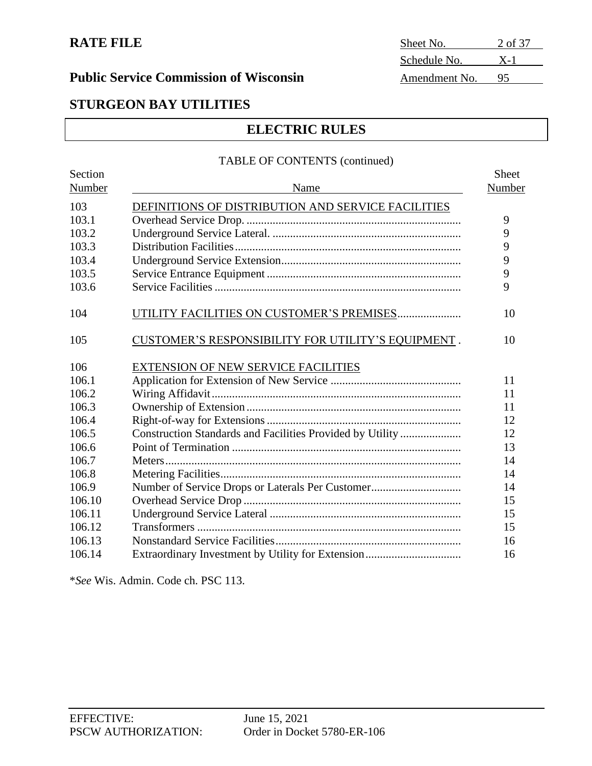# **RATE FILE** Sheet No. 2 of 37 Schedule No. X-1

## **STURGEON BAY UTILITIES**

## **ELECTRIC RULES**

#### TABLE OF CONTENTS (continued)

| Section<br>Number | Name                                                      | Sheet<br>Number |
|-------------------|-----------------------------------------------------------|-----------------|
| 103               | DEFINITIONS OF DISTRIBUTION AND SERVICE FACILITIES        |                 |
| 103.1             |                                                           | 9               |
| 103.2             |                                                           | 9               |
| 103.3             |                                                           | 9               |
| 103.4             |                                                           | 9               |
| 103.5             |                                                           | 9               |
| 103.6             |                                                           | 9               |
| 104               | UTILITY FACILITIES ON CUSTOMER'S PREMISES                 | 10              |
| 105               | CUSTOMER'S RESPONSIBILITY FOR UTILITY'S EQUIPMENT.        | 10              |
| 106               | <b>EXTENSION OF NEW SERVICE FACILITIES</b>                |                 |
| 106.1             |                                                           | 11              |
| 106.2             |                                                           | 11              |
| 106.3             |                                                           | 11              |
| 106.4             |                                                           | 12              |
| 106.5             | Construction Standards and Facilities Provided by Utility | 12              |
| 106.6             |                                                           | 13              |
| 106.7             |                                                           | 14              |
| 106.8             |                                                           | 14              |
| 106.9             |                                                           | 14              |
| 106.10            |                                                           | 15              |
| 106.11            |                                                           | 15              |
| 106.12            |                                                           | 15              |
| 106.13            |                                                           | 16              |
| 106.14            |                                                           | 16              |
|                   |                                                           |                 |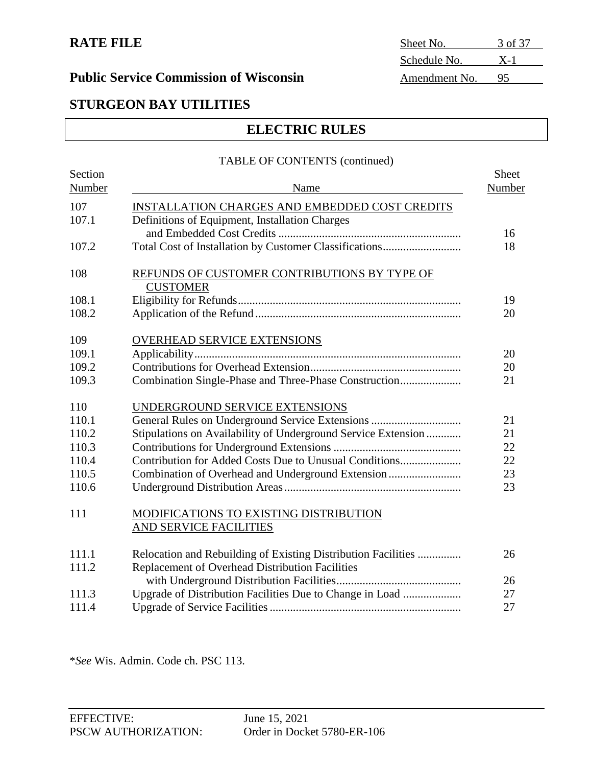## **Public Service Commission of Wisconsin**

| Sheet No.     | 3 of 37 |
|---------------|---------|
| Schedule No.  | $X-1$   |
| Amendment No. | 95      |

## **STURGEON BAY UTILITIES**

## **ELECTRIC RULES**

#### TABLE OF CONTENTS (continued)

| Section |                                                               | Sheet  |
|---------|---------------------------------------------------------------|--------|
| Number  | Name                                                          | Number |
| 107     | INSTALLATION CHARGES AND EMBEDDED COST CREDITS                |        |
| 107.1   | Definitions of Equipment, Installation Charges                |        |
|         |                                                               | 16     |
| 107.2   |                                                               | 18     |
| 108     | REFUNDS OF CUSTOMER CONTRIBUTIONS BY TYPE OF                  |        |
|         | <b>CUSTOMER</b>                                               |        |
| 108.1   |                                                               | 19     |
| 108.2   |                                                               | 20     |
| 109     | <b>OVERHEAD SERVICE EXTENSIONS</b>                            |        |
| 109.1   |                                                               | 20     |
| 109.2   |                                                               | 20     |
| 109.3   |                                                               | 21     |
| 110     | UNDERGROUND SERVICE EXTENSIONS                                |        |
| 110.1   |                                                               | 21     |
| 110.2   | Stipulations on Availability of Underground Service Extension | 21     |
| 110.3   |                                                               | 22     |
| 110.4   | Contribution for Added Costs Due to Unusual Conditions        | 22     |
| 110.5   | Combination of Overhead and Underground Extension             | 23     |
| 110.6   |                                                               | 23     |
| 111     | MODIFICATIONS TO EXISTING DISTRIBUTION                        |        |
|         | AND SERVICE FACILITIES                                        |        |
| 111.1   | Relocation and Rebuilding of Existing Distribution Facilities | 26     |
| 111.2   | Replacement of Overhead Distribution Facilities               |        |
|         |                                                               | 26     |
| 111.3   | Upgrade of Distribution Facilities Due to Change in Load      | 27     |
| 111.4   |                                                               | 27     |
|         |                                                               |        |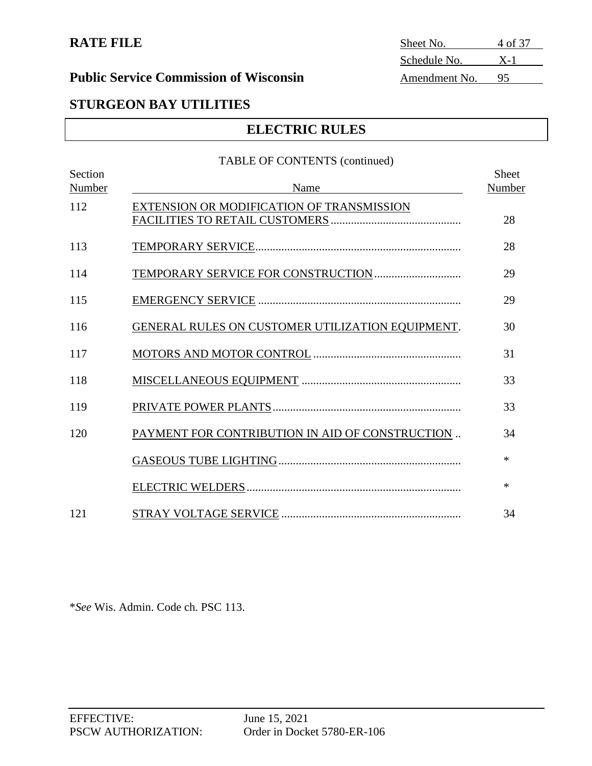**RATE FILE** Sheet No. 4 of 37 Schedule No. X-1

## **STURGEON BAY UTILITIES**

## **ELECTRIC RULES**

# TABLE OF CONTENTS (continued) Section Sheet Number Name Name Name Number Number 112 EXTENSION OR MODIFICATION OF TRANSMISSION FACILITIES TO RETAIL CUSTOMERS ............................................. 28 113 TEMPORARY SERVICE....................................................................... 28 114 TEMPORARY SERVICE FOR CONSTRUCTION.............................. 29 115 EMERGENCY SERVICE ...................................................................... 29 116 GENERAL RULES ON CUSTOMER UTILIZATION EQUIPMENT. 30 117 MOTORS AND MOTOR CONTROL ................................................... 31 118 MISCELLANEOUS EQUIPMENT ....................................................... 33 119 PRIVATE POWER PLANTS................................................................. 33 120 PAYMENT FOR CONTRIBUTION IN AID OF CONSTRUCTION ..  $34$ GASEOUS TUBE LIGHTING............................................................... \* ELECTRIC WELDERS.......................................................................... \* 121 STRAY VOLTAGE SERVICE .............................................................. 34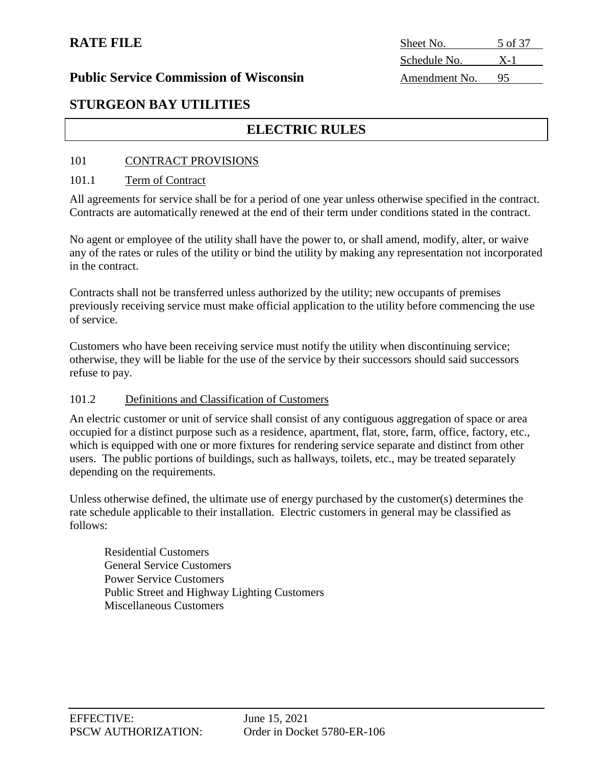| Sheet No.     | 5 of 37 |
|---------------|---------|
| Schedule No.  | $X-1$   |
| Amendment No. | 95      |

### **Public Service Commission of Wisconsin**

## **STURGEON BAY UTILITIES**

## **ELECTRIC RULES**

#### 101 CONTRACT PROVISIONS

#### 101.1 Term of Contract

All agreements for service shall be for a period of one year unless otherwise specified in the contract. Contracts are automatically renewed at the end of their term under conditions stated in the contract.

No agent or employee of the utility shall have the power to, or shall amend, modify, alter, or waive any of the rates or rules of the utility or bind the utility by making any representation not incorporated in the contract.

Contracts shall not be transferred unless authorized by the utility; new occupants of premises previously receiving service must make official application to the utility before commencing the use of service.

Customers who have been receiving service must notify the utility when discontinuing service; otherwise, they will be liable for the use of the service by their successors should said successors refuse to pay.

#### 101.2 Definitions and Classification of Customers

An electric customer or unit of service shall consist of any contiguous aggregation of space or area occupied for a distinct purpose such as a residence, apartment, flat, store, farm, office, factory, etc., which is equipped with one or more fixtures for rendering service separate and distinct from other users. The public portions of buildings, such as hallways, toilets, etc., may be treated separately depending on the requirements.

Unless otherwise defined, the ultimate use of energy purchased by the customer(s) determines the rate schedule applicable to their installation. Electric customers in general may be classified as follows:

Residential Customers General Service Customers Power Service Customers Public Street and Highway Lighting Customers Miscellaneous Customers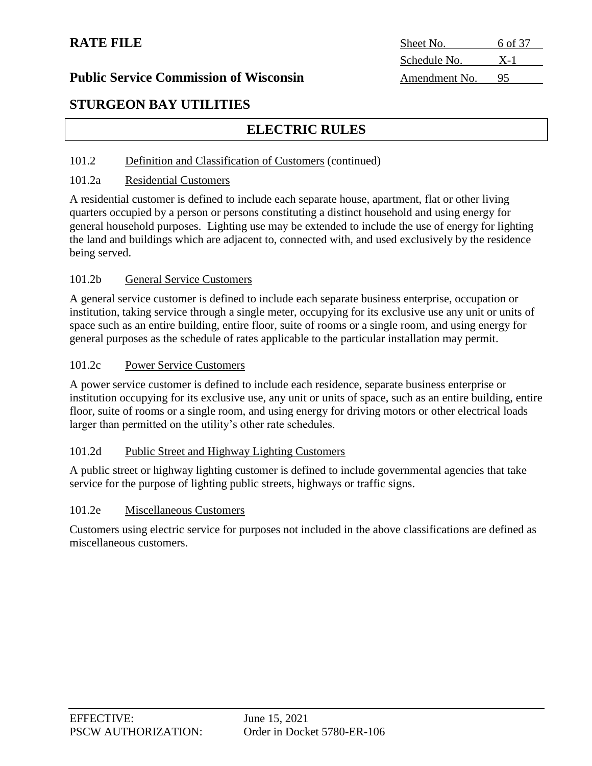## **Public Service Commission of Wisconsin**

| Sheet No.     | 6 of 37 |
|---------------|---------|
| Schedule No.  | $X-1$   |
| Amendment No. | 95      |

## **STURGEON BAY UTILITIES**

## **ELECTRIC RULES**

#### 101.2 Definition and Classification of Customers (continued)

#### 101.2a Residential Customers

A residential customer is defined to include each separate house, apartment, flat or other living quarters occupied by a person or persons constituting a distinct household and using energy for general household purposes. Lighting use may be extended to include the use of energy for lighting the land and buildings which are adjacent to, connected with, and used exclusively by the residence being served.

#### 101.2b General Service Customers

A general service customer is defined to include each separate business enterprise, occupation or institution, taking service through a single meter, occupying for its exclusive use any unit or units of space such as an entire building, entire floor, suite of rooms or a single room, and using energy for general purposes as the schedule of rates applicable to the particular installation may permit.

#### 101.2c Power Service Customers

A power service customer is defined to include each residence, separate business enterprise or institution occupying for its exclusive use, any unit or units of space, such as an entire building, entire floor, suite of rooms or a single room, and using energy for driving motors or other electrical loads larger than permitted on the utility's other rate schedules.

#### 101.2d Public Street and Highway Lighting Customers

A public street or highway lighting customer is defined to include governmental agencies that take service for the purpose of lighting public streets, highways or traffic signs.

#### 101.2e Miscellaneous Customers

Customers using electric service for purposes not included in the above classifications are defined as miscellaneous customers.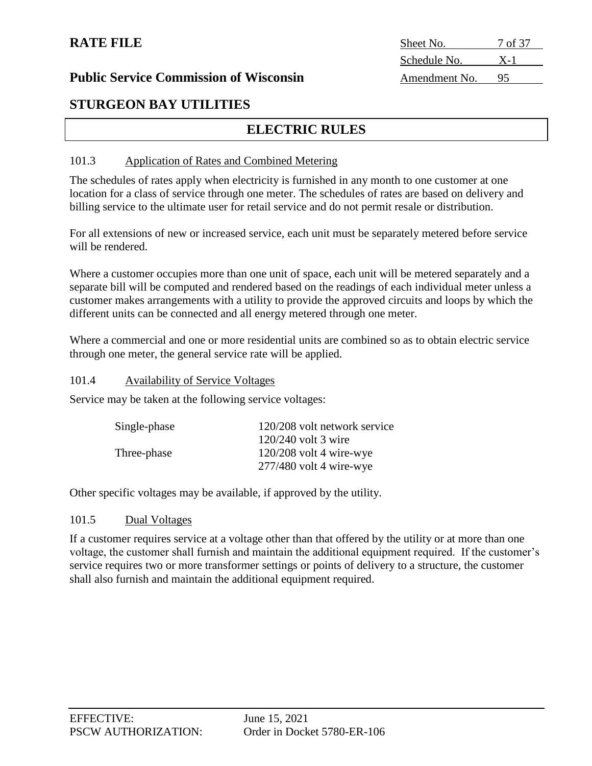| Sheet No.     | 7 of 37 |
|---------------|---------|
| Schedule No.  | $X-1$   |
| Amendment No. |         |

#### **Public Service Commission of Wisconsin**

## **STURGEON BAY UTILITIES**

## **ELECTRIC RULES**

#### 101.3 Application of Rates and Combined Metering

The schedules of rates apply when electricity is furnished in any month to one customer at one location for a class of service through one meter. The schedules of rates are based on delivery and billing service to the ultimate user for retail service and do not permit resale or distribution.

For all extensions of new or increased service, each unit must be separately metered before service will be rendered.

Where a customer occupies more than one unit of space, each unit will be metered separately and a separate bill will be computed and rendered based on the readings of each individual meter unless a customer makes arrangements with a utility to provide the approved circuits and loops by which the different units can be connected and all energy metered through one meter.

Where a commercial and one or more residential units are combined so as to obtain electric service through one meter, the general service rate will be applied.

#### 101.4 Availability of Service Voltages

Service may be taken at the following service voltages:

| Single-phase | 120/208 volt network service |
|--------------|------------------------------|
|              | $120/240$ volt 3 wire        |
| Three-phase  | $120/208$ volt 4 wire-wye    |
|              | $277/480$ volt 4 wire-wye    |
|              |                              |

Other specific voltages may be available, if approved by the utility.

#### 101.5 Dual Voltages

If a customer requires service at a voltage other than that offered by the utility or at more than one voltage, the customer shall furnish and maintain the additional equipment required. If the customer's service requires two or more transformer settings or points of delivery to a structure, the customer shall also furnish and maintain the additional equipment required.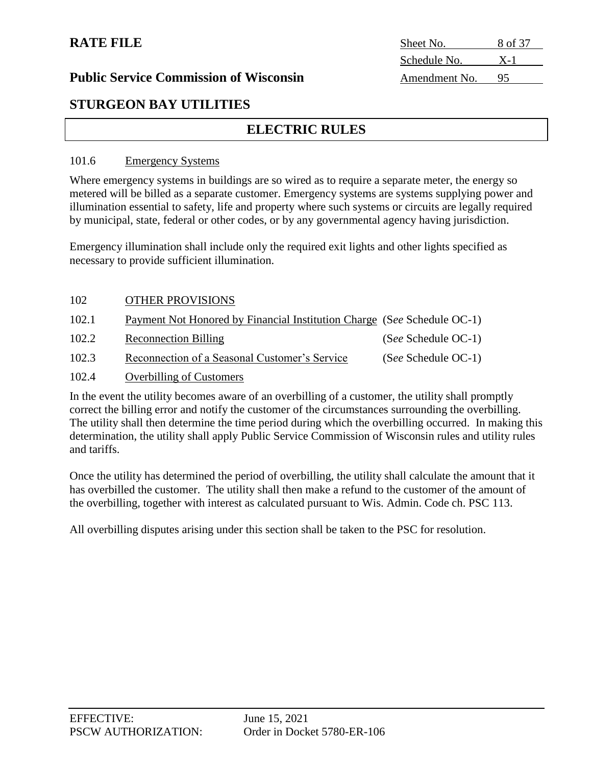| Sheet No.     | 8 of 37 |
|---------------|---------|
| Schedule No.  | $X-1$   |
| Amendment No. | 95      |

#### **Public Service Commission of Wisconsin**

## **STURGEON BAY UTILITIES**

## **ELECTRIC RULES**

#### 101.6 Emergency Systems

Where emergency systems in buildings are so wired as to require a separate meter, the energy so metered will be billed as a separate customer. Emergency systems are systems supplying power and illumination essential to safety, life and property where such systems or circuits are legally required by municipal, state, federal or other codes, or by any governmental agency having jurisdiction.

Emergency illumination shall include only the required exit lights and other lights specified as necessary to provide sufficient illumination.

| 102   | <b>OTHER PROVISIONS</b>                                                 |                       |
|-------|-------------------------------------------------------------------------|-----------------------|
| 102.1 | Payment Not Honored by Financial Institution Charge (See Schedule OC-1) |                       |
| 102.2 | <b>Reconnection Billing</b>                                             | (See Schedule OC-1)   |
| 102.3 | Reconnection of a Seasonal Customer's Service                           | $(See Schedule OC-1)$ |

#### 102.4 Overbilling of Customers

In the event the utility becomes aware of an overbilling of a customer, the utility shall promptly correct the billing error and notify the customer of the circumstances surrounding the overbilling. The utility shall then determine the time period during which the overbilling occurred. In making this determination, the utility shall apply Public Service Commission of Wisconsin rules and utility rules and tariffs.

Once the utility has determined the period of overbilling, the utility shall calculate the amount that it has overbilled the customer. The utility shall then make a refund to the customer of the amount of the overbilling, together with interest as calculated pursuant to Wis. Admin. Code ch. PSC 113.

All overbilling disputes arising under this section shall be taken to the PSC for resolution.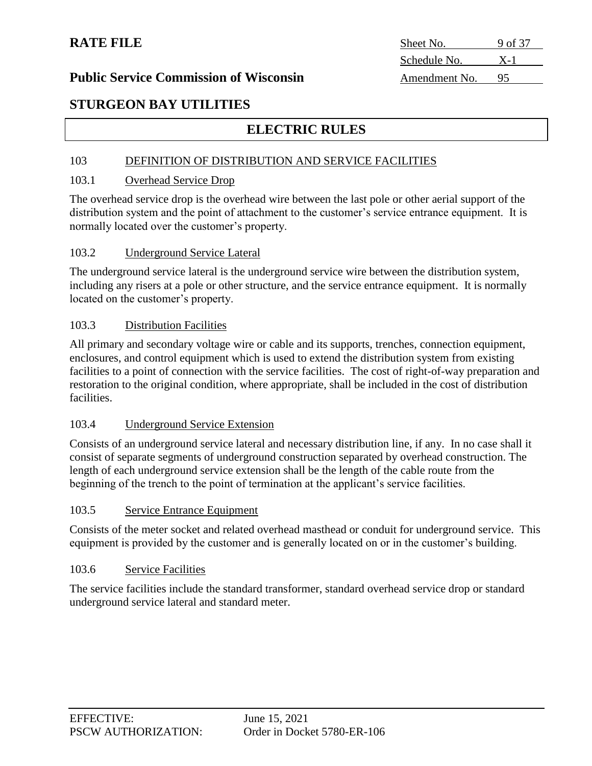**RATE FILE** Sheet No. 9 of 37 Schedule No. X-1

## **STURGEON BAY UTILITIES**

## **ELECTRIC RULES**

#### 103 DEFINITION OF DISTRIBUTION AND SERVICE FACILITIES

#### 103.1 Overhead Service Drop

The overhead service drop is the overhead wire between the last pole or other aerial support of the distribution system and the point of attachment to the customer's service entrance equipment. It is normally located over the customer's property.

#### 103.2 Underground Service Lateral

The underground service lateral is the underground service wire between the distribution system, including any risers at a pole or other structure, and the service entrance equipment. It is normally located on the customer's property.

#### 103.3 Distribution Facilities

All primary and secondary voltage wire or cable and its supports, trenches, connection equipment, enclosures, and control equipment which is used to extend the distribution system from existing facilities to a point of connection with the service facilities. The cost of right-of-way preparation and restoration to the original condition, where appropriate, shall be included in the cost of distribution facilities.

#### 103.4 Underground Service Extension

Consists of an underground service lateral and necessary distribution line, if any. In no case shall it consist of separate segments of underground construction separated by overhead construction. The length of each underground service extension shall be the length of the cable route from the beginning of the trench to the point of termination at the applicant's service facilities.

### 103.5 Service Entrance Equipment

Consists of the meter socket and related overhead masthead or conduit for underground service. This equipment is provided by the customer and is generally located on or in the customer's building.

#### 103.6 Service Facilities

The service facilities include the standard transformer, standard overhead service drop or standard underground service lateral and standard meter.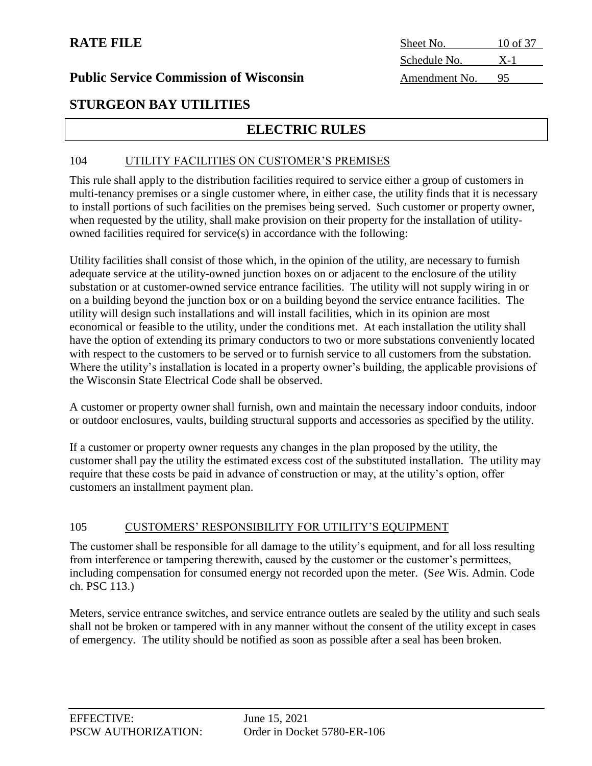| Sheet No.     | 10 of 37 |
|---------------|----------|
| Schedule No.  | $X-1$    |
| Amendment No. | 95       |

## **STURGEON BAY UTILITIES**

## **ELECTRIC RULES**

#### 104 UTILITY FACILITIES ON CUSTOMER'S PREMISES

This rule shall apply to the distribution facilities required to service either a group of customers in multi-tenancy premises or a single customer where, in either case, the utility finds that it is necessary to install portions of such facilities on the premises being served. Such customer or property owner, when requested by the utility, shall make provision on their property for the installation of utilityowned facilities required for service(s) in accordance with the following:

Utility facilities shall consist of those which, in the opinion of the utility, are necessary to furnish adequate service at the utility-owned junction boxes on or adjacent to the enclosure of the utility substation or at customer-owned service entrance facilities. The utility will not supply wiring in or on a building beyond the junction box or on a building beyond the service entrance facilities. The utility will design such installations and will install facilities, which in its opinion are most economical or feasible to the utility, under the conditions met. At each installation the utility shall have the option of extending its primary conductors to two or more substations conveniently located with respect to the customers to be served or to furnish service to all customers from the substation. Where the utility's installation is located in a property owner's building, the applicable provisions of the Wisconsin State Electrical Code shall be observed.

A customer or property owner shall furnish, own and maintain the necessary indoor conduits, indoor or outdoor enclosures, vaults, building structural supports and accessories as specified by the utility.

If a customer or property owner requests any changes in the plan proposed by the utility, the customer shall pay the utility the estimated excess cost of the substituted installation. The utility may require that these costs be paid in advance of construction or may, at the utility's option, offer customers an installment payment plan.

#### 105 CUSTOMERS' RESPONSIBILITY FOR UTILITY'S EQUIPMENT

The customer shall be responsible for all damage to the utility's equipment, and for all loss resulting from interference or tampering therewith, caused by the customer or the customer's permittees, including compensation for consumed energy not recorded upon the meter. (S*ee* Wis. Admin. Code ch. PSC 113.)

Meters, service entrance switches, and service entrance outlets are sealed by the utility and such seals shall not be broken or tampered with in any manner without the consent of the utility except in cases of emergency. The utility should be notified as soon as possible after a seal has been broken.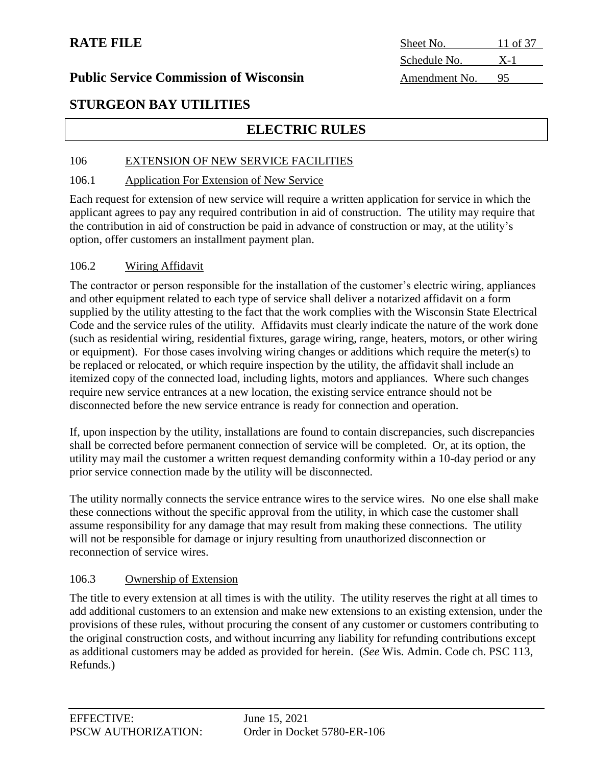### **Public Service Commission of Wisconsin**

| Sheet No.     | 11 of 37 |
|---------------|----------|
| Schedule No.  | $X-1$    |
| Amendment No. | 95       |

## **STURGEON BAY UTILITIES**

## **ELECTRIC RULES**

#### 106 EXTENSION OF NEW SERVICE FACILITIES

#### 106.1 Application For Extension of New Service

Each request for extension of new service will require a written application for service in which the applicant agrees to pay any required contribution in aid of construction. The utility may require that the contribution in aid of construction be paid in advance of construction or may, at the utility's option, offer customers an installment payment plan.

#### 106.2 Wiring Affidavit

The contractor or person responsible for the installation of the customer's electric wiring, appliances and other equipment related to each type of service shall deliver a notarized affidavit on a form supplied by the utility attesting to the fact that the work complies with the Wisconsin State Electrical Code and the service rules of the utility. Affidavits must clearly indicate the nature of the work done (such as residential wiring, residential fixtures, garage wiring, range, heaters, motors, or other wiring or equipment). For those cases involving wiring changes or additions which require the meter(s) to be replaced or relocated, or which require inspection by the utility, the affidavit shall include an itemized copy of the connected load, including lights, motors and appliances. Where such changes require new service entrances at a new location, the existing service entrance should not be disconnected before the new service entrance is ready for connection and operation.

If, upon inspection by the utility, installations are found to contain discrepancies, such discrepancies shall be corrected before permanent connection of service will be completed. Or, at its option, the utility may mail the customer a written request demanding conformity within a 10-day period or any prior service connection made by the utility will be disconnected.

The utility normally connects the service entrance wires to the service wires. No one else shall make these connections without the specific approval from the utility, in which case the customer shall assume responsibility for any damage that may result from making these connections. The utility will not be responsible for damage or injury resulting from unauthorized disconnection or reconnection of service wires.

#### 106.3 Ownership of Extension

The title to every extension at all times is with the utility. The utility reserves the right at all times to add additional customers to an extension and make new extensions to an existing extension, under the provisions of these rules, without procuring the consent of any customer or customers contributing to the original construction costs, and without incurring any liability for refunding contributions except as additional customers may be added as provided for herein. (*See* Wis. Admin. Code ch. PSC 113, Refunds.)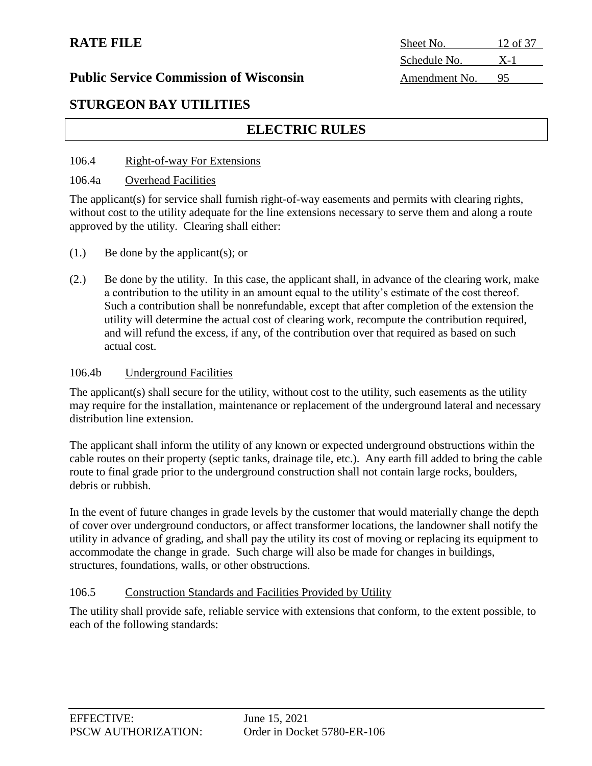| Sheet No.     | 12 of 37 |
|---------------|----------|
| Schedule No.  | $X-1$    |
| Amendment No. | 95       |

## **Public Service Commission of Wisconsin**

## **STURGEON BAY UTILITIES**

## **ELECTRIC RULES**

#### 106.4 Right-of-way For Extensions

#### 106.4a Overhead Facilities

The applicant(s) for service shall furnish right-of-way easements and permits with clearing rights, without cost to the utility adequate for the line extensions necessary to serve them and along a route approved by the utility. Clearing shall either:

- (1.) Be done by the applicant(s); or
- (2.) Be done by the utility. In this case, the applicant shall, in advance of the clearing work, make a contribution to the utility in an amount equal to the utility's estimate of the cost thereof. Such a contribution shall be nonrefundable, except that after completion of the extension the utility will determine the actual cost of clearing work, recompute the contribution required, and will refund the excess, if any, of the contribution over that required as based on such actual cost.

#### 106.4b Underground Facilities

The applicant(s) shall secure for the utility, without cost to the utility, such easements as the utility may require for the installation, maintenance or replacement of the underground lateral and necessary distribution line extension.

The applicant shall inform the utility of any known or expected underground obstructions within the cable routes on their property (septic tanks, drainage tile, etc.). Any earth fill added to bring the cable route to final grade prior to the underground construction shall not contain large rocks, boulders, debris or rubbish.

In the event of future changes in grade levels by the customer that would materially change the depth of cover over underground conductors, or affect transformer locations, the landowner shall notify the utility in advance of grading, and shall pay the utility its cost of moving or replacing its equipment to accommodate the change in grade. Such charge will also be made for changes in buildings, structures, foundations, walls, or other obstructions.

#### 106.5 Construction Standards and Facilities Provided by Utility

The utility shall provide safe, reliable service with extensions that conform, to the extent possible, to each of the following standards: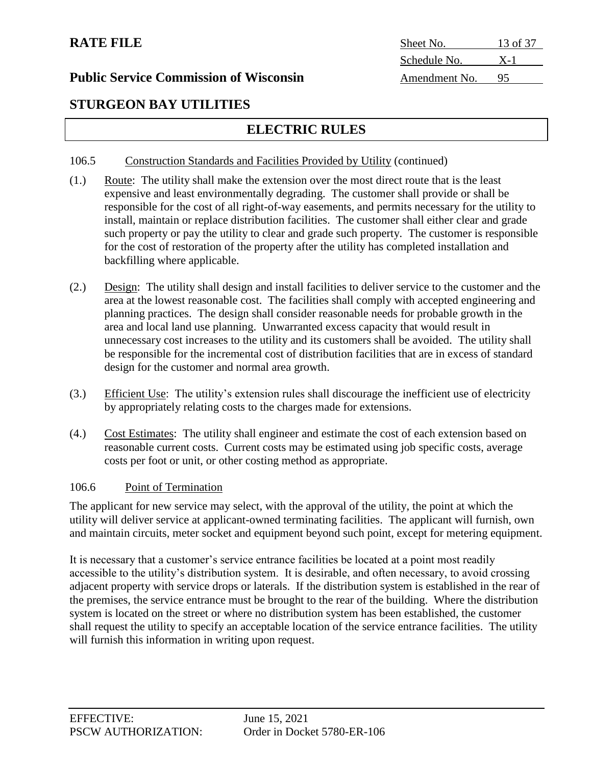| system is located on the street or w   |
|----------------------------------------|
| shall request the utility to specify a |
| will furnish this information in wri   |

## **STURGEON BAY UTILITIES**

## **ELECTRIC RULES**

### 106.5 Construction Standards and Facilities Provided by Utility (continued)

- (1.) Route: The utility shall make the extension over the most direct route that is the least expensive and least environmentally degrading. The customer shall provide or shall be responsible for the cost of all right-of-way easements, and permits necessary for the utility to install, maintain or replace distribution facilities. The customer shall either clear and grade such property or pay the utility to clear and grade such property. The customer is responsible for the cost of restoration of the property after the utility has completed installation and backfilling where applicable.
- (2.) Design: The utility shall design and install facilities to deliver service to the customer and the area at the lowest reasonable cost. The facilities shall comply with accepted engineering and planning practices. The design shall consider reasonable needs for probable growth in the area and local land use planning. Unwarranted excess capacity that would result in unnecessary cost increases to the utility and its customers shall be avoided. The utility shall be responsible for the incremental cost of distribution facilities that are in excess of standard design for the customer and normal area growth.
- (3.) Efficient Use: The utility's extension rules shall discourage the inefficient use of electricity by appropriately relating costs to the charges made for extensions.
- (4.) Cost Estimates: The utility shall engineer and estimate the cost of each extension based on reasonable current costs. Current costs may be estimated using job specific costs, average costs per foot or unit, or other costing method as appropriate.

### 106.6 Point of Termination

The applicant for new service may select, with the approval of the utility, the point at which the utility will deliver service at applicant-owned terminating facilities. The applicant will furnish, own and maintain circuits, meter socket and equipment beyond such point, except for metering equipment.

It is necessary that a customer's service entrance facilities be located at a point most readily accessible to the utility's distribution system. It is desirable, and often necessary, to avoid crossing adjacent property with service drops or laterals. If the distribution system is established in the rear of the premises, the service entrance must be brought to the rear of the building. Where the distribution here no distribution system has been established, the customer in acceptable location of the service entrance facilities. The utility ting upon request.

**RATE FILE** Sheet No. 13 of 37 Schedule No. X-1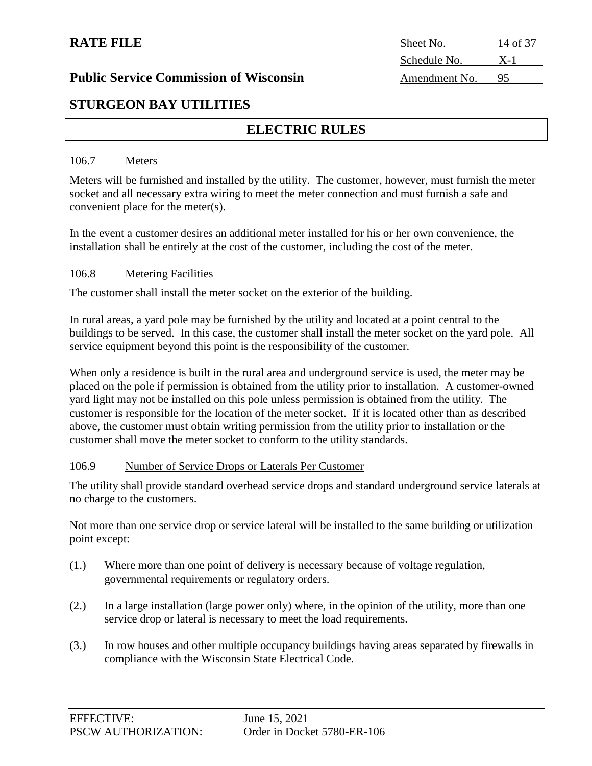# **RATE FILE** Sheet No. 14 of 37 Schedule No. X-1

## **STURGEON BAY UTILITIES**

## **ELECTRIC RULES**

#### 106.7 Meters

Meters will be furnished and installed by the utility. The customer, however, must furnish the meter socket and all necessary extra wiring to meet the meter connection and must furnish a safe and convenient place for the meter(s).

In the event a customer desires an additional meter installed for his or her own convenience, the installation shall be entirely at the cost of the customer, including the cost of the meter.

#### 106.8 Metering Facilities

The customer shall install the meter socket on the exterior of the building.

In rural areas, a yard pole may be furnished by the utility and located at a point central to the buildings to be served. In this case, the customer shall install the meter socket on the yard pole. All service equipment beyond this point is the responsibility of the customer.

When only a residence is built in the rural area and underground service is used, the meter may be placed on the pole if permission is obtained from the utility prior to installation. A customer-owned yard light may not be installed on this pole unless permission is obtained from the utility. The customer is responsible for the location of the meter socket. If it is located other than as described above, the customer must obtain writing permission from the utility prior to installation or the customer shall move the meter socket to conform to the utility standards.

#### 106.9 Number of Service Drops or Laterals Per Customer

The utility shall provide standard overhead service drops and standard underground service laterals at no charge to the customers.

Not more than one service drop or service lateral will be installed to the same building or utilization point except:

- (1.) Where more than one point of delivery is necessary because of voltage regulation, governmental requirements or regulatory orders.
- (2.) In a large installation (large power only) where, in the opinion of the utility, more than one service drop or lateral is necessary to meet the load requirements.
- (3.) In row houses and other multiple occupancy buildings having areas separated by firewalls in compliance with the Wisconsin State Electrical Code.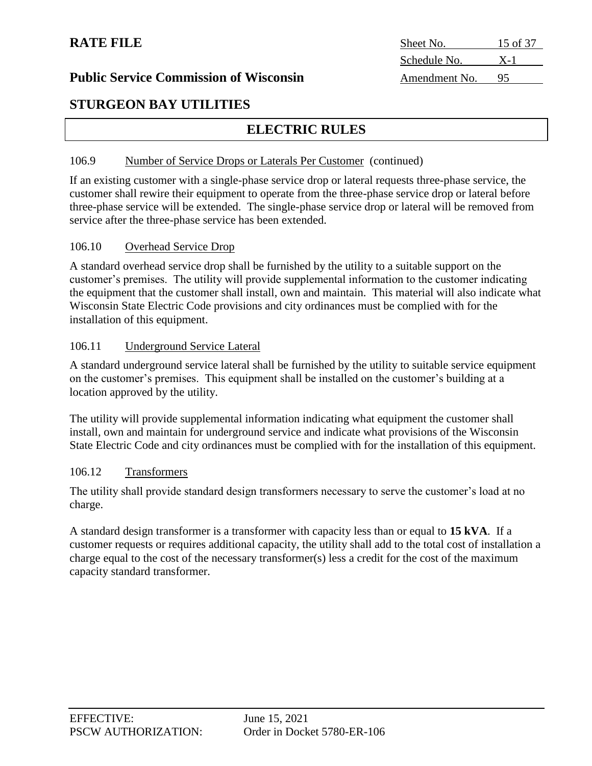| Sheet No.     | 15 of 37 |
|---------------|----------|
| Schedule No.  | $X-1$    |
| Amendment No. |          |

## **STURGEON BAY UTILITIES**

## **ELECTRIC RULES**

#### 106.9 Number of Service Drops or Laterals Per Customer (continued)

If an existing customer with a single-phase service drop or lateral requests three-phase service, the customer shall rewire their equipment to operate from the three-phase service drop or lateral before three-phase service will be extended. The single-phase service drop or lateral will be removed from service after the three-phase service has been extended.

#### 106.10 Overhead Service Drop

A standard overhead service drop shall be furnished by the utility to a suitable support on the customer's premises. The utility will provide supplemental information to the customer indicating the equipment that the customer shall install, own and maintain. This material will also indicate what Wisconsin State Electric Code provisions and city ordinances must be complied with for the installation of this equipment.

#### 106.11 Underground Service Lateral

A standard underground service lateral shall be furnished by the utility to suitable service equipment on the customer's premises. This equipment shall be installed on the customer's building at a location approved by the utility.

The utility will provide supplemental information indicating what equipment the customer shall install, own and maintain for underground service and indicate what provisions of the Wisconsin State Electric Code and city ordinances must be complied with for the installation of this equipment.

#### 106.12 Transformers

The utility shall provide standard design transformers necessary to serve the customer's load at no charge.

A standard design transformer is a transformer with capacity less than or equal to **15 kVA**. If a customer requests or requires additional capacity, the utility shall add to the total cost of installation a charge equal to the cost of the necessary transformer(s) less a credit for the cost of the maximum capacity standard transformer.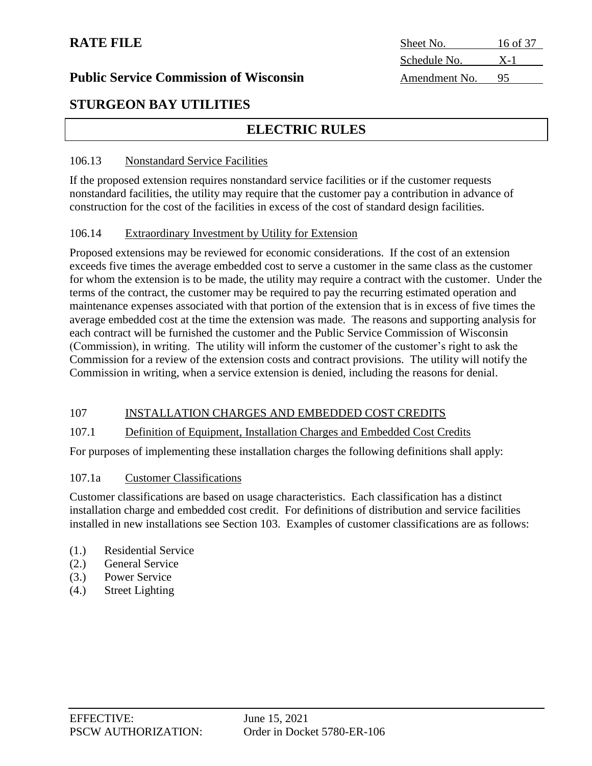| Sheet No.     | 16 of 37 |
|---------------|----------|
| Schedule No.  | $X-1$    |
| Amendment No. | 95       |

### **Public Service Commission of Wisconsin**

## **STURGEON BAY UTILITIES**

## **ELECTRIC RULES**

#### 106.13 Nonstandard Service Facilities

If the proposed extension requires nonstandard service facilities or if the customer requests nonstandard facilities, the utility may require that the customer pay a contribution in advance of construction for the cost of the facilities in excess of the cost of standard design facilities.

#### 106.14 Extraordinary Investment by Utility for Extension

Proposed extensions may be reviewed for economic considerations. If the cost of an extension exceeds five times the average embedded cost to serve a customer in the same class as the customer for whom the extension is to be made, the utility may require a contract with the customer. Under the terms of the contract, the customer may be required to pay the recurring estimated operation and maintenance expenses associated with that portion of the extension that is in excess of five times the average embedded cost at the time the extension was made. The reasons and supporting analysis for each contract will be furnished the customer and the Public Service Commission of Wisconsin (Commission), in writing. The utility will inform the customer of the customer's right to ask the Commission for a review of the extension costs and contract provisions. The utility will notify the Commission in writing, when a service extension is denied, including the reasons for denial.

#### 107 INSTALLATION CHARGES AND EMBEDDED COST CREDITS

#### 107.1 Definition of Equipment, Installation Charges and Embedded Cost Credits

For purposes of implementing these installation charges the following definitions shall apply:

#### 107.1a Customer Classifications

Customer classifications are based on usage characteristics. Each classification has a distinct installation charge and embedded cost credit. For definitions of distribution and service facilities installed in new installations see Section 103. Examples of customer classifications are as follows:

- (1.) Residential Service
- (2.) General Service
- (3.) Power Service
- (4.) Street Lighting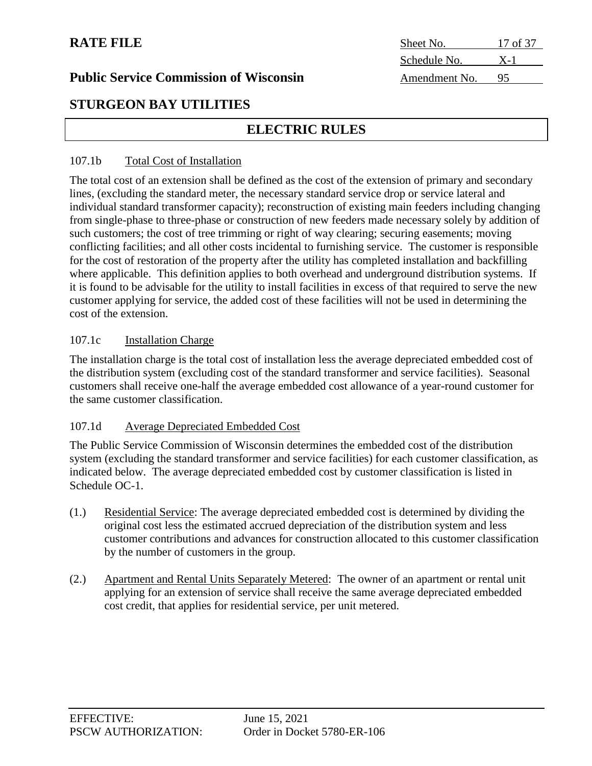|  | <b>Public Service Commission of Wisconsin</b> |  |
|--|-----------------------------------------------|--|
|  |                                               |  |

## **RATE FILE** Sheet No. 17 of 37 Schedule No. X-1 Amendment No. 95

## **STURGEON BAY UTILITIES**

## **ELECTRIC RULES**

#### 107.1b Total Cost of Installation

The total cost of an extension shall be defined as the cost of the extension of primary and secondary lines, (excluding the standard meter, the necessary standard service drop or service lateral and individual standard transformer capacity); reconstruction of existing main feeders including changing from single-phase to three-phase or construction of new feeders made necessary solely by addition of such customers; the cost of tree trimming or right of way clearing; securing easements; moving conflicting facilities; and all other costs incidental to furnishing service. The customer is responsible for the cost of restoration of the property after the utility has completed installation and backfilling where applicable. This definition applies to both overhead and underground distribution systems. If it is found to be advisable for the utility to install facilities in excess of that required to serve the new customer applying for service, the added cost of these facilities will not be used in determining the cost of the extension.

#### 107.1c Installation Charge

The installation charge is the total cost of installation less the average depreciated embedded cost of the distribution system (excluding cost of the standard transformer and service facilities). Seasonal customers shall receive one-half the average embedded cost allowance of a year-round customer for the same customer classification.

### 107.1d Average Depreciated Embedded Cost

The Public Service Commission of Wisconsin determines the embedded cost of the distribution system (excluding the standard transformer and service facilities) for each customer classification, as indicated below. The average depreciated embedded cost by customer classification is listed in Schedule OC-1.

- (1.) Residential Service: The average depreciated embedded cost is determined by dividing the original cost less the estimated accrued depreciation of the distribution system and less customer contributions and advances for construction allocated to this customer classification by the number of customers in the group.
- (2.) Apartment and Rental Units Separately Metered: The owner of an apartment or rental unit applying for an extension of service shall receive the same average depreciated embedded cost credit, that applies for residential service, per unit metered.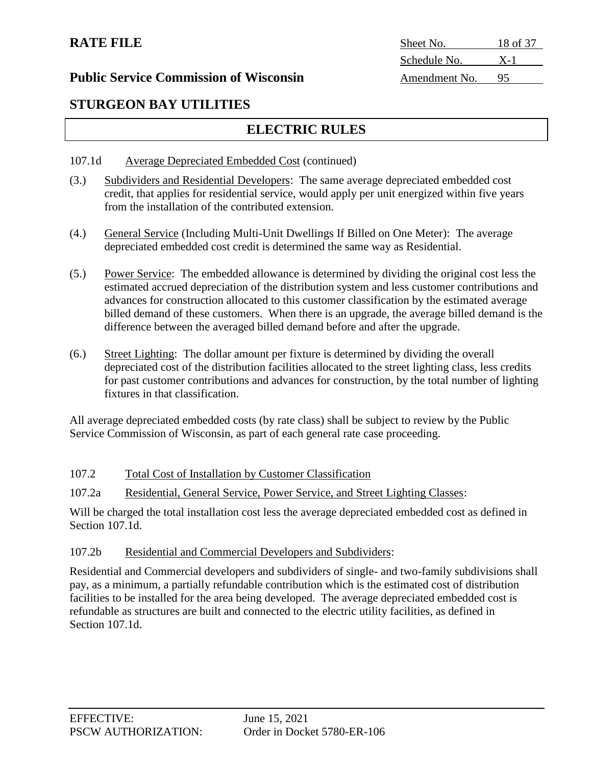| <b>RATE FILE</b>                              | Sheet No.     | 18 of 37 |
|-----------------------------------------------|---------------|----------|
|                                               | Schedule No.  | $X-1$    |
| <b>Public Service Commission of Wisconsin</b> | Amendment No. |          |

## **STURGEON BAY UTILITIES**

## **ELECTRIC RULES**

- 107.1d Average Depreciated Embedded Cost (continued)
- (3.) Subdividers and Residential Developers: The same average depreciated embedded cost credit, that applies for residential service, would apply per unit energized within five years from the installation of the contributed extension.
- (4.) General Service (Including Multi-Unit Dwellings If Billed on One Meter): The average depreciated embedded cost credit is determined the same way as Residential.
- (5.) Power Service: The embedded allowance is determined by dividing the original cost less the estimated accrued depreciation of the distribution system and less customer contributions and advances for construction allocated to this customer classification by the estimated average billed demand of these customers. When there is an upgrade, the average billed demand is the difference between the averaged billed demand before and after the upgrade.
- (6.) Street Lighting: The dollar amount per fixture is determined by dividing the overall depreciated cost of the distribution facilities allocated to the street lighting class, less credits for past customer contributions and advances for construction, by the total number of lighting fixtures in that classification.

All average depreciated embedded costs (by rate class) shall be subject to review by the Public Service Commission of Wisconsin, as part of each general rate case proceeding.

### 107.2 Total Cost of Installation by Customer Classification

107.2a Residential, General Service, Power Service, and Street Lighting Classes:

Will be charged the total installation cost less the average depreciated embedded cost as defined in Section 107.1d.

### 107.2b Residential and Commercial Developers and Subdividers:

Residential and Commercial developers and subdividers of single- and two-family subdivisions shall pay, as a minimum, a partially refundable contribution which is the estimated cost of distribution facilities to be installed for the area being developed. The average depreciated embedded cost is refundable as structures are built and connected to the electric utility facilities, as defined in Section 107.1d.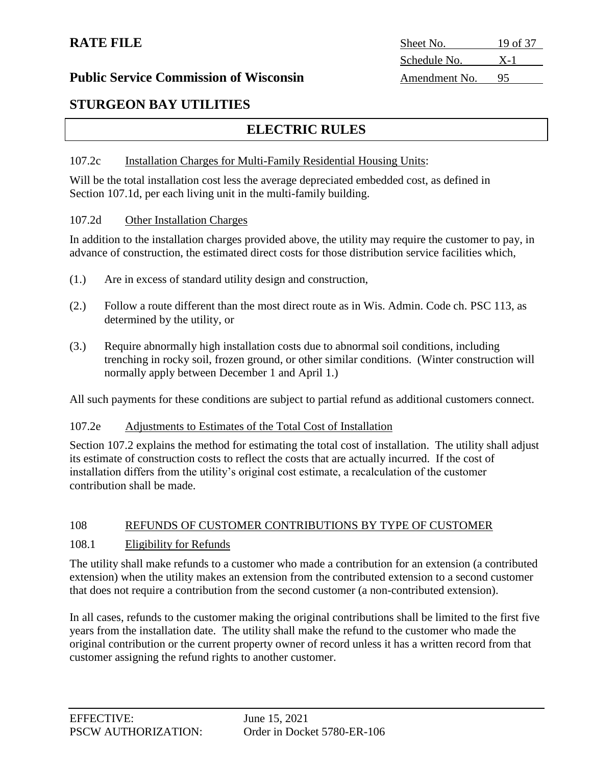| Sheet No.     | 19 of 37 |
|---------------|----------|
| Schedule No.  | $X-1$    |
| Amendment No. | 95       |

## **STURGEON BAY UTILITIES**

## **ELECTRIC RULES**

#### 107.2c Installation Charges for Multi-Family Residential Housing Units:

Will be the total installation cost less the average depreciated embedded cost, as defined in Section 107.1d, per each living unit in the multi-family building.

#### 107.2d Other Installation Charges

In addition to the installation charges provided above, the utility may require the customer to pay, in advance of construction, the estimated direct costs for those distribution service facilities which,

- (1.) Are in excess of standard utility design and construction,
- (2.) Follow a route different than the most direct route as in Wis. Admin. Code ch. PSC 113, as determined by the utility, or
- (3.) Require abnormally high installation costs due to abnormal soil conditions, including trenching in rocky soil, frozen ground, or other similar conditions. (Winter construction will normally apply between December 1 and April 1.)

All such payments for these conditions are subject to partial refund as additional customers connect.

#### 107.2e Adjustments to Estimates of the Total Cost of Installation

Section 107.2 explains the method for estimating the total cost of installation. The utility shall adjust its estimate of construction costs to reflect the costs that are actually incurred. If the cost of installation differs from the utility's original cost estimate, a recalculation of the customer contribution shall be made.

#### 108 REFUNDS OF CUSTOMER CONTRIBUTIONS BY TYPE OF CUSTOMER

#### 108.1 Eligibility for Refunds

The utility shall make refunds to a customer who made a contribution for an extension (a contributed extension) when the utility makes an extension from the contributed extension to a second customer that does not require a contribution from the second customer (a non-contributed extension).

In all cases, refunds to the customer making the original contributions shall be limited to the first five years from the installation date. The utility shall make the refund to the customer who made the original contribution or the current property owner of record unless it has a written record from that customer assigning the refund rights to another customer.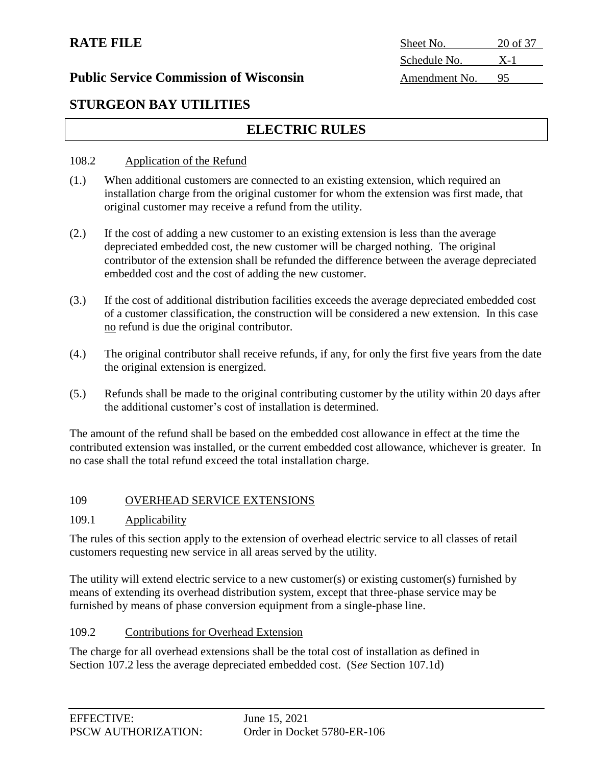| Sheet No.     | $20$ of 37 |
|---------------|------------|
| Schedule No.  | $X-1$      |
| Amendment No. | 95         |

### **Public Service Commission of Wisconsin**

## **STURGEON BAY UTILITIES**

## **ELECTRIC RULES**

#### 108.2 Application of the Refund

- (1.) When additional customers are connected to an existing extension, which required an installation charge from the original customer for whom the extension was first made, that original customer may receive a refund from the utility.
- (2.) If the cost of adding a new customer to an existing extension is less than the average depreciated embedded cost, the new customer will be charged nothing. The original contributor of the extension shall be refunded the difference between the average depreciated embedded cost and the cost of adding the new customer.
- (3.) If the cost of additional distribution facilities exceeds the average depreciated embedded cost of a customer classification, the construction will be considered a new extension. In this case no refund is due the original contributor.
- (4.) The original contributor shall receive refunds, if any, for only the first five years from the date the original extension is energized.
- (5.) Refunds shall be made to the original contributing customer by the utility within 20 days after the additional customer's cost of installation is determined.

The amount of the refund shall be based on the embedded cost allowance in effect at the time the contributed extension was installed, or the current embedded cost allowance, whichever is greater. In no case shall the total refund exceed the total installation charge.

#### 109 OVERHEAD SERVICE EXTENSIONS

#### 109.1 Applicability

The rules of this section apply to the extension of overhead electric service to all classes of retail customers requesting new service in all areas served by the utility.

The utility will extend electric service to a new customer(s) or existing customer(s) furnished by means of extending its overhead distribution system, except that three-phase service may be furnished by means of phase conversion equipment from a single-phase line.

#### 109.2 Contributions for Overhead Extension

The charge for all overhead extensions shall be the total cost of installation as defined in Section 107.2 less the average depreciated embedded cost. (S*ee* Section 107.1d)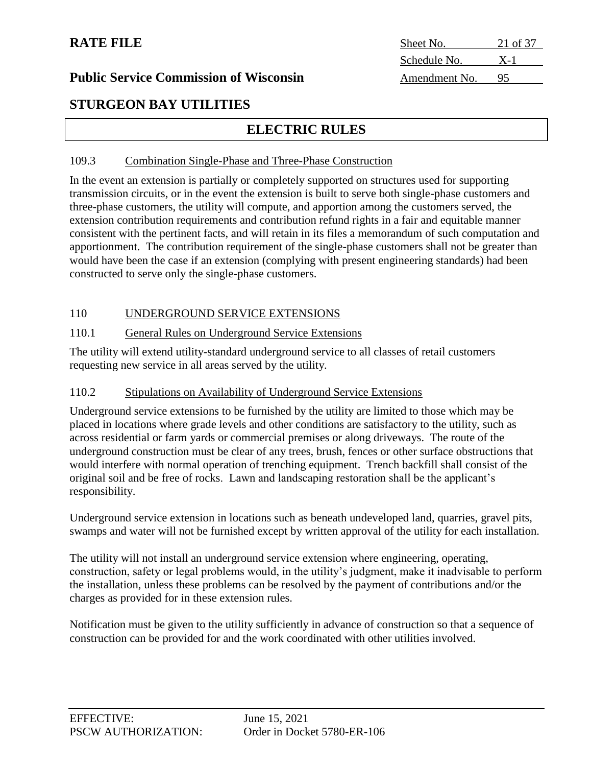| Sheet No.     | 21 of 37 |
|---------------|----------|
| Schedule No.  | $X-1$    |
| Amendment No. |          |

#### **Public Service Commission of Wisconsin**

## **STURGEON BAY UTILITIES**

## **ELECTRIC RULES**

#### 109.3 Combination Single-Phase and Three-Phase Construction

In the event an extension is partially or completely supported on structures used for supporting transmission circuits, or in the event the extension is built to serve both single-phase customers and three-phase customers, the utility will compute, and apportion among the customers served, the extension contribution requirements and contribution refund rights in a fair and equitable manner consistent with the pertinent facts, and will retain in its files a memorandum of such computation and apportionment. The contribution requirement of the single-phase customers shall not be greater than would have been the case if an extension (complying with present engineering standards) had been constructed to serve only the single-phase customers.

#### 110 UNDERGROUND SERVICE EXTENSIONS

#### 110.1 General Rules on Underground Service Extensions

The utility will extend utility-standard underground service to all classes of retail customers requesting new service in all areas served by the utility.

#### 110.2 Stipulations on Availability of Underground Service Extensions

Underground service extensions to be furnished by the utility are limited to those which may be placed in locations where grade levels and other conditions are satisfactory to the utility, such as across residential or farm yards or commercial premises or along driveways. The route of the underground construction must be clear of any trees, brush, fences or other surface obstructions that would interfere with normal operation of trenching equipment. Trench backfill shall consist of the original soil and be free of rocks. Lawn and landscaping restoration shall be the applicant's responsibility.

Underground service extension in locations such as beneath undeveloped land, quarries, gravel pits, swamps and water will not be furnished except by written approval of the utility for each installation.

The utility will not install an underground service extension where engineering, operating, construction, safety or legal problems would, in the utility's judgment, make it inadvisable to perform the installation, unless these problems can be resolved by the payment of contributions and/or the charges as provided for in these extension rules.

Notification must be given to the utility sufficiently in advance of construction so that a sequence of construction can be provided for and the work coordinated with other utilities involved.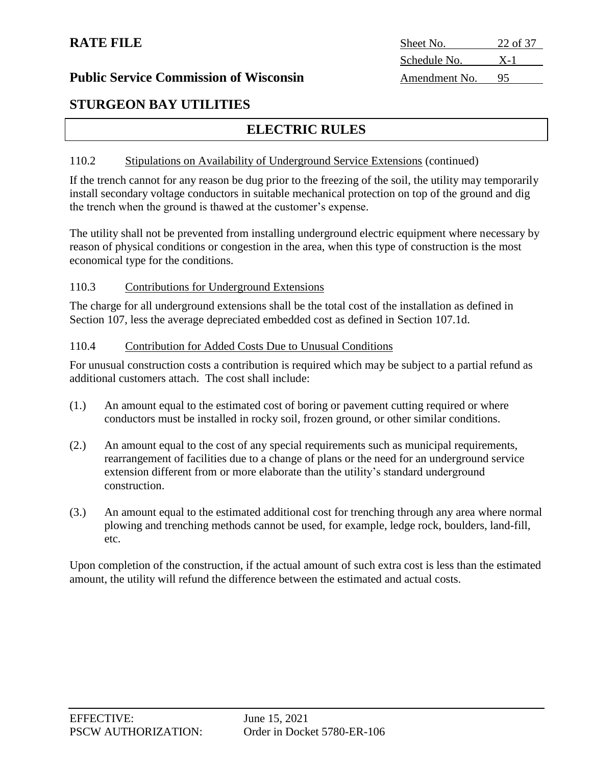## **STURGEON BAY UTILITIES**

## **ELECTRIC RULES**

#### 110.2 Stipulations on Availability of Underground Service Extensions (continued)

If the trench cannot for any reason be dug prior to the freezing of the soil, the utility may temporarily install secondary voltage conductors in suitable mechanical protection on top of the ground and dig the trench when the ground is thawed at the customer's expense.

The utility shall not be prevented from installing underground electric equipment where necessary by reason of physical conditions or congestion in the area, when this type of construction is the most economical type for the conditions.

#### 110.3 Contributions for Underground Extensions

The charge for all underground extensions shall be the total cost of the installation as defined in Section 107, less the average depreciated embedded cost as defined in Section 107.1d.

#### 110.4 Contribution for Added Costs Due to Unusual Conditions

For unusual construction costs a contribution is required which may be subject to a partial refund as additional customers attach. The cost shall include:

- (1.) An amount equal to the estimated cost of boring or pavement cutting required or where conductors must be installed in rocky soil, frozen ground, or other similar conditions.
- (2.) An amount equal to the cost of any special requirements such as municipal requirements, rearrangement of facilities due to a change of plans or the need for an underground service extension different from or more elaborate than the utility's standard underground construction.
- (3.) An amount equal to the estimated additional cost for trenching through any area where normal plowing and trenching methods cannot be used, for example, ledge rock, boulders, land-fill, etc.

Upon completion of the construction, if the actual amount of such extra cost is less than the estimated amount, the utility will refund the difference between the estimated and actual costs.

| Sheet No.     | 22 of 37 |
|---------------|----------|
| Schedule No.  | $X-1$    |
| Amendment No. | 95       |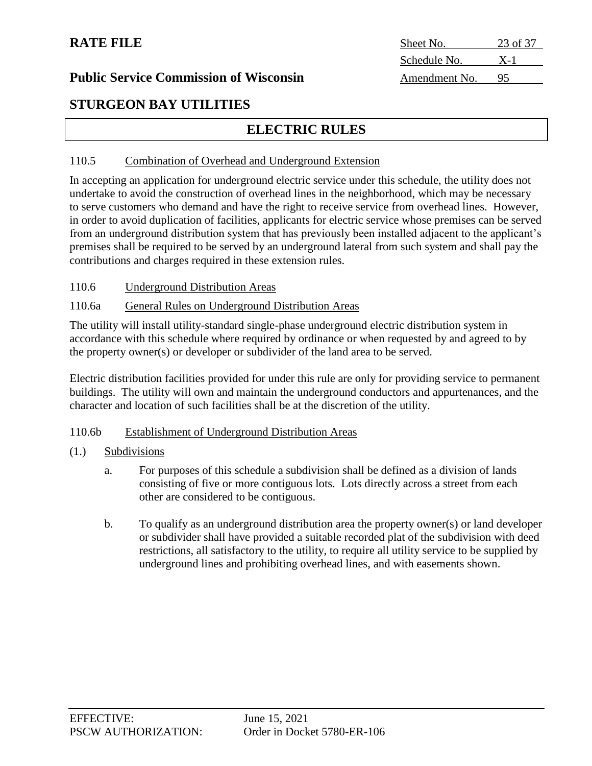| Sheet No.     | 23 of 37 |
|---------------|----------|
| Schedule No.  | $X-1$    |
| Amendment No. | 95       |

### **Public Service Commission of Wisconsin**

## **STURGEON BAY UTILITIES**

## **ELECTRIC RULES**

#### 110.5 Combination of Overhead and Underground Extension

In accepting an application for underground electric service under this schedule, the utility does not undertake to avoid the construction of overhead lines in the neighborhood, which may be necessary to serve customers who demand and have the right to receive service from overhead lines. However, in order to avoid duplication of facilities, applicants for electric service whose premises can be served from an underground distribution system that has previously been installed adjacent to the applicant's premises shall be required to be served by an underground lateral from such system and shall pay the contributions and charges required in these extension rules.

110.6 Underground Distribution Areas

#### 110.6a General Rules on Underground Distribution Areas

The utility will install utility-standard single-phase underground electric distribution system in accordance with this schedule where required by ordinance or when requested by and agreed to by the property owner(s) or developer or subdivider of the land area to be served.

Electric distribution facilities provided for under this rule are only for providing service to permanent buildings. The utility will own and maintain the underground conductors and appurtenances, and the character and location of such facilities shall be at the discretion of the utility.

#### 110.6b Establishment of Underground Distribution Areas

- (1.) Subdivisions
	- a. For purposes of this schedule a subdivision shall be defined as a division of lands consisting of five or more contiguous lots. Lots directly across a street from each other are considered to be contiguous.
	- b. To qualify as an underground distribution area the property owner(s) or land developer or subdivider shall have provided a suitable recorded plat of the subdivision with deed restrictions, all satisfactory to the utility, to require all utility service to be supplied by underground lines and prohibiting overhead lines, and with easements shown.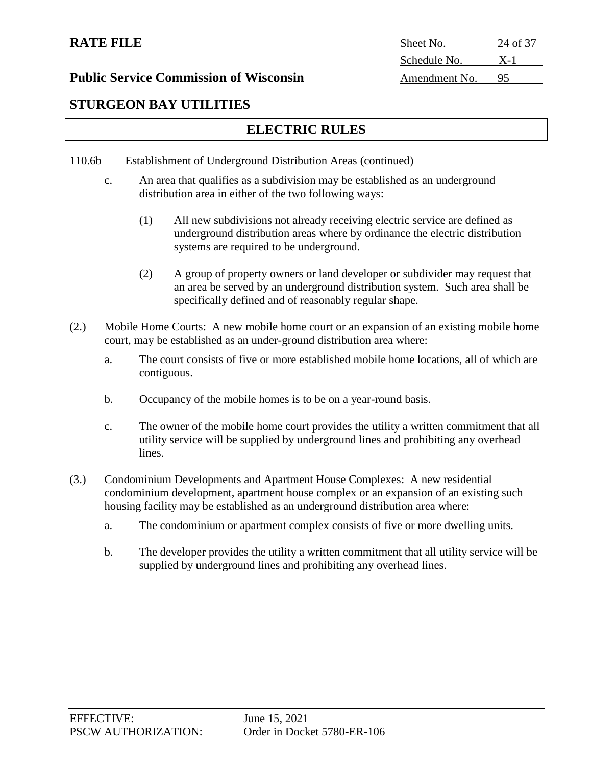## **Public Service Commission of Wisconsin** Amendment No.

## **STURGEON BAY UTILITIES**

## **ELECTRIC RULES**

### 110.6b Establishment of Underground Distribution Areas (continued)

- c. An area that qualifies as a subdivision may be established as an underground distribution area in either of the two following ways:
	- (1) All new subdivisions not already receiving electric service are defined as underground distribution areas where by ordinance the electric distribution systems are required to be underground.
	- (2) A group of property owners or land developer or subdivider may request that an area be served by an underground distribution system. Such area shall be specifically defined and of reasonably regular shape.
- (2.) Mobile Home Courts: A new mobile home court or an expansion of an existing mobile home court, may be established as an under-ground distribution area where:
	- a. The court consists of five or more established mobile home locations, all of which are contiguous.
	- b. Occupancy of the mobile homes is to be on a year-round basis.
	- c. The owner of the mobile home court provides the utility a written commitment that all utility service will be supplied by underground lines and prohibiting any overhead lines.
- (3.) Condominium Developments and Apartment House Complexes: A new residential condominium development, apartment house complex or an expansion of an existing such housing facility may be established as an underground distribution area where:
	- a. The condominium or apartment complex consists of five or more dwelling units.
	- b. The developer provides the utility a written commitment that all utility service will be supplied by underground lines and prohibiting any overhead lines.

| Sheet No.            | 24 of 37 |
|----------------------|----------|
| Schedule No.         | $X-1$    |
| $\Delta$ mendment No | u٢       |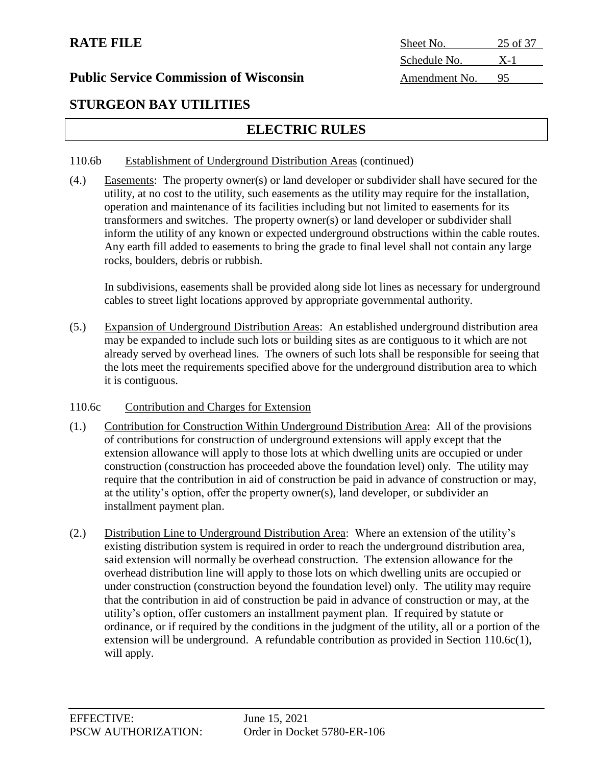| <b>RATE FILE</b>                              | Sheet No.     | 25 of 37 |
|-----------------------------------------------|---------------|----------|
|                                               | Schedule No.  | $X-1$    |
| <b>Public Service Commission of Wisconsin</b> | Amendment No. | 95       |
|                                               |               |          |

## **STURGEON BAY UTILITIES**

## **ELECTRIC RULES**

#### 110.6b Establishment of Underground Distribution Areas (continued)

(4.) Easements: The property owner(s) or land developer or subdivider shall have secured for the utility, at no cost to the utility, such easements as the utility may require for the installation, operation and maintenance of its facilities including but not limited to easements for its transformers and switches. The property owner(s) or land developer or subdivider shall inform the utility of any known or expected underground obstructions within the cable routes. Any earth fill added to easements to bring the grade to final level shall not contain any large rocks, boulders, debris or rubbish.

In subdivisions, easements shall be provided along side lot lines as necessary for underground cables to street light locations approved by appropriate governmental authority.

- (5.) Expansion of Underground Distribution Areas: An established underground distribution area may be expanded to include such lots or building sites as are contiguous to it which are not already served by overhead lines. The owners of such lots shall be responsible for seeing that the lots meet the requirements specified above for the underground distribution area to which it is contiguous.
- 110.6c Contribution and Charges for Extension
- (1.) Contribution for Construction Within Underground Distribution Area: All of the provisions of contributions for construction of underground extensions will apply except that the extension allowance will apply to those lots at which dwelling units are occupied or under construction (construction has proceeded above the foundation level) only. The utility may require that the contribution in aid of construction be paid in advance of construction or may, at the utility's option, offer the property owner(s), land developer, or subdivider an installment payment plan.
- (2.) Distribution Line to Underground Distribution Area: Where an extension of the utility's existing distribution system is required in order to reach the underground distribution area, said extension will normally be overhead construction. The extension allowance for the overhead distribution line will apply to those lots on which dwelling units are occupied or under construction (construction beyond the foundation level) only. The utility may require that the contribution in aid of construction be paid in advance of construction or may, at the utility's option, offer customers an installment payment plan. If required by statute or ordinance, or if required by the conditions in the judgment of the utility, all or a portion of the extension will be underground. A refundable contribution as provided in Section 110.6c(1), will apply.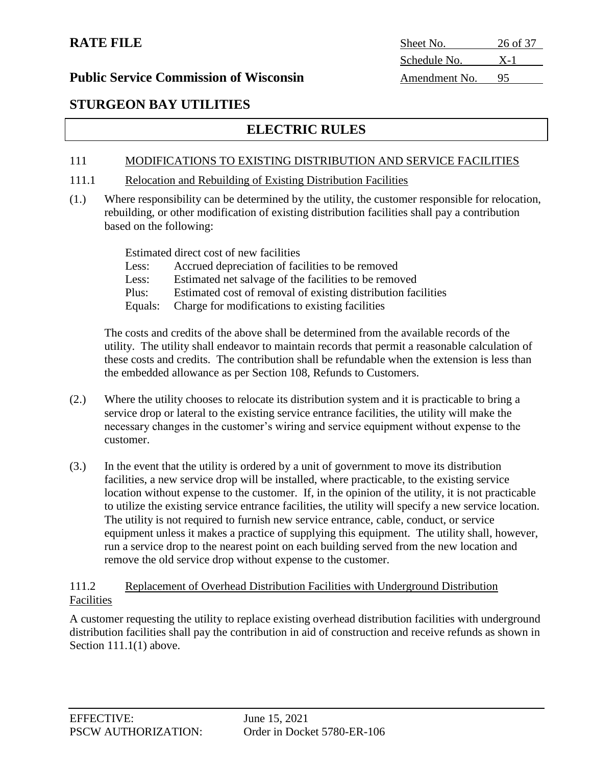## **STURGEON BAY UTILITIES**

## **ELECTRIC RULES**

### 111 MODIFICATIONS TO EXISTING DISTRIBUTION AND SERVICE FACILITIES

- 111.1 Relocation and Rebuilding of Existing Distribution Facilities
- (1.) Where responsibility can be determined by the utility, the customer responsible for relocation, rebuilding, or other modification of existing distribution facilities shall pay a contribution based on the following:

Estimated direct cost of new facilities

- Less: Accrued depreciation of facilities to be removed
- Less: Estimated net salvage of the facilities to be removed
- Plus: Estimated cost of removal of existing distribution facilities
- Equals: Charge for modifications to existing facilities

The costs and credits of the above shall be determined from the available records of the utility. The utility shall endeavor to maintain records that permit a reasonable calculation of these costs and credits. The contribution shall be refundable when the extension is less than the embedded allowance as per Section 108, Refunds to Customers.

- (2.) Where the utility chooses to relocate its distribution system and it is practicable to bring a service drop or lateral to the existing service entrance facilities, the utility will make the necessary changes in the customer's wiring and service equipment without expense to the customer.
- (3.) In the event that the utility is ordered by a unit of government to move its distribution facilities, a new service drop will be installed, where practicable, to the existing service location without expense to the customer. If, in the opinion of the utility, it is not practicable to utilize the existing service entrance facilities, the utility will specify a new service location. The utility is not required to furnish new service entrance, cable, conduct, or service equipment unless it makes a practice of supplying this equipment. The utility shall, however, run a service drop to the nearest point on each building served from the new location and remove the old service drop without expense to the customer.

#### 111.2 Replacement of Overhead Distribution Facilities with Underground Distribution Facilities

A customer requesting the utility to replace existing overhead distribution facilities with underground distribution facilities shall pay the contribution in aid of construction and receive refunds as shown in Section 111.1(1) above.

**RATE FILE** Sheet No. 26 of 37 Schedule No. X-1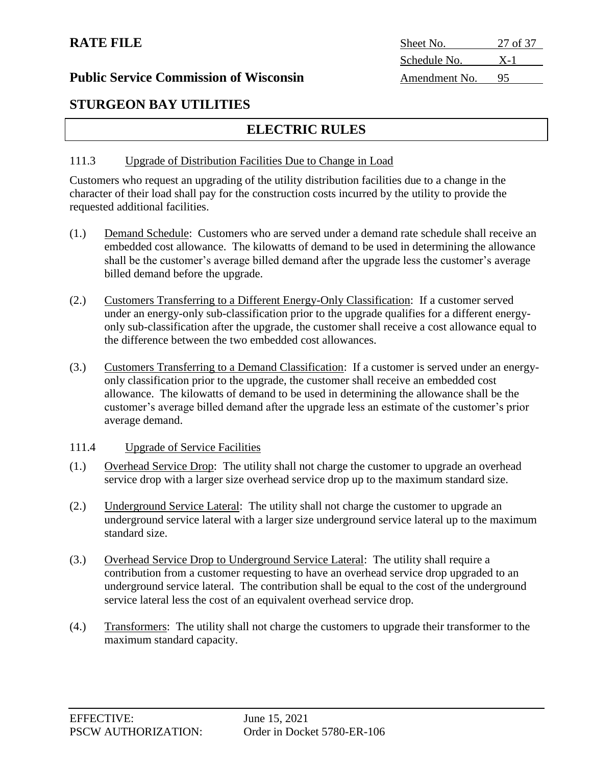| Sheet No.     | 27 of 37 |
|---------------|----------|
| Schedule No.  | $X-1$    |
| Amendment No. | 95       |

## **STURGEON BAY UTILITIES**

## **ELECTRIC RULES**

#### 111.3 Upgrade of Distribution Facilities Due to Change in Load

Customers who request an upgrading of the utility distribution facilities due to a change in the character of their load shall pay for the construction costs incurred by the utility to provide the requested additional facilities.

- (1.) Demand Schedule: Customers who are served under a demand rate schedule shall receive an embedded cost allowance. The kilowatts of demand to be used in determining the allowance shall be the customer's average billed demand after the upgrade less the customer's average billed demand before the upgrade.
- (2.) Customers Transferring to a Different Energy-Only Classification: If a customer served under an energy-only sub-classification prior to the upgrade qualifies for a different energyonly sub-classification after the upgrade, the customer shall receive a cost allowance equal to the difference between the two embedded cost allowances.
- (3.) Customers Transferring to a Demand Classification: If a customer is served under an energyonly classification prior to the upgrade, the customer shall receive an embedded cost allowance. The kilowatts of demand to be used in determining the allowance shall be the customer's average billed demand after the upgrade less an estimate of the customer's prior average demand.

#### 111.4 Upgrade of Service Facilities

- (1.) Overhead Service Drop: The utility shall not charge the customer to upgrade an overhead service drop with a larger size overhead service drop up to the maximum standard size.
- (2.) Underground Service Lateral: The utility shall not charge the customer to upgrade an underground service lateral with a larger size underground service lateral up to the maximum standard size.
- (3.) Overhead Service Drop to Underground Service Lateral: The utility shall require a contribution from a customer requesting to have an overhead service drop upgraded to an underground service lateral. The contribution shall be equal to the cost of the underground service lateral less the cost of an equivalent overhead service drop.
- (4.) Transformers: The utility shall not charge the customers to upgrade their transformer to the maximum standard capacity.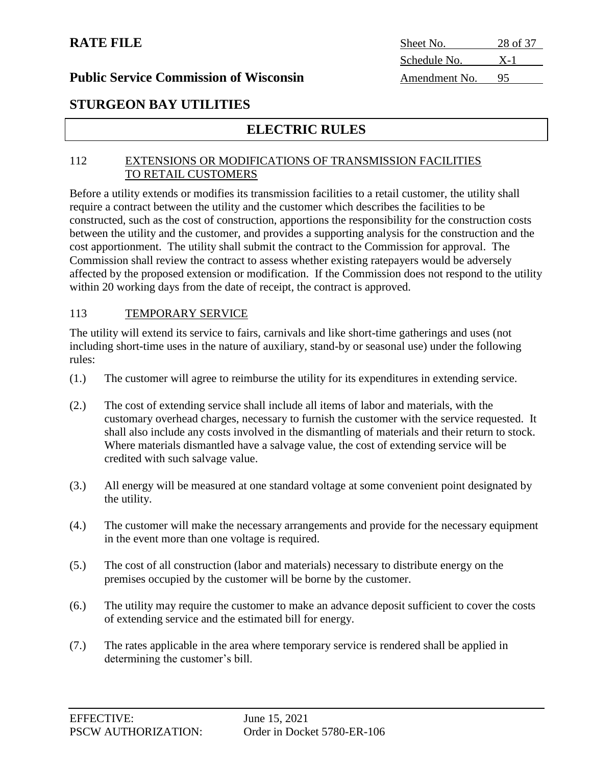**RATE FILE** Sheet No. 28 of 37 Schedule No. X-1

### **Public Service Commission of Wisconsin** Amendment No. 95

## **STURGEON BAY UTILITIES**

## **ELECTRIC RULES**

#### 112 EXTENSIONS OR MODIFICATIONS OF TRANSMISSION FACILITIES TO RETAIL CUSTOMERS

Before a utility extends or modifies its transmission facilities to a retail customer, the utility shall require a contract between the utility and the customer which describes the facilities to be constructed, such as the cost of construction, apportions the responsibility for the construction costs between the utility and the customer, and provides a supporting analysis for the construction and the cost apportionment. The utility shall submit the contract to the Commission for approval. The Commission shall review the contract to assess whether existing ratepayers would be adversely affected by the proposed extension or modification. If the Commission does not respond to the utility within 20 working days from the date of receipt, the contract is approved.

#### 113 TEMPORARY SERVICE

The utility will extend its service to fairs, carnivals and like short-time gatherings and uses (not including short-time uses in the nature of auxiliary, stand-by or seasonal use) under the following rules:

- (1.) The customer will agree to reimburse the utility for its expenditures in extending service.
- (2.) The cost of extending service shall include all items of labor and materials, with the customary overhead charges, necessary to furnish the customer with the service requested. It shall also include any costs involved in the dismantling of materials and their return to stock. Where materials dismantled have a salvage value, the cost of extending service will be credited with such salvage value.
- (3.) All energy will be measured at one standard voltage at some convenient point designated by the utility.
- (4.) The customer will make the necessary arrangements and provide for the necessary equipment in the event more than one voltage is required.
- (5.) The cost of all construction (labor and materials) necessary to distribute energy on the premises occupied by the customer will be borne by the customer.
- (6.) The utility may require the customer to make an advance deposit sufficient to cover the costs of extending service and the estimated bill for energy.
- (7.) The rates applicable in the area where temporary service is rendered shall be applied in determining the customer's bill.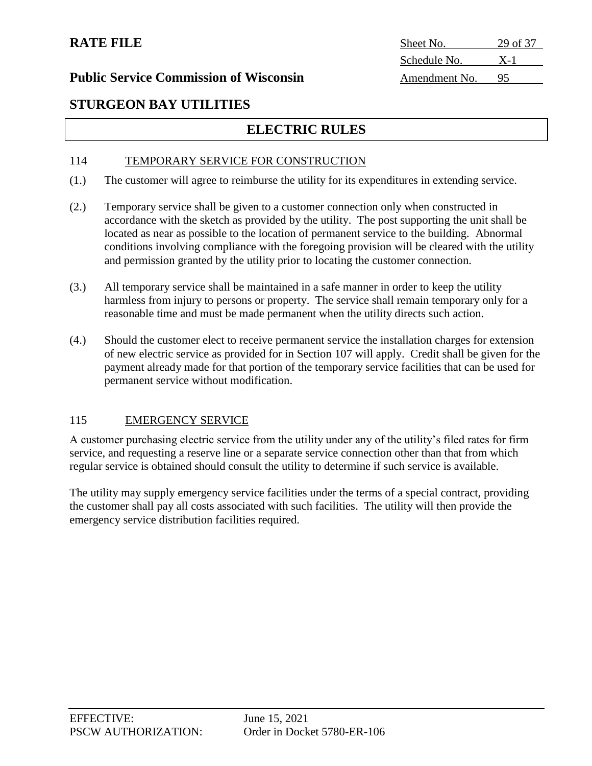**RATE FILE** Sheet No. 29 of 37 Schedule No. X-1

## **STURGEON BAY UTILITIES**

## **ELECTRIC RULES**

#### 114 TEMPORARY SERVICE FOR CONSTRUCTION

- (1.) The customer will agree to reimburse the utility for its expenditures in extending service.
- (2.) Temporary service shall be given to a customer connection only when constructed in accordance with the sketch as provided by the utility. The post supporting the unit shall be located as near as possible to the location of permanent service to the building. Abnormal conditions involving compliance with the foregoing provision will be cleared with the utility and permission granted by the utility prior to locating the customer connection.
- (3.) All temporary service shall be maintained in a safe manner in order to keep the utility harmless from injury to persons or property. The service shall remain temporary only for a reasonable time and must be made permanent when the utility directs such action.
- (4.) Should the customer elect to receive permanent service the installation charges for extension of new electric service as provided for in Section 107 will apply. Credit shall be given for the payment already made for that portion of the temporary service facilities that can be used for permanent service without modification.

#### 115 EMERGENCY SERVICE

A customer purchasing electric service from the utility under any of the utility's filed rates for firm service, and requesting a reserve line or a separate service connection other than that from which regular service is obtained should consult the utility to determine if such service is available.

The utility may supply emergency service facilities under the terms of a special contract, providing the customer shall pay all costs associated with such facilities. The utility will then provide the emergency service distribution facilities required.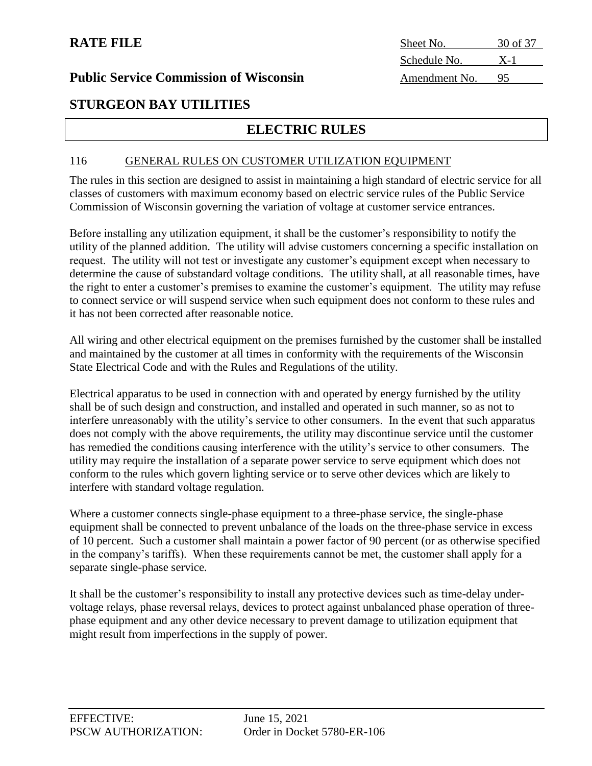#### **Public Service Commission of Wisconsin**

| Sheet No.     | 30 of 37 |
|---------------|----------|
| Schedule No.  | $X-1$    |
| Amendment No. | 95       |

## **STURGEON BAY UTILITIES**

## **ELECTRIC RULES**

#### 116 GENERAL RULES ON CUSTOMER UTILIZATION EQUIPMENT

The rules in this section are designed to assist in maintaining a high standard of electric service for all classes of customers with maximum economy based on electric service rules of the Public Service Commission of Wisconsin governing the variation of voltage at customer service entrances.

Before installing any utilization equipment, it shall be the customer's responsibility to notify the utility of the planned addition. The utility will advise customers concerning a specific installation on request. The utility will not test or investigate any customer's equipment except when necessary to determine the cause of substandard voltage conditions. The utility shall, at all reasonable times, have the right to enter a customer's premises to examine the customer's equipment. The utility may refuse to connect service or will suspend service when such equipment does not conform to these rules and it has not been corrected after reasonable notice.

All wiring and other electrical equipment on the premises furnished by the customer shall be installed and maintained by the customer at all times in conformity with the requirements of the Wisconsin State Electrical Code and with the Rules and Regulations of the utility.

Electrical apparatus to be used in connection with and operated by energy furnished by the utility shall be of such design and construction, and installed and operated in such manner, so as not to interfere unreasonably with the utility's service to other consumers. In the event that such apparatus does not comply with the above requirements, the utility may discontinue service until the customer has remedied the conditions causing interference with the utility's service to other consumers. The utility may require the installation of a separate power service to serve equipment which does not conform to the rules which govern lighting service or to serve other devices which are likely to interfere with standard voltage regulation.

Where a customer connects single-phase equipment to a three-phase service, the single-phase equipment shall be connected to prevent unbalance of the loads on the three-phase service in excess of 10 percent. Such a customer shall maintain a power factor of 90 percent (or as otherwise specified in the company's tariffs). When these requirements cannot be met, the customer shall apply for a separate single-phase service.

It shall be the customer's responsibility to install any protective devices such as time-delay undervoltage relays, phase reversal relays, devices to protect against unbalanced phase operation of threephase equipment and any other device necessary to prevent damage to utilization equipment that might result from imperfections in the supply of power.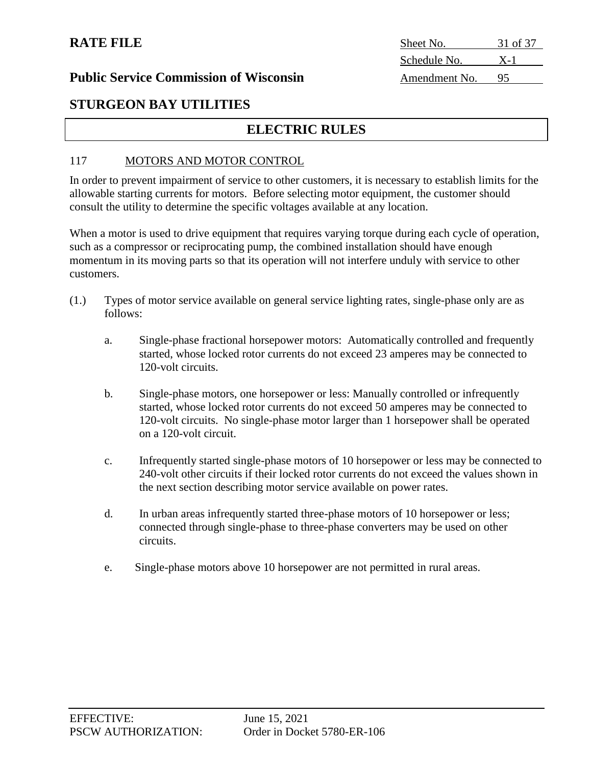| Sheet No.     | 31 of 37 |
|---------------|----------|
| Schedule No.  | $X-1$    |
| Amendment No. | 95       |

#### **Public Service Commission of Wisconsin**

## **STURGEON BAY UTILITIES**

## **ELECTRIC RULES**

#### 117 MOTORS AND MOTOR CONTROL

In order to prevent impairment of service to other customers, it is necessary to establish limits for the allowable starting currents for motors. Before selecting motor equipment, the customer should consult the utility to determine the specific voltages available at any location.

When a motor is used to drive equipment that requires varying torque during each cycle of operation, such as a compressor or reciprocating pump, the combined installation should have enough momentum in its moving parts so that its operation will not interfere unduly with service to other customers.

- (1.) Types of motor service available on general service lighting rates, single-phase only are as follows:
	- a. Single-phase fractional horsepower motors: Automatically controlled and frequently started, whose locked rotor currents do not exceed 23 amperes may be connected to 120-volt circuits.
	- b. Single-phase motors, one horsepower or less: Manually controlled or infrequently started, whose locked rotor currents do not exceed 50 amperes may be connected to 120-volt circuits. No single-phase motor larger than 1 horsepower shall be operated on a 120-volt circuit.
	- c. Infrequently started single-phase motors of 10 horsepower or less may be connected to 240-volt other circuits if their locked rotor currents do not exceed the values shown in the next section describing motor service available on power rates.
	- d. In urban areas infrequently started three-phase motors of 10 horsepower or less; connected through single-phase to three-phase converters may be used on other circuits.
	- e. Single-phase motors above 10 horsepower are not permitted in rural areas.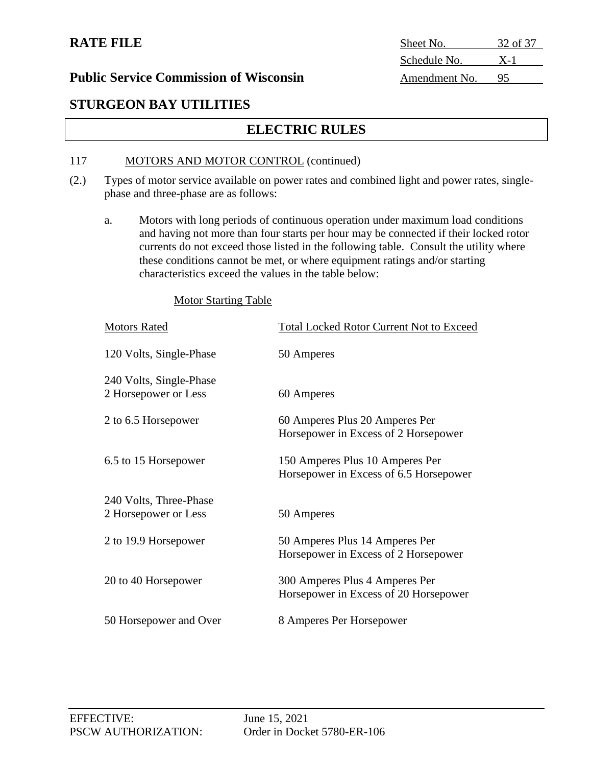## **RATE FILE**

| Sheet No.     | 32 of 37 |
|---------------|----------|
| Schedule No.  | $X-1$    |
| Amendment No. |          |

#### **Public Service Commission of Wisconsin**

# **STURGEON BAY UTILITIES**

# **ELECTRIC RULES**

#### 117 MOTORS AND MOTOR CONTROL (continued)

- (2.) Types of motor service available on power rates and combined light and power rates, singlephase and three-phase are as follows:
	- a. Motors with long periods of continuous operation under maximum load conditions and having not more than four starts per hour may be connected if their locked rotor currents do not exceed those listed in the following table. Consult the utility where these conditions cannot be met, or where equipment ratings and/or starting characteristics exceed the values in the table below:

#### Motor Starting Table

| <b>Motors Rated</b>                             | <b>Total Locked Rotor Current Not to Exceed</b>                           |
|-------------------------------------------------|---------------------------------------------------------------------------|
| 120 Volts, Single-Phase                         | 50 Amperes                                                                |
| 240 Volts, Single-Phase<br>2 Horsepower or Less | 60 Amperes                                                                |
| 2 to 6.5 Horsepower                             | 60 Amperes Plus 20 Amperes Per<br>Horsepower in Excess of 2 Horsepower    |
| 6.5 to 15 Horsepower                            | 150 Amperes Plus 10 Amperes Per<br>Horsepower in Excess of 6.5 Horsepower |
| 240 Volts, Three-Phase<br>2 Horsepower or Less  | 50 Amperes                                                                |
| 2 to 19.9 Horsepower                            | 50 Amperes Plus 14 Amperes Per<br>Horsepower in Excess of 2 Horsepower    |
| 20 to 40 Horsepower                             | 300 Amperes Plus 4 Amperes Per<br>Horsepower in Excess of 20 Horsepower   |
| 50 Horsepower and Over                          | 8 Amperes Per Horsepower                                                  |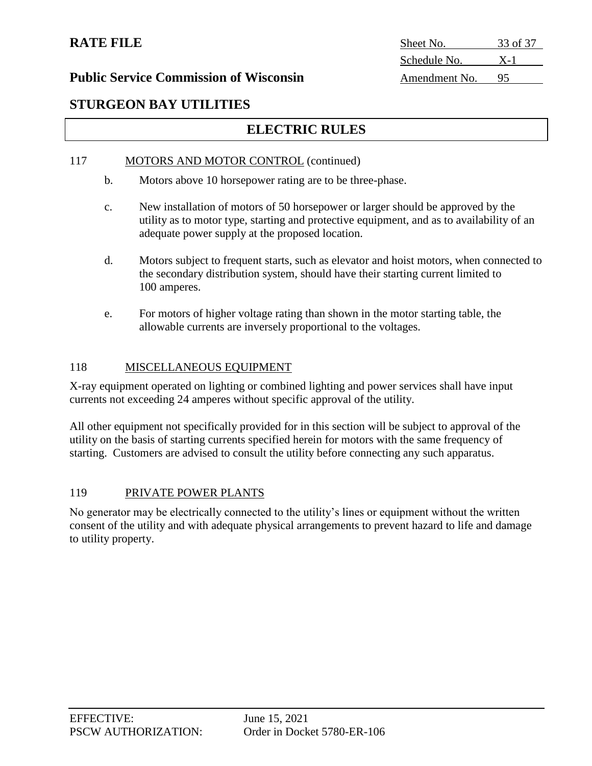# **STURGEON BAY UTILITIES**

# **ELECTRIC RULES**

#### 117 MOTORS AND MOTOR CONTROL (continued)

- b. Motors above 10 horsepower rating are to be three-phase.
- c. New installation of motors of 50 horsepower or larger should be approved by the utility as to motor type, starting and protective equipment, and as to availability of an adequate power supply at the proposed location.
- d. Motors subject to frequent starts, such as elevator and hoist motors, when connected to the secondary distribution system, should have their starting current limited to 100 amperes.
- e. For motors of higher voltage rating than shown in the motor starting table, the allowable currents are inversely proportional to the voltages.

#### 118 MISCELLANEOUS EQUIPMENT

X-ray equipment operated on lighting or combined lighting and power services shall have input currents not exceeding 24 amperes without specific approval of the utility.

All other equipment not specifically provided for in this section will be subject to approval of the utility on the basis of starting currents specified herein for motors with the same frequency of starting. Customers are advised to consult the utility before connecting any such apparatus.

#### 119 PRIVATE POWER PLANTS

No generator may be electrically connected to the utility's lines or equipment without the written consent of the utility and with adequate physical arrangements to prevent hazard to life and damage to utility property.

# **RATE FILE** Sheet No. 33 of 37 Schedule No. X-1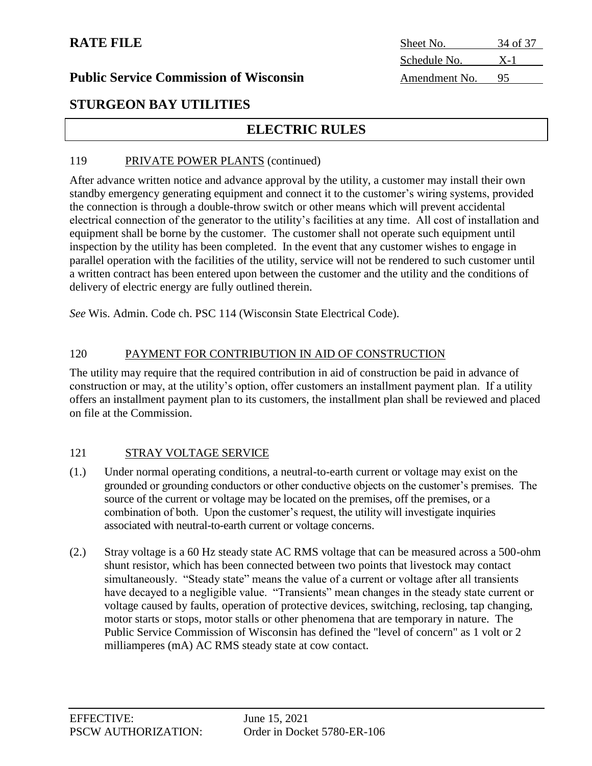# **RATE FILE**

| Sheet No.     | 34 of 37 |
|---------------|----------|
| Schedule No.  | $X-1$    |
| Amendment No. | 95       |

#### **Public Service Commission of Wisconsin**

# **STURGEON BAY UTILITIES**

# **ELECTRIC RULES**

#### 119 PRIVATE POWER PLANTS (continued)

After advance written notice and advance approval by the utility, a customer may install their own standby emergency generating equipment and connect it to the customer's wiring systems, provided the connection is through a double-throw switch or other means which will prevent accidental electrical connection of the generator to the utility's facilities at any time. All cost of installation and equipment shall be borne by the customer. The customer shall not operate such equipment until inspection by the utility has been completed. In the event that any customer wishes to engage in parallel operation with the facilities of the utility, service will not be rendered to such customer until a written contract has been entered upon between the customer and the utility and the conditions of delivery of electric energy are fully outlined therein.

*See* Wis. Admin. Code ch. PSC 114 (Wisconsin State Electrical Code).

#### 120 PAYMENT FOR CONTRIBUTION IN AID OF CONSTRUCTION

The utility may require that the required contribution in aid of construction be paid in advance of construction or may, at the utility's option, offer customers an installment payment plan. If a utility offers an installment payment plan to its customers, the installment plan shall be reviewed and placed on file at the Commission.

#### 121 STRAY VOLTAGE SERVICE

- (1.) Under normal operating conditions, a neutral-to-earth current or voltage may exist on the grounded or grounding conductors or other conductive objects on the customer's premises. The source of the current or voltage may be located on the premises, off the premises, or a combination of both. Upon the customer's request, the utility will investigate inquiries associated with neutral-to-earth current or voltage concerns.
- (2.) Stray voltage is a 60 Hz steady state AC RMS voltage that can be measured across a 500-ohm shunt resistor, which has been connected between two points that livestock may contact simultaneously. "Steady state" means the value of a current or voltage after all transients have decayed to a negligible value. "Transients" mean changes in the steady state current or voltage caused by faults, operation of protective devices, switching, reclosing, tap changing, motor starts or stops, motor stalls or other phenomena that are temporary in nature. The Public Service Commission of Wisconsin has defined the "level of concern" as 1 volt or 2 milliamperes (mA) AC RMS steady state at cow contact.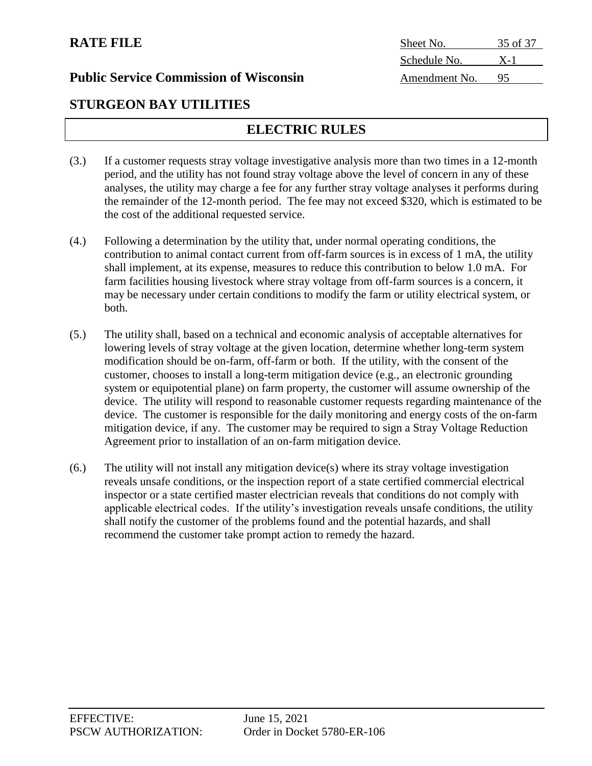**STURGEON BAY UTILITIES**

# **ELECTRIC RULES**

- (3.) If a customer requests stray voltage investigative analysis more than two times in a 12-month period, and the utility has not found stray voltage above the level of concern in any of these analyses, the utility may charge a fee for any further stray voltage analyses it performs during the remainder of the 12-month period. The fee may not exceed \$320, which is estimated to be the cost of the additional requested service.
- (4.) Following a determination by the utility that, under normal operating conditions, the contribution to animal contact current from off-farm sources is in excess of 1 mA, the utility shall implement, at its expense, measures to reduce this contribution to below 1.0 mA. For farm facilities housing livestock where stray voltage from off-farm sources is a concern, it may be necessary under certain conditions to modify the farm or utility electrical system, or both.
- (5.) The utility shall, based on a technical and economic analysis of acceptable alternatives for lowering levels of stray voltage at the given location, determine whether long-term system modification should be on-farm, off-farm or both. If the utility, with the consent of the customer, chooses to install a long-term mitigation device (e.g., an electronic grounding system or equipotential plane) on farm property, the customer will assume ownership of the device. The utility will respond to reasonable customer requests regarding maintenance of the device. The customer is responsible for the daily monitoring and energy costs of the on-farm mitigation device, if any. The customer may be required to sign a Stray Voltage Reduction Agreement prior to installation of an on-farm mitigation device.
- (6.) The utility will not install any mitigation device(s) where its stray voltage investigation reveals unsafe conditions, or the inspection report of a state certified commercial electrical inspector or a state certified master electrician reveals that conditions do not comply with applicable electrical codes. If the utility's investigation reveals unsafe conditions, the utility shall notify the customer of the problems found and the potential hazards, and shall recommend the customer take prompt action to remedy the hazard.

**RATE FILE** Sheet No. 35 of 37 Schedule No. X-1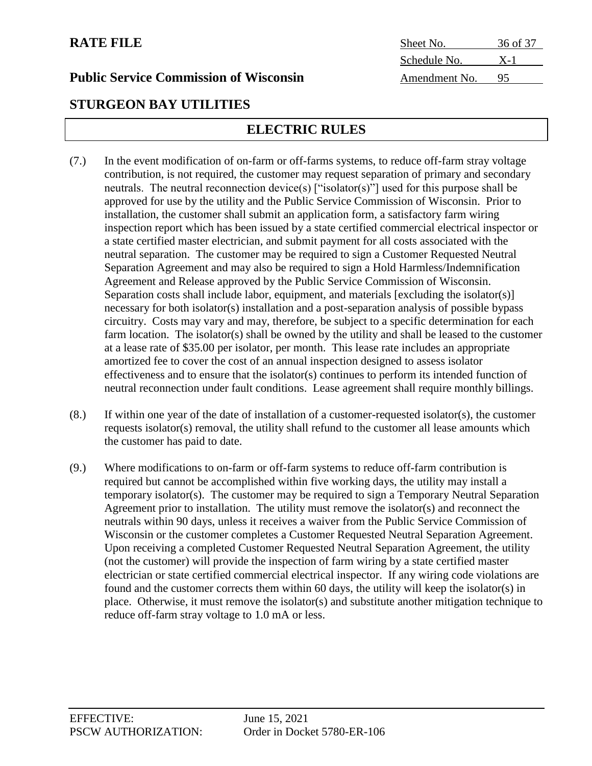# **STURGEON BAY UTILITIES**

# **ELECTRIC RULES**

- (7.) In the event modification of on-farm or off-farms systems, to reduce off-farm stray voltage contribution, is not required, the customer may request separation of primary and secondary neutrals. The neutral reconnection device(s) ["isolator(s)"] used for this purpose shall be approved for use by the utility and the Public Service Commission of Wisconsin. Prior to installation, the customer shall submit an application form, a satisfactory farm wiring inspection report which has been issued by a state certified commercial electrical inspector or a state certified master electrician, and submit payment for all costs associated with the neutral separation. The customer may be required to sign a Customer Requested Neutral Separation Agreement and may also be required to sign a Hold Harmless/Indemnification Agreement and Release approved by the Public Service Commission of Wisconsin. Separation costs shall include labor, equipment, and materials [excluding the isolator(s)] necessary for both isolator(s) installation and a post-separation analysis of possible bypass circuitry. Costs may vary and may, therefore, be subject to a specific determination for each farm location. The isolator(s) shall be owned by the utility and shall be leased to the customer at a lease rate of \$35.00 per isolator, per month. This lease rate includes an appropriate amortized fee to cover the cost of an annual inspection designed to assess isolator effectiveness and to ensure that the isolator(s) continues to perform its intended function of neutral reconnection under fault conditions. Lease agreement shall require monthly billings.
- (8.) If within one year of the date of installation of a customer-requested isolator(s), the customer requests isolator(s) removal, the utility shall refund to the customer all lease amounts which the customer has paid to date.
- (9.) Where modifications to on-farm or off-farm systems to reduce off-farm contribution is required but cannot be accomplished within five working days, the utility may install a temporary isolator(s). The customer may be required to sign a Temporary Neutral Separation Agreement prior to installation. The utility must remove the isolator(s) and reconnect the neutrals within 90 days, unless it receives a waiver from the Public Service Commission of Wisconsin or the customer completes a Customer Requested Neutral Separation Agreement. Upon receiving a completed Customer Requested Neutral Separation Agreement, the utility (not the customer) will provide the inspection of farm wiring by a state certified master electrician or state certified commercial electrical inspector. If any wiring code violations are found and the customer corrects them within 60 days, the utility will keep the isolator(s) in place. Otherwise, it must remove the isolator(s) and substitute another mitigation technique to reduce off-farm stray voltage to 1.0 mA or less.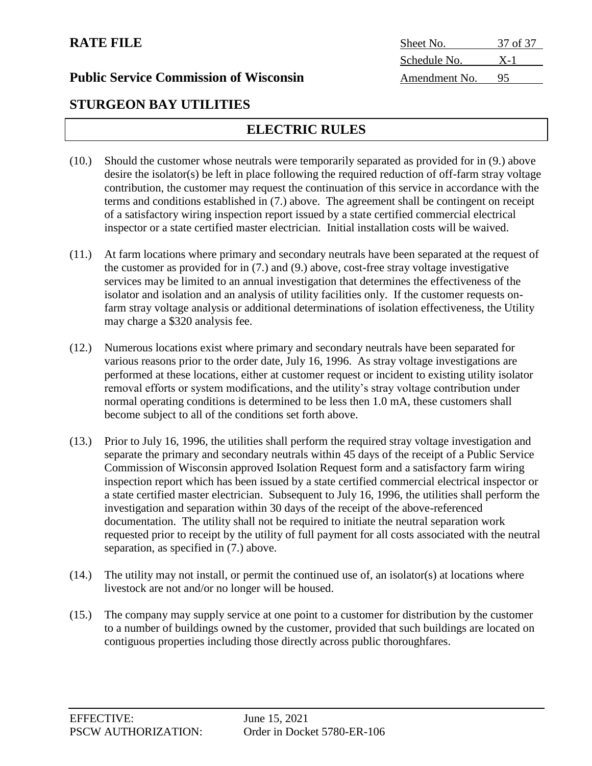**STURGEON BAY UTILITIES**

# **ELECTRIC RULES**

- (10.) Should the customer whose neutrals were temporarily separated as provided for in (9.) above desire the isolator(s) be left in place following the required reduction of off-farm stray voltage contribution, the customer may request the continuation of this service in accordance with the terms and conditions established in (7.) above. The agreement shall be contingent on receipt of a satisfactory wiring inspection report issued by a state certified commercial electrical inspector or a state certified master electrician. Initial installation costs will be waived.
- (11.) At farm locations where primary and secondary neutrals have been separated at the request of the customer as provided for in (7.) and (9.) above, cost-free stray voltage investigative services may be limited to an annual investigation that determines the effectiveness of the isolator and isolation and an analysis of utility facilities only. If the customer requests onfarm stray voltage analysis or additional determinations of isolation effectiveness, the Utility may charge a \$320 analysis fee.
- (12.) Numerous locations exist where primary and secondary neutrals have been separated for various reasons prior to the order date, July 16, 1996. As stray voltage investigations are performed at these locations, either at customer request or incident to existing utility isolator removal efforts or system modifications, and the utility's stray voltage contribution under normal operating conditions is determined to be less then 1.0 mA, these customers shall become subject to all of the conditions set forth above.
- (13.) Prior to July 16, 1996, the utilities shall perform the required stray voltage investigation and separate the primary and secondary neutrals within 45 days of the receipt of a Public Service Commission of Wisconsin approved Isolation Request form and a satisfactory farm wiring inspection report which has been issued by a state certified commercial electrical inspector or a state certified master electrician. Subsequent to July 16, 1996, the utilities shall perform the investigation and separation within 30 days of the receipt of the above-referenced documentation. The utility shall not be required to initiate the neutral separation work requested prior to receipt by the utility of full payment for all costs associated with the neutral separation, as specified in (7.) above.
- (14.) The utility may not install, or permit the continued use of, an isolator(s) at locations where livestock are not and/or no longer will be housed.
- (15.) The company may supply service at one point to a customer for distribution by the customer to a number of buildings owned by the customer, provided that such buildings are located on contiguous properties including those directly across public thoroughfares.

**RATE FILE** Sheet No. 37 of 37 Schedule No. X-1